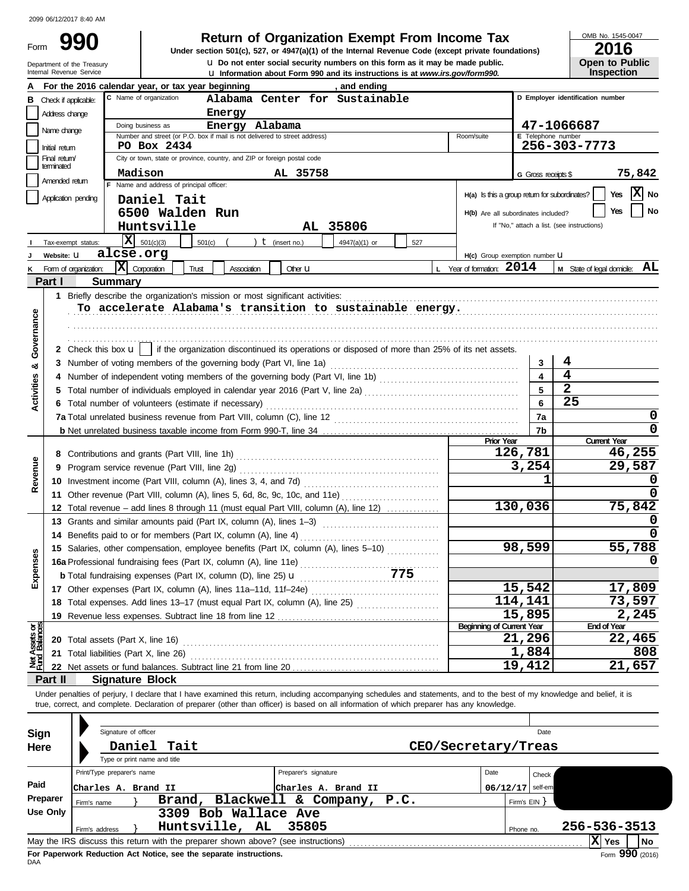| Form | Ч                                                      |
|------|--------------------------------------------------------|
|      | Department of the Treasury<br>Internal Revenue Service |

**u** Information about Form 990 and its instructions is at *www.irs.gov/form990.* **u** Do not enter social security numbers on this form as it may be made public. **990 2016 2016 2016 2016 DEGITATE ONG ACCEDE AT A CONG ACCEDE AT A CONG MODEL TO A CONG MODEL TO A CONG MODEL TO A CONG MODEL TO A CONG MODEL TO A CONG MODEL TO A CONG MODEL TO A CONG MODEL TO A CONG MODEL TO A C** 

OMB No. 1545-0047

| ZUIU                  |
|-----------------------|
| <b>Open to Public</b> |
| <b>Inspection</b>     |

|                                                                             |                                                                                                                  |                       | and ending<br>For the 2016 calendar year, or tax year beginning                                                                                                            |                                  |              |                                  |                                   |  |  |  |  |  |  |  |  |  |
|-----------------------------------------------------------------------------|------------------------------------------------------------------------------------------------------------------|-----------------------|----------------------------------------------------------------------------------------------------------------------------------------------------------------------------|----------------------------------|--------------|----------------------------------|-----------------------------------|--|--|--|--|--|--|--|--|--|
| в                                                                           | Check if applicable:                                                                                             |                       | C Name of organization<br>Alabama Center for Sustainable                                                                                                                   |                                  |              | D Employer identification number |                                   |  |  |  |  |  |  |  |  |  |
|                                                                             | Address change                                                                                                   |                       | Energy                                                                                                                                                                     |                                  |              |                                  |                                   |  |  |  |  |  |  |  |  |  |
|                                                                             | Name change                                                                                                      |                       | 47-1066687<br>Doing business as<br>Energy Alabama                                                                                                                          |                                  |              |                                  |                                   |  |  |  |  |  |  |  |  |  |
|                                                                             |                                                                                                                  |                       | Number and street (or P.O. box if mail is not delivered to street address)<br>E Telephone number<br>Room/suite<br>256-303-7773<br>PO Box 2434                              |                                  |              |                                  |                                   |  |  |  |  |  |  |  |  |  |
|                                                                             | Initial return<br>Final return                                                                                   |                       | City or town, state or province, country, and ZIP or foreign postal code                                                                                                   |                                  |              |                                  |                                   |  |  |  |  |  |  |  |  |  |
|                                                                             | terminated                                                                                                       |                       |                                                                                                                                                                            |                                  |              |                                  | 75,842                            |  |  |  |  |  |  |  |  |  |
|                                                                             | AL 35758<br>Madison<br>G Gross receipts \$<br>Amended return<br>F Name and address of principal officer:         |                       |                                                                                                                                                                            |                                  |              |                                  |                                   |  |  |  |  |  |  |  |  |  |
| H(a) Is this a group return for subordinates?<br>Yes<br>Application pending |                                                                                                                  |                       |                                                                                                                                                                            |                                  |              |                                  |                                   |  |  |  |  |  |  |  |  |  |
|                                                                             |                                                                                                                  |                       | Daniel Tait                                                                                                                                                                |                                  |              |                                  | No<br>Yes                         |  |  |  |  |  |  |  |  |  |
|                                                                             | 6500 Walden Run<br>H(b) Are all subordinates included?<br>AL 35806<br>If "No," attach a list. (see instructions) |                       |                                                                                                                                                                            |                                  |              |                                  |                                   |  |  |  |  |  |  |  |  |  |
|                                                                             |                                                                                                                  |                       | Huntsville                                                                                                                                                                 |                                  |              |                                  |                                   |  |  |  |  |  |  |  |  |  |
|                                                                             |                                                                                                                  | Tax-exempt status:    | X<br>501(c)(3)<br>501(c)<br>$t$ (insert no.)<br>4947(a)(1) or<br>527                                                                                                       |                                  |              |                                  |                                   |  |  |  |  |  |  |  |  |  |
|                                                                             | Website: U                                                                                                       |                       | alcse.org                                                                                                                                                                  | H(c) Group exemption number U    |              |                                  |                                   |  |  |  |  |  |  |  |  |  |
|                                                                             |                                                                                                                  | Form of organization: | $ \mathbf{X} $ Corporation<br>Trust<br>Association<br>Other <b>LI</b>                                                                                                      | L Year of formation: 2014        |              |                                  | $M$ State of legal domicile: $AL$ |  |  |  |  |  |  |  |  |  |
|                                                                             | Part I                                                                                                           |                       | <b>Summary</b>                                                                                                                                                             |                                  |              |                                  |                                   |  |  |  |  |  |  |  |  |  |
|                                                                             |                                                                                                                  |                       | 1 Briefly describe the organization's mission or most significant activities:                                                                                              |                                  |              |                                  |                                   |  |  |  |  |  |  |  |  |  |
|                                                                             |                                                                                                                  |                       | To accelerate Alabama's transition to sustainable energy.                                                                                                                  |                                  |              |                                  |                                   |  |  |  |  |  |  |  |  |  |
| Governance                                                                  |                                                                                                                  |                       |                                                                                                                                                                            |                                  |              |                                  |                                   |  |  |  |  |  |  |  |  |  |
|                                                                             |                                                                                                                  |                       |                                                                                                                                                                            |                                  |              |                                  |                                   |  |  |  |  |  |  |  |  |  |
|                                                                             |                                                                                                                  |                       | 2 Check this box <b>u</b>   if the organization discontinued its operations or disposed of more than 25% of its net assets.                                                |                                  |              |                                  |                                   |  |  |  |  |  |  |  |  |  |
| ೲ                                                                           |                                                                                                                  |                       |                                                                                                                                                                            |                                  | 3            | 4                                |                                   |  |  |  |  |  |  |  |  |  |
|                                                                             |                                                                                                                  |                       |                                                                                                                                                                            |                                  | 4            | 4                                |                                   |  |  |  |  |  |  |  |  |  |
| <b>Activities</b>                                                           |                                                                                                                  |                       | Total number of individuals employed in calendar year 2016 (Part V, line 2a) [[[[[[[[[[[[[[[[[[[[[[[[[[[[[[[[                                                              |                                  | 5            | $\overline{\mathbf{2}}$          |                                   |  |  |  |  |  |  |  |  |  |
|                                                                             |                                                                                                                  |                       | 6 Total number of volunteers (estimate if necessary)                                                                                                                       |                                  | 6            | 25                               |                                   |  |  |  |  |  |  |  |  |  |
|                                                                             |                                                                                                                  |                       |                                                                                                                                                                            |                                  | 7a           |                                  | 0                                 |  |  |  |  |  |  |  |  |  |
|                                                                             |                                                                                                                  |                       |                                                                                                                                                                            |                                  | 7b           |                                  | 0                                 |  |  |  |  |  |  |  |  |  |
|                                                                             |                                                                                                                  |                       |                                                                                                                                                                            | <b>Prior Year</b>                | 126,781      |                                  | <b>Current Year</b><br>46,255     |  |  |  |  |  |  |  |  |  |
|                                                                             | 8.                                                                                                               |                       |                                                                                                                                                                            |                                  | 3,254        |                                  | 29,587                            |  |  |  |  |  |  |  |  |  |
| Revenue                                                                     | 9                                                                                                                |                       |                                                                                                                                                                            |                                  | 1            |                                  | 0                                 |  |  |  |  |  |  |  |  |  |
|                                                                             |                                                                                                                  |                       |                                                                                                                                                                            |                                  |              | 0                                |                                   |  |  |  |  |  |  |  |  |  |
|                                                                             |                                                                                                                  |                       | 11 Other revenue (Part VIII, column (A), lines 5, 6d, 8c, 9c, 10c, and 11e)                                                                                                |                                  | 130,036      | 75,842                           |                                   |  |  |  |  |  |  |  |  |  |
|                                                                             |                                                                                                                  |                       | 12 Total revenue – add lines 8 through 11 (must equal Part VIII, column (A), line 12)                                                                                      |                                  |              |                                  | 0                                 |  |  |  |  |  |  |  |  |  |
|                                                                             |                                                                                                                  |                       | 13 Grants and similar amounts paid (Part IX, column (A), lines 1-3)                                                                                                        |                                  |              |                                  |                                   |  |  |  |  |  |  |  |  |  |
|                                                                             | 14.                                                                                                              |                       | Benefits paid to or for members (Part IX, column (A), line 4)                                                                                                              |                                  | 98,599       |                                  | 55,788                            |  |  |  |  |  |  |  |  |  |
|                                                                             |                                                                                                                  |                       | 15 Salaries, other compensation, employee benefits (Part IX, column (A), lines 5-10)                                                                                       |                                  |              |                                  |                                   |  |  |  |  |  |  |  |  |  |
|                                                                             |                                                                                                                  |                       | 16a Professional fundraising fees (Part IX, column (A), line 11e)<br>775                                                                                                   |                                  |              |                                  |                                   |  |  |  |  |  |  |  |  |  |
| Expenses                                                                    |                                                                                                                  |                       | <b>b</b> Total fundraising expenses (Part IX, column (D), line 25) <b>u</b>                                                                                                |                                  | 15,542       |                                  | 17,809                            |  |  |  |  |  |  |  |  |  |
|                                                                             |                                                                                                                  |                       | 17 Other expenses (Part IX, column (A), lines 11a-11d, 11f-24e)                                                                                                            |                                  | 114,141      |                                  | 73,597                            |  |  |  |  |  |  |  |  |  |
|                                                                             |                                                                                                                  |                       | 18 Total expenses. Add lines 13-17 (must equal Part IX, column (A), line 25) [                                                                                             |                                  | 15,895       |                                  | 2,245                             |  |  |  |  |  |  |  |  |  |
|                                                                             |                                                                                                                  |                       | 19 Revenue less expenses. Subtract line 18 from line 12                                                                                                                    | <b>Beginning of Current Year</b> |              |                                  | <b>End of Year</b>                |  |  |  |  |  |  |  |  |  |
| Net Assets or<br>Fund Balances                                              |                                                                                                                  |                       | 20 Total assets (Part X, line 16)                                                                                                                                          |                                  | 21,296       |                                  | 22,465                            |  |  |  |  |  |  |  |  |  |
|                                                                             |                                                                                                                  |                       | 21 Total liabilities (Part X, line 26)                                                                                                                                     |                                  | 1,884        |                                  | 808                               |  |  |  |  |  |  |  |  |  |
|                                                                             |                                                                                                                  |                       |                                                                                                                                                                            |                                  | 19,412       |                                  | 21,657                            |  |  |  |  |  |  |  |  |  |
|                                                                             | Part II                                                                                                          |                       | <b>Signature Block</b>                                                                                                                                                     |                                  |              |                                  |                                   |  |  |  |  |  |  |  |  |  |
|                                                                             |                                                                                                                  |                       | Under penalties of perjury, I declare that I have examined this return, including accompanying schedules and statements, and to the best of my knowledge and belief, it is |                                  |              |                                  |                                   |  |  |  |  |  |  |  |  |  |
|                                                                             |                                                                                                                  |                       | true, correct, and complete. Declaration of preparer (other than officer) is based on all information of which preparer has any knowledge.                                 |                                  |              |                                  |                                   |  |  |  |  |  |  |  |  |  |
|                                                                             |                                                                                                                  |                       |                                                                                                                                                                            |                                  |              |                                  |                                   |  |  |  |  |  |  |  |  |  |
| Sign                                                                        |                                                                                                                  |                       | Signature of officer                                                                                                                                                       |                                  | Date         |                                  |                                   |  |  |  |  |  |  |  |  |  |
| Here                                                                        |                                                                                                                  |                       | Daniel<br>Tait<br>CEO/Secretary/Treas                                                                                                                                      |                                  |              |                                  |                                   |  |  |  |  |  |  |  |  |  |
|                                                                             |                                                                                                                  |                       | Type or print name and title                                                                                                                                               |                                  |              |                                  |                                   |  |  |  |  |  |  |  |  |  |
|                                                                             |                                                                                                                  |                       | Print/Type preparer's name<br>Preparer's signature                                                                                                                         | Date                             | Check        |                                  |                                   |  |  |  |  |  |  |  |  |  |
| Paid                                                                        |                                                                                                                  |                       | Charles A. Brand II<br>Charles A. Brand II                                                                                                                                 | 06/12/17                         | self-em      |                                  |                                   |  |  |  |  |  |  |  |  |  |
|                                                                             | Preparer                                                                                                         | Firm's name           | Brand, Blackwell & Company,<br>P.C.                                                                                                                                        |                                  | Firm's EIN ] |                                  |                                   |  |  |  |  |  |  |  |  |  |
|                                                                             | <b>Use Only</b>                                                                                                  |                       | 3309 Bob Wallace Ave                                                                                                                                                       |                                  |              |                                  |                                   |  |  |  |  |  |  |  |  |  |
|                                                                             |                                                                                                                  | Firm's address        | Huntsville, AL<br>35805                                                                                                                                                    |                                  | Phone no.    |                                  | 256-536-3513                      |  |  |  |  |  |  |  |  |  |
|                                                                             |                                                                                                                  |                       | May the IRS discuss this return with the preparer shown above? (see instructions)                                                                                          |                                  |              |                                  | $ \mathbf{X} $ Yes<br><b>No</b>   |  |  |  |  |  |  |  |  |  |
|                                                                             |                                                                                                                  |                       |                                                                                                                                                                            |                                  |              |                                  |                                   |  |  |  |  |  |  |  |  |  |

| Sign<br>Here                                                             | Signature of officer<br>Daniel Tait<br>Type or print name and title               | CEO/Secretary/Treas       |                    | Date                      |  |  |  |  |  |  |  |  |
|--------------------------------------------------------------------------|-----------------------------------------------------------------------------------|---------------------------|--------------------|---------------------------|--|--|--|--|--|--|--|--|
|                                                                          | Print/Type preparer's name                                                        | Preparer's signature      | Date               | Check                     |  |  |  |  |  |  |  |  |
| Paid                                                                     | Charles A. Brand II                                                               | Charles A. Brand II       | $06/12/17$ self-em |                           |  |  |  |  |  |  |  |  |
| Preparer                                                                 | Brand,<br>Firm's name                                                             | Blackwell & Company, P.C. | Firm's $EIN$ }     |                           |  |  |  |  |  |  |  |  |
| Use Only                                                                 | 3309 Bob Wallace Ave                                                              |                           |                    |                           |  |  |  |  |  |  |  |  |
| 256-536-3513<br>Huntsville, AL<br>- 35805<br>Firm's address<br>Phone no. |                                                                                   |                           |                    |                           |  |  |  |  |  |  |  |  |
|                                                                          | May the IRS discuss this return with the preparer shown above? (see instructions) |                           |                    | $ X $ Yes<br>l No         |  |  |  |  |  |  |  |  |
|                                                                          | For Paperwork Reduction Act Notice, see the separate instructions.                |                           |                    | $F_{\text{O}}$ 990 (2016) |  |  |  |  |  |  |  |  |

DAA **For Paperwork Reduction Act Notice, see the separate instructions.**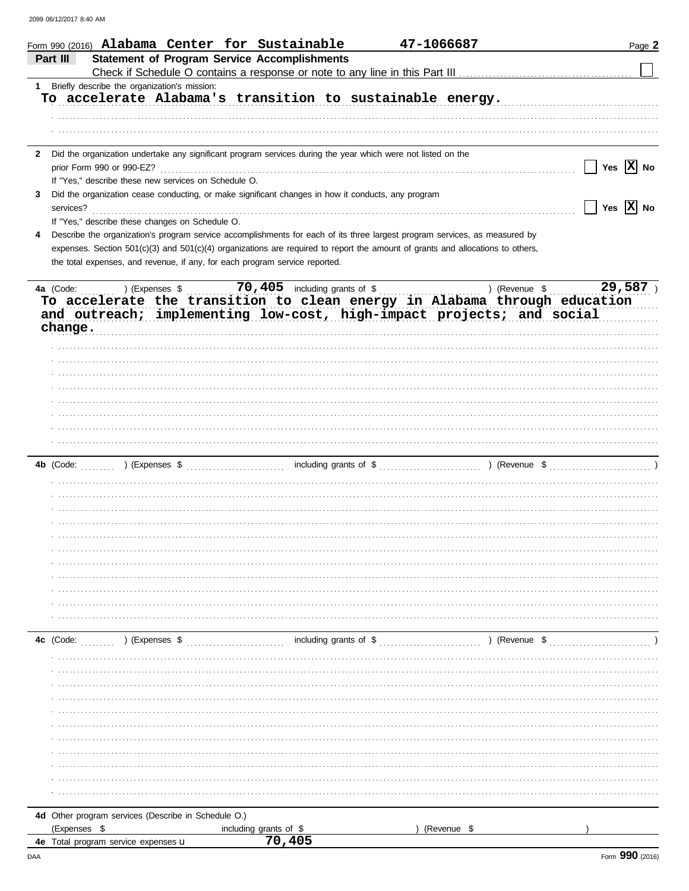|              | Form 990 (2016) Alabama Center for Sustainable                                                                                 |                                | 47-1066687             |                          | Page 2 |
|--------------|--------------------------------------------------------------------------------------------------------------------------------|--------------------------------|------------------------|--------------------------|--------|
|              | <b>Statement of Program Service Accomplishments</b><br>Part III                                                                |                                |                        |                          |        |
|              |                                                                                                                                |                                |                        |                          |        |
|              | Briefly describe the organization's mission:<br>$1 \quad$<br>To accelerate Alabama's transition to sustainable energy.         |                                |                        |                          |        |
|              |                                                                                                                                |                                |                        |                          |        |
|              |                                                                                                                                |                                |                        |                          |        |
|              |                                                                                                                                |                                |                        |                          |        |
|              |                                                                                                                                |                                |                        |                          |        |
| $\mathbf{2}$ | Did the organization undertake any significant program services during the year which were not listed on the                   |                                |                        | Yes $ \overline{X} $ No  |        |
|              | prior Form 990 or 990-EZ?                                                                                                      |                                |                        |                          |        |
|              | If "Yes," describe these new services on Schedule O.                                                                           |                                |                        |                          |        |
| 3.           | Did the organization cease conducting, or make significant changes in how it conducts, any program                             |                                |                        |                          |        |
|              | services?                                                                                                                      |                                |                        | Yes $\overline{X}$ No    |        |
|              | If "Yes," describe these changes on Schedule O.                                                                                |                                |                        |                          |        |
| 4            | Describe the organization's program service accomplishments for each of its three largest program services, as measured by     |                                |                        |                          |        |
|              | expenses. Section 501(c)(3) and 501(c)(4) organizations are required to report the amount of grants and allocations to others, |                                |                        |                          |        |
|              | the total expenses, and revenue, if any, for each program service reported.                                                    |                                |                        |                          |        |
|              |                                                                                                                                |                                |                        |                          |        |
|              | ) (Expenses \$<br>4a (Code:                                                                                                    | 70, 405 including grants of \$ |                        | 29,587)<br>) (Revenue \$ |        |
|              | To accelerate the transition to clean energy in Alabama through education                                                      |                                |                        |                          |        |
|              | and outreach; implementing low-cost, high-impact projects; and social                                                          |                                |                        |                          |        |
|              | change.                                                                                                                        |                                |                        |                          |        |
|              |                                                                                                                                |                                |                        |                          |        |
|              |                                                                                                                                |                                |                        |                          |        |
|              |                                                                                                                                |                                |                        |                          |        |
|              |                                                                                                                                |                                |                        |                          |        |
|              |                                                                                                                                |                                |                        |                          |        |
|              |                                                                                                                                |                                |                        |                          |        |
|              |                                                                                                                                |                                |                        |                          |        |
|              |                                                                                                                                |                                |                        |                          |        |
|              |                                                                                                                                |                                |                        |                          |        |
|              | 4b (Code:                                                                                                                      |                                |                        |                          |        |
|              |                                                                                                                                |                                |                        |                          |        |
|              |                                                                                                                                |                                |                        |                          |        |
|              |                                                                                                                                |                                |                        |                          |        |
|              |                                                                                                                                |                                |                        |                          |        |
|              |                                                                                                                                |                                |                        |                          |        |
|              |                                                                                                                                |                                |                        |                          |        |
|              |                                                                                                                                |                                |                        |                          |        |
|              |                                                                                                                                |                                |                        |                          |        |
|              |                                                                                                                                |                                |                        |                          |        |
|              |                                                                                                                                |                                |                        |                          |        |
|              |                                                                                                                                |                                |                        |                          |        |
|              |                                                                                                                                |                                |                        |                          |        |
|              | ) (Expenses \$<br>4c (Code:                                                                                                    |                                | including grants of \$ | ) (Revenue \$            |        |
|              |                                                                                                                                |                                |                        |                          |        |
|              |                                                                                                                                |                                |                        |                          |        |
|              |                                                                                                                                |                                |                        |                          |        |
|              |                                                                                                                                |                                |                        |                          |        |
|              |                                                                                                                                |                                |                        |                          |        |
|              |                                                                                                                                |                                |                        |                          |        |
|              |                                                                                                                                |                                |                        |                          |        |
|              |                                                                                                                                |                                |                        |                          |        |
|              |                                                                                                                                |                                |                        |                          |        |
|              |                                                                                                                                |                                |                        |                          |        |
|              |                                                                                                                                |                                |                        |                          |        |
|              |                                                                                                                                |                                |                        |                          |        |
|              |                                                                                                                                |                                |                        |                          |        |
|              | 4d Other program services (Describe in Schedule O.)                                                                            |                                |                        |                          |        |
|              | (Expenses \$<br>including grants of \$<br>4e Total program service expenses <b>U</b>                                           | 70.405                         | (Revenue \$            |                          |        |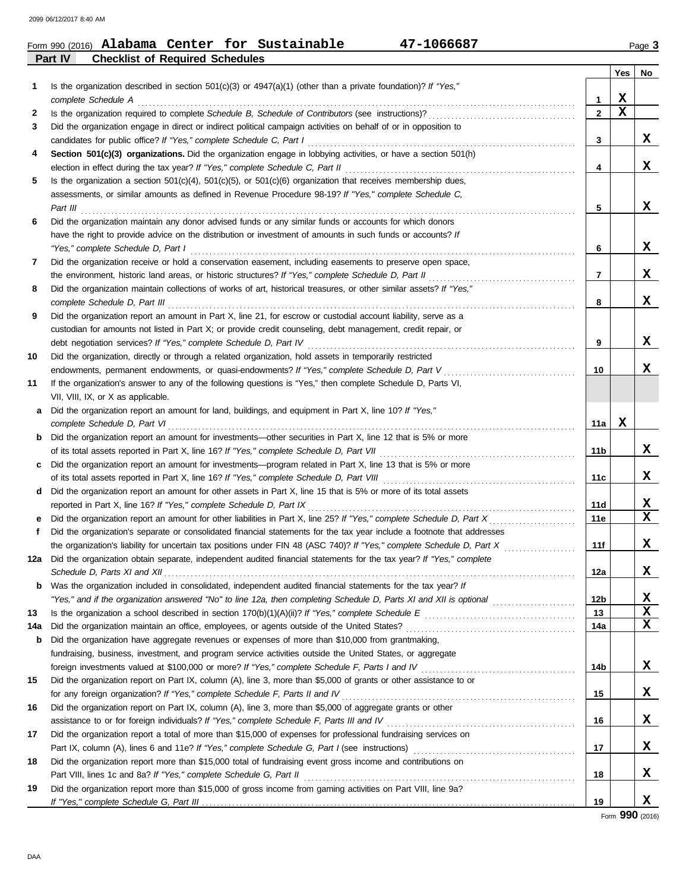|         |                                        |  | Form 990 (2016) Alabama Center for Sustainable | 47-1066687 | Page 3 |
|---------|----------------------------------------|--|------------------------------------------------|------------|--------|
| Part IV | <b>Checklist of Required Schedules</b> |  |                                                |            |        |

|     |                                                                                                                                                                                                                                    |                | Yes         | No                     |
|-----|------------------------------------------------------------------------------------------------------------------------------------------------------------------------------------------------------------------------------------|----------------|-------------|------------------------|
| 1   | Is the organization described in section $501(c)(3)$ or $4947(a)(1)$ (other than a private foundation)? If "Yes,"                                                                                                                  |                |             |                        |
|     | complete Schedule A                                                                                                                                                                                                                | 1              | X           |                        |
| 2   |                                                                                                                                                                                                                                    | $\overline{2}$ | $\mathbf x$ |                        |
| 3   | Did the organization engage in direct or indirect political campaign activities on behalf of or in opposition to<br>candidates for public office? If "Yes," complete Schedule C, Part I                                            | 3              |             | x                      |
| 4   | Section 501(c)(3) organizations. Did the organization engage in lobbying activities, or have a section 501(h)                                                                                                                      |                |             |                        |
|     | election in effect during the tax year? If "Yes," complete Schedule C, Part II                                                                                                                                                     | 4              |             | x                      |
| 5   | Is the organization a section $501(c)(4)$ , $501(c)(5)$ , or $501(c)(6)$ organization that receives membership dues,                                                                                                               |                |             |                        |
|     | assessments, or similar amounts as defined in Revenue Procedure 98-19? If "Yes," complete Schedule C,<br>Part III                                                                                                                  | 5              |             | x                      |
| 6   | Did the organization maintain any donor advised funds or any similar funds or accounts for which donors                                                                                                                            |                |             |                        |
|     | have the right to provide advice on the distribution or investment of amounts in such funds or accounts? If                                                                                                                        |                |             |                        |
|     | "Yes," complete Schedule D, Part I                                                                                                                                                                                                 | 6              |             | X                      |
| 7   | Did the organization receive or hold a conservation easement, including easements to preserve open space,                                                                                                                          |                |             |                        |
|     | the environment, historic land areas, or historic structures? If "Yes," complete Schedule D, Part II                                                                                                                               | $\overline{7}$ |             | X                      |
| 8   | Did the organization maintain collections of works of art, historical treasures, or other similar assets? If "Yes,"                                                                                                                |                |             |                        |
|     | complete Schedule D, Part III                                                                                                                                                                                                      | 8              |             | x                      |
| 9   | Did the organization report an amount in Part X, line 21, for escrow or custodial account liability, serve as a                                                                                                                    |                |             |                        |
|     | custodian for amounts not listed in Part X; or provide credit counseling, debt management, credit repair, or                                                                                                                       |                |             | X                      |
| 10  | debt negotiation services? If "Yes," complete Schedule D, Part IV<br>Did the organization, directly or through a related organization, hold assets in temporarily restricted                                                       | 9              |             |                        |
|     | endowments, permanent endowments, or quasi-endowments? If "Yes," complete Schedule D, Part V                                                                                                                                       | 10             |             | x                      |
| 11  | If the organization's answer to any of the following questions is "Yes," then complete Schedule D, Parts VI,                                                                                                                       |                |             |                        |
|     | VII, VIII, IX, or X as applicable.                                                                                                                                                                                                 |                |             |                        |
| a   | Did the organization report an amount for land, buildings, and equipment in Part X, line 10? If "Yes,"                                                                                                                             |                |             |                        |
|     | complete Schedule D, Part VI                                                                                                                                                                                                       | 11a            | х           |                        |
| b   | Did the organization report an amount for investments-other securities in Part X, line 12 that is 5% or more                                                                                                                       |                |             |                        |
|     | of its total assets reported in Part X, line 16? If "Yes," complete Schedule D, Part VII                                                                                                                                           | 11b            |             | x                      |
| c   | Did the organization report an amount for investments—program related in Part X, line 13 that is 5% or more                                                                                                                        |                |             |                        |
|     | of its total assets reported in Part X, line 16? If "Yes," complete Schedule D, Part VIII                                                                                                                                          | 11c            |             | X                      |
| d   | Did the organization report an amount for other assets in Part X, line 15 that is 5% or more of its total assets                                                                                                                   |                |             |                        |
|     | reported in Part X, line 16? If "Yes," complete Schedule D, Part IX                                                                                                                                                                | 11d            |             | X                      |
| е   | Did the organization report an amount for other liabilities in Part X, line 25? If "Yes," complete Schedule D, Part X                                                                                                              | 11e            |             | x                      |
| f   | Did the organization's separate or consolidated financial statements for the tax year include a footnote that addresses                                                                                                            |                |             |                        |
|     | the organization's liability for uncertain tax positions under FIN 48 (ASC 740)? If "Yes," complete Schedule D, Part X                                                                                                             | 11f            |             | x                      |
|     | 12a Did the organization obtain separate, independent audited financial statements for the tax year? If "Yes," complete                                                                                                            |                |             |                        |
|     |                                                                                                                                                                                                                                    | 12a            |             | $\boldsymbol{\Lambda}$ |
| b   | Was the organization included in consolidated, independent audited financial statements for the tax year? If<br>"Yes," and if the organization answered "No" to line 12a, then completing Schedule D, Parts XI and XII is optional | 12b            |             | X                      |
| 13  |                                                                                                                                                                                                                                    | 13             |             | x                      |
| 14a | Did the organization maintain an office, employees, or agents outside of the United States?                                                                                                                                        | 14a            |             | x                      |
| b   | Did the organization have aggregate revenues or expenses of more than \$10,000 from grantmaking,                                                                                                                                   |                |             |                        |
|     | fundraising, business, investment, and program service activities outside the United States, or aggregate                                                                                                                          |                |             |                        |
|     | foreign investments valued at \$100,000 or more? If "Yes," complete Schedule F, Parts I and IV [[[[[[[[[[[[[[[                                                                                                                     | 14b            |             | X.                     |
| 15  | Did the organization report on Part IX, column (A), line 3, more than \$5,000 of grants or other assistance to or                                                                                                                  |                |             |                        |
|     | for any foreign organization? If "Yes," complete Schedule F, Parts II and IV                                                                                                                                                       | 15             |             | X                      |
| 16  | Did the organization report on Part IX, column (A), line 3, more than \$5,000 of aggregate grants or other                                                                                                                         |                |             |                        |
|     |                                                                                                                                                                                                                                    | 16             |             | X                      |
| 17  | Did the organization report a total of more than \$15,000 of expenses for professional fundraising services on                                                                                                                     |                |             |                        |
|     |                                                                                                                                                                                                                                    | 17             |             | X                      |
| 18  | Did the organization report more than \$15,000 total of fundraising event gross income and contributions on                                                                                                                        |                |             |                        |
|     | Part VIII, lines 1c and 8a? If "Yes," complete Schedule G, Part II                                                                                                                                                                 | 18             |             | X                      |
| 19  | Did the organization report more than \$15,000 of gross income from gaming activities on Part VIII, line 9a?                                                                                                                       | 19             |             | X                      |
|     |                                                                                                                                                                                                                                    |                |             |                        |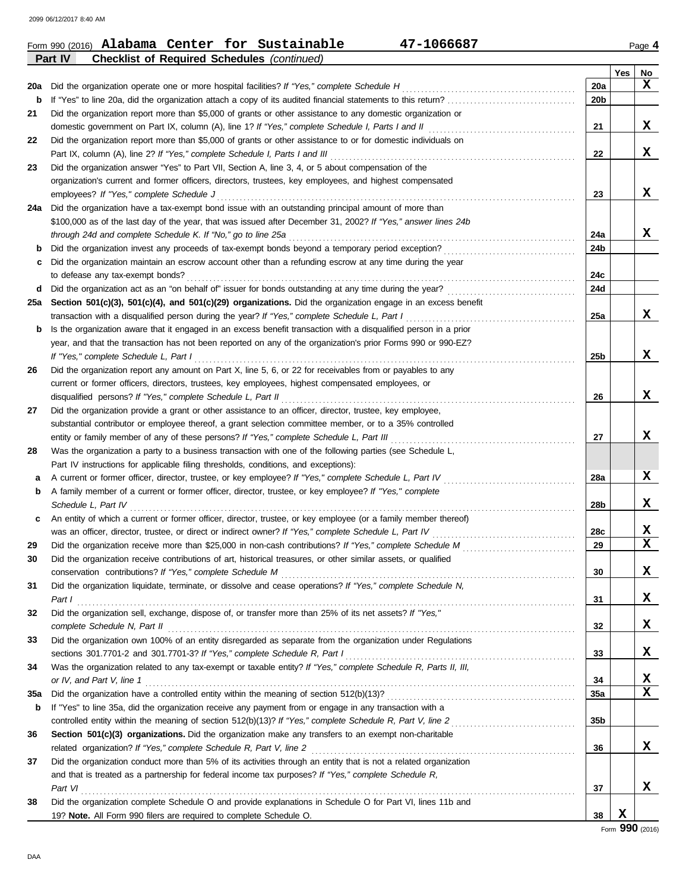|     | Part IV<br><b>Checklist of Required Schedules (continued)</b>                                                                                                                                                                |                 |     |                  |
|-----|------------------------------------------------------------------------------------------------------------------------------------------------------------------------------------------------------------------------------|-----------------|-----|------------------|
|     |                                                                                                                                                                                                                              |                 | Yes | No               |
| 20a | Did the organization operate one or more hospital facilities? If "Yes," complete Schedule H                                                                                                                                  | 20a             |     | x                |
| b   |                                                                                                                                                                                                                              | 20b             |     |                  |
| 21  | Did the organization report more than \$5,000 of grants or other assistance to any domestic organization or                                                                                                                  |                 |     |                  |
|     |                                                                                                                                                                                                                              | 21              |     | X                |
| 22  | Did the organization report more than \$5,000 of grants or other assistance to or for domestic individuals on                                                                                                                |                 |     |                  |
|     | Part IX, column (A), line 2? If "Yes," complete Schedule I, Parts I and III                                                                                                                                                  | 22              |     | X                |
| 23  | Did the organization answer "Yes" to Part VII, Section A, line 3, 4, or 5 about compensation of the                                                                                                                          |                 |     |                  |
|     | organization's current and former officers, directors, trustees, key employees, and highest compensated                                                                                                                      |                 |     |                  |
|     | employees? If "Yes," complete Schedule J                                                                                                                                                                                     | 23              |     | x                |
| 24a | Did the organization have a tax-exempt bond issue with an outstanding principal amount of more than                                                                                                                          |                 |     |                  |
|     | \$100,000 as of the last day of the year, that was issued after December 31, 2002? If "Yes," answer lines 24b                                                                                                                |                 |     |                  |
|     | through 24d and complete Schedule K. If "No," go to line 25a                                                                                                                                                                 | 24a             |     | X                |
| b   | Did the organization invest any proceeds of tax-exempt bonds beyond a temporary period exception?                                                                                                                            | 24b             |     |                  |
| c   | Did the organization maintain an escrow account other than a refunding escrow at any time during the year                                                                                                                    |                 |     |                  |
|     | to defease any tax-exempt bonds?                                                                                                                                                                                             | 24c             |     |                  |
| d   |                                                                                                                                                                                                                              | 24d             |     |                  |
| 25a | Section 501(c)(3), 501(c)(4), and 501(c)(29) organizations. Did the organization engage in an excess benefit                                                                                                                 |                 |     |                  |
|     | transaction with a disqualified person during the year? If "Yes," complete Schedule L, Part I                                                                                                                                | 25a             |     | X                |
| b   | Is the organization aware that it engaged in an excess benefit transaction with a disqualified person in a prior                                                                                                             |                 |     |                  |
|     | year, and that the transaction has not been reported on any of the organization's prior Forms 990 or 990-EZ?                                                                                                                 |                 |     |                  |
|     | If "Yes," complete Schedule L, Part I                                                                                                                                                                                        | 25b             |     | x                |
| 26  | Did the organization report any amount on Part X, line 5, 6, or 22 for receivables from or payables to any                                                                                                                   |                 |     |                  |
|     | current or former officers, directors, trustees, key employees, highest compensated employees, or                                                                                                                            |                 |     |                  |
|     | disqualified persons? If "Yes," complete Schedule L, Part II                                                                                                                                                                 | 26              |     | X                |
| 27  | Did the organization provide a grant or other assistance to an officer, director, trustee, key employee,                                                                                                                     |                 |     |                  |
|     | substantial contributor or employee thereof, a grant selection committee member, or to a 35% controlled                                                                                                                      |                 |     | x                |
|     | entity or family member of any of these persons? If "Yes," complete Schedule L, Part III                                                                                                                                     | 27              |     |                  |
| 28  | Was the organization a party to a business transaction with one of the following parties (see Schedule L,                                                                                                                    |                 |     |                  |
|     | Part IV instructions for applicable filing thresholds, conditions, and exceptions):                                                                                                                                          |                 |     |                  |
| а   | A current or former officer, director, trustee, or key employee? If "Yes," complete Schedule L, Part IV                                                                                                                      | 28a             |     | X                |
| b   | A family member of a current or former officer, director, trustee, or key employee? If "Yes," complete                                                                                                                       |                 |     | X                |
|     | Schedule L, Part IV                                                                                                                                                                                                          | 28b             |     |                  |
| c   | An entity of which a current or former officer, director, trustee, or key employee (or a family member thereof)                                                                                                              |                 |     |                  |
|     | was an officer, director, trustee, or direct or indirect owner? If "Yes," complete Schedule L, Part IV                                                                                                                       | 28c             |     | X<br>$\mathbf x$ |
| 29  |                                                                                                                                                                                                                              | 29              |     |                  |
| 30  | Did the organization receive contributions of art, historical treasures, or other similar assets, or qualified                                                                                                               | 30              |     | X                |
|     | Did the organization liquidate, terminate, or dissolve and cease operations? If "Yes," complete Schedule N,                                                                                                                  |                 |     |                  |
| 31  |                                                                                                                                                                                                                              | 31              |     | X                |
| 32  | Part $I$<br>Did the organization sell, exchange, dispose of, or transfer more than 25% of its net assets? If "Yes,"                                                                                                          |                 |     |                  |
|     |                                                                                                                                                                                                                              | 32              |     | X                |
| 33  | complete Schedule N, Part II et al. et al. et al. et al. et al. et al. et al. et al. et al. et al. et al. et a<br>Did the organization own 100% of an entity disregarded as separate from the organization under Regulations |                 |     |                  |
|     |                                                                                                                                                                                                                              | 33              |     | X                |
| 34  | sections 301.7701-2 and 301.7701-3? If "Yes," complete Schedule R, Part I<br>Was the organization related to any tax-exempt or taxable entity? If "Yes," complete Schedule R, Parts II, III,                                 |                 |     |                  |
|     |                                                                                                                                                                                                                              |                 |     | X                |
| 35a |                                                                                                                                                                                                                              | 34<br>35a       |     | X                |
| b   | If "Yes" to line 35a, did the organization receive any payment from or engage in any transaction with a                                                                                                                      |                 |     |                  |
|     |                                                                                                                                                                                                                              | 35 <sub>b</sub> |     |                  |
| 36  | Section 501(c)(3) organizations. Did the organization make any transfers to an exempt non-charitable                                                                                                                         |                 |     |                  |
|     | related organization? If "Yes," complete Schedule R, Part V, line 2                                                                                                                                                          | 36              |     | x                |
| 37  | Did the organization conduct more than 5% of its activities through an entity that is not a related organization                                                                                                             |                 |     |                  |
|     | and that is treated as a partnership for federal income tax purposes? If "Yes," complete Schedule R,                                                                                                                         |                 |     |                  |
|     | Part VI                                                                                                                                                                                                                      | 37              |     | X                |
| 38  | Did the organization complete Schedule O and provide explanations in Schedule O for Part VI, lines 11b and                                                                                                                   |                 |     |                  |
|     | 19? Note. All Form 990 filers are required to complete Schedule O.                                                                                                                                                           | 38              | X   |                  |
|     |                                                                                                                                                                                                                              |                 |     | Form 990 (2016)  |
|     |                                                                                                                                                                                                                              |                 |     |                  |

Form 990 (2016) **Alabama Center for Sustainable 47-1066687** Page **4 Alabama Center for Sustainable 47-1066687**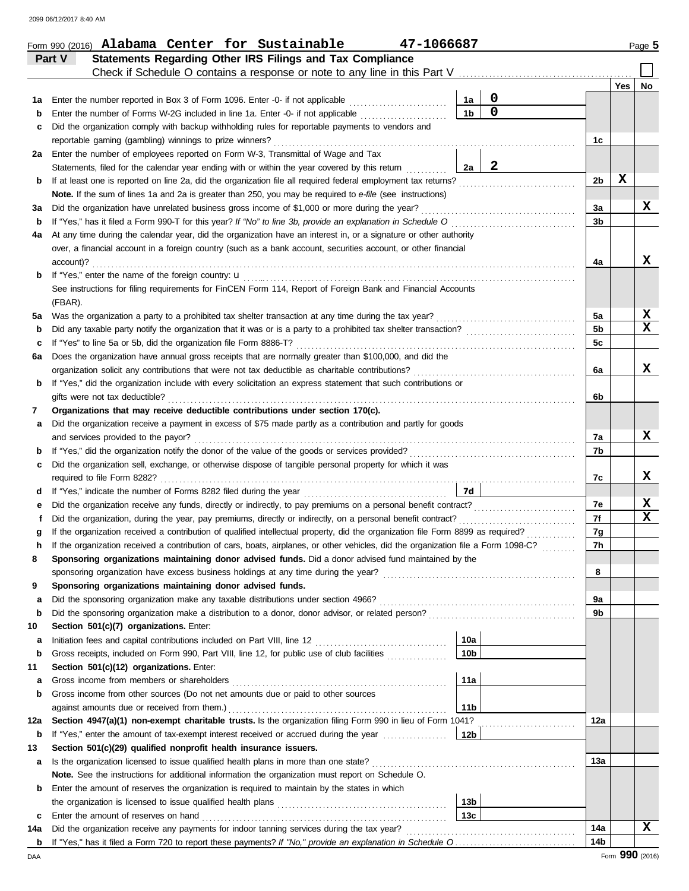|         | Statements Regarding Other IRS Filings and Tax Compliance<br>Part V                                                                                                                 |                      |              |                 |     |                 |
|---------|-------------------------------------------------------------------------------------------------------------------------------------------------------------------------------------|----------------------|--------------|-----------------|-----|-----------------|
|         | Check if Schedule O contains a response or note to any line in this Part V                                                                                                          |                      |              |                 |     |                 |
|         |                                                                                                                                                                                     |                      | $\mathbf 0$  |                 | Yes | No              |
| 1а<br>b | Enter the number reported in Box 3 of Form 1096. Enter -0- if not applicable<br>Enter the number of Forms W-2G included in line 1a. Enter -0- if not applicable <i>minimization</i> | 1a<br>1 <sub>b</sub> | $\mathbf 0$  |                 |     |                 |
| c       | Did the organization comply with backup withholding rules for reportable payments to vendors and                                                                                    |                      |              |                 |     |                 |
|         | reportable gaming (gambling) winnings to prize winners?                                                                                                                             |                      |              | 1c              |     |                 |
| 2a      | Enter the number of employees reported on Form W-3, Transmittal of Wage and Tax                                                                                                     |                      |              |                 |     |                 |
|         | Statements, filed for the calendar year ending with or within the year covered by this return                                                                                       | 2a                   | $\mathbf{2}$ |                 |     |                 |
| b       | If at least one is reported on line 2a, did the organization file all required federal employment tax returns?                                                                      |                      |              | 2b              | X   |                 |
|         | Note. If the sum of lines 1a and 2a is greater than 250, you may be required to e-file (see instructions)                                                                           |                      |              |                 |     |                 |
| За      | Did the organization have unrelated business gross income of \$1,000 or more during the year?                                                                                       |                      |              | 3a              |     | X               |
| b       | If "Yes," has it filed a Form 990-T for this year? If "No" to line 3b, provide an explanation in Schedule O                                                                         |                      |              | 3b              |     |                 |
| 4a      | At any time during the calendar year, did the organization have an interest in, or a signature or other authority                                                                   |                      |              |                 |     |                 |
|         | over, a financial account in a foreign country (such as a bank account, securities account, or other financial                                                                      |                      |              |                 |     |                 |
|         | account)?                                                                                                                                                                           |                      |              | 4a              |     | x               |
| b       | If "Yes," enter the name of the foreign country: <b>u</b>                                                                                                                           |                      |              |                 |     |                 |
|         | See instructions for filing requirements for FinCEN Form 114, Report of Foreign Bank and Financial Accounts                                                                         |                      |              |                 |     |                 |
|         | (FBAR).                                                                                                                                                                             |                      |              |                 |     |                 |
| 5a      | Was the organization a party to a prohibited tax shelter transaction at any time during the tax year?                                                                               |                      |              | 5a              |     | X               |
| b       |                                                                                                                                                                                     |                      |              | 5 <sub>b</sub>  |     | X               |
| c       | If "Yes" to line 5a or 5b, did the organization file Form 8886-T?                                                                                                                   |                      |              | 5c              |     |                 |
| 6а      | Does the organization have annual gross receipts that are normally greater than \$100,000, and did the                                                                              |                      |              |                 |     |                 |
|         | organization solicit any contributions that were not tax deductible as charitable contributions?                                                                                    |                      |              | 6a              |     | x               |
| b       | If "Yes," did the organization include with every solicitation an express statement that such contributions or                                                                      |                      |              |                 |     |                 |
|         | gifts were not tax deductible?                                                                                                                                                      |                      |              | 6b              |     |                 |
| 7       | Organizations that may receive deductible contributions under section 170(c).                                                                                                       |                      |              |                 |     |                 |
| а       | Did the organization receive a payment in excess of \$75 made partly as a contribution and partly for goods                                                                         |                      |              |                 |     |                 |
|         | and services provided to the payor?                                                                                                                                                 |                      |              | 7a              |     | x               |
| b       |                                                                                                                                                                                     |                      |              | 7b              |     |                 |
| c       | Did the organization sell, exchange, or otherwise dispose of tangible personal property for which it was                                                                            |                      |              |                 |     |                 |
|         |                                                                                                                                                                                     |                      |              | 7c              |     | x               |
| d       |                                                                                                                                                                                     | 7d                   |              |                 |     |                 |
| е       |                                                                                                                                                                                     |                      |              | 7e              |     | X               |
| f       | Did the organization, during the year, pay premiums, directly or indirectly, on a personal benefit contract?                                                                        |                      |              | 7f              |     | X               |
| g       | If the organization received a contribution of qualified intellectual property, did the organization file Form 8899 as required?                                                    |                      |              | 7g              |     |                 |
| h       | If the organization received a contribution of cars, boats, airplanes, or other vehicles, did the organization file a Form 1098-C?                                                  |                      |              | 7h              |     |                 |
|         | Sponsoring organizations maintaining donor advised funds. Did a donor advised fund maintained by the                                                                                |                      |              |                 |     |                 |
|         | sponsoring organization have excess business holdings at any time during the year?                                                                                                  |                      |              | 8               |     |                 |
| 9       | Sponsoring organizations maintaining donor advised funds.                                                                                                                           |                      |              |                 |     |                 |
| а       | Did the sponsoring organization make any taxable distributions under section 4966?                                                                                                  |                      |              | 9а              |     |                 |
| b<br>10 | Section 501(c)(7) organizations. Enter:                                                                                                                                             |                      |              | 9b              |     |                 |
|         |                                                                                                                                                                                     | 10a                  |              |                 |     |                 |
| а<br>b  | Gross receipts, included on Form 990, Part VIII, line 12, for public use of club facilities                                                                                         | 10 <sub>b</sub>      |              |                 |     |                 |
| 11      | Section 501(c)(12) organizations. Enter:                                                                                                                                            |                      |              |                 |     |                 |
| а       | Gross income from members or shareholders                                                                                                                                           | 11a                  |              |                 |     |                 |
| b       | Gross income from other sources (Do not net amounts due or paid to other sources                                                                                                    |                      |              |                 |     |                 |
|         | against amounts due or received from them.)                                                                                                                                         | 11 <sub>b</sub>      |              |                 |     |                 |
| 12a     | Section 4947(a)(1) non-exempt charitable trusts. Is the organization filing Form 990 in lieu of Form 1041?                                                                          |                      |              | 12a             |     |                 |
| b       | If "Yes," enter the amount of tax-exempt interest received or accrued during the year                                                                                               | 12b                  |              |                 |     |                 |
| 13      | Section 501(c)(29) qualified nonprofit health insurance issuers.                                                                                                                    |                      |              |                 |     |                 |
| а       | Is the organization licensed to issue qualified health plans in more than one state?                                                                                                |                      |              | 13а             |     |                 |
|         | Note. See the instructions for additional information the organization must report on Schedule O.                                                                                   |                      |              |                 |     |                 |
| b       | Enter the amount of reserves the organization is required to maintain by the states in which                                                                                        |                      |              |                 |     |                 |
|         |                                                                                                                                                                                     | 13 <sub>b</sub>      |              |                 |     |                 |
| c       | Enter the amount of reserves on hand                                                                                                                                                | 13 <sub>c</sub>      |              |                 |     |                 |
| 14a     | Did the organization receive any payments for indoor tanning services during the tax year?                                                                                          |                      |              | 14a             |     | x               |
| b       |                                                                                                                                                                                     |                      |              | 14 <sub>b</sub> |     |                 |
| DAA     |                                                                                                                                                                                     |                      |              |                 |     | Form 990 (2016) |

Form 990 (2016) Page **5 Alabama Center for Sustainable 47-1066687**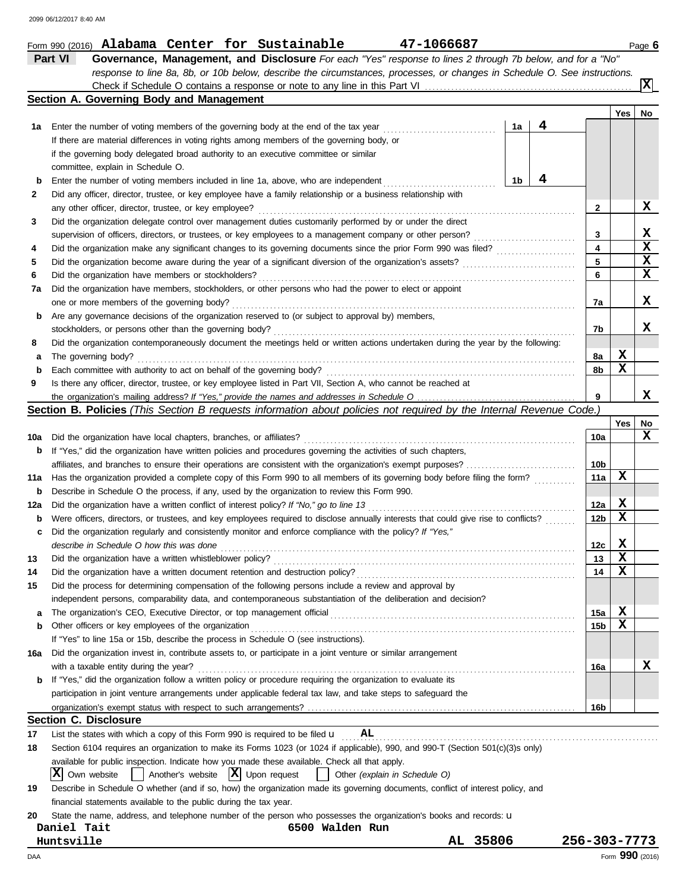|     | Part VI<br>Governance, Management, and Disclosure For each "Yes" response to lines 2 through 7b below, and for a "No"                    |                 |                 |             |
|-----|------------------------------------------------------------------------------------------------------------------------------------------|-----------------|-----------------|-------------|
|     | response to line 8a, 8b, or 10b below, describe the circumstances, processes, or changes in Schedule O. See instructions.                |                 |                 |             |
|     |                                                                                                                                          |                 |                 | x           |
|     | Section A. Governing Body and Management                                                                                                 |                 |                 |             |
|     |                                                                                                                                          |                 | Yes             | No          |
| 1a  | 4<br>Enter the number of voting members of the governing body at the end of the tax year<br>1a                                           |                 |                 |             |
|     | If there are material differences in voting rights among members of the governing body, or                                               |                 |                 |             |
|     | if the governing body delegated broad authority to an executive committee or similar                                                     |                 |                 |             |
|     | committee, explain in Schedule O.                                                                                                        |                 |                 |             |
| b   | 4<br>Enter the number of voting members included in line 1a, above, who are independent<br>1b                                            |                 |                 |             |
|     |                                                                                                                                          |                 |                 |             |
| 2   | Did any officer, director, trustee, or key employee have a family relationship or a business relationship with                           |                 |                 |             |
|     | any other officer, director, trustee, or key employee?                                                                                   | 2               |                 | x           |
| 3   | Did the organization delegate control over management duties customarily performed by or under the direct                                |                 |                 |             |
|     | supervision of officers, directors, or trustees, or key employees to a management company or other person?                               | 3               |                 | x           |
| 4   |                                                                                                                                          | 4               |                 | $\mathbf x$ |
| 5   |                                                                                                                                          | 5               |                 | X           |
| 6   | Did the organization have members or stockholders?                                                                                       | 6               |                 | X           |
| 7a  | Did the organization have members, stockholders, or other persons who had the power to elect or appoint                                  |                 |                 |             |
|     | one or more members of the governing body?                                                                                               | 7а              |                 | X           |
| b   | Are any governance decisions of the organization reserved to (or subject to approval by) members,                                        |                 |                 |             |
|     | stockholders, or persons other than the governing body?                                                                                  | 7b              |                 | x           |
| 8   | Did the organization contemporaneously document the meetings held or written actions undertaken during the year by the following:        |                 |                 |             |
| а   | The governing body?                                                                                                                      | 8а              | X               |             |
| b   | Each committee with authority to act on behalf of the governing body?                                                                    | 8b              | X               |             |
| 9   | Is there any officer, director, trustee, or key employee listed in Part VII, Section A, who cannot be reached at                         |                 |                 |             |
|     |                                                                                                                                          | 9               |                 | x           |
|     | Section B. Policies (This Section B requests information about policies not required by the Internal Revenue Code.)                      |                 |                 |             |
|     |                                                                                                                                          |                 |                 |             |
|     |                                                                                                                                          |                 | Yes             | No<br>x     |
| 10a | Did the organization have local chapters, branches, or affiliates?                                                                       | 10a             |                 |             |
| b   | If "Yes," did the organization have written policies and procedures governing the activities of such chapters,                           |                 |                 |             |
|     |                                                                                                                                          | 10b             |                 |             |
| 11a | Has the organization provided a complete copy of this Form 990 to all members of its governing body before filing the form?              | 11a             | х               |             |
| b   | Describe in Schedule O the process, if any, used by the organization to review this Form 990.                                            |                 |                 |             |
| 12a | Did the organization have a written conflict of interest policy? If "No," go to line 13                                                  | 12a             | X               |             |
| b   | Were officers, directors, or trustees, and key employees required to disclose annually interests that could give rise to conflicts?      | 12b             | x               |             |
| c   | Did the organization regularly and consistently monitor and enforce compliance with the policy? If "Yes,"                                |                 |                 |             |
|     | describe in Schedule O how this was done                                                                                                 | 12c             | X               |             |
| 13  | Did the organization have a written whistleblower policy?                                                                                | 13              | X               |             |
| 14  | Did the organization have a written document retention and destruction policy?                                                           | 14              | X               |             |
| 15  | Did the process for determining compensation of the following persons include a review and approval by                                   |                 |                 |             |
|     | independent persons, comparability data, and contemporaneous substantiation of the deliberation and decision?                            |                 |                 |             |
| а   |                                                                                                                                          | 15a             | X               |             |
| b   | Other officers or key employees of the organization                                                                                      | 15 <sub>b</sub> | X               |             |
|     | If "Yes" to line 15a or 15b, describe the process in Schedule O (see instructions).                                                      |                 |                 |             |
| 16a | Did the organization invest in, contribute assets to, or participate in a joint venture or similar arrangement                           |                 |                 |             |
|     | with a taxable entity during the year?                                                                                                   |                 |                 | X.          |
|     | If "Yes," did the organization follow a written policy or procedure requiring the organization to evaluate its                           | 16a             |                 |             |
| b   | participation in joint venture arrangements under applicable federal tax law, and take steps to safeguard the                            |                 |                 |             |
|     |                                                                                                                                          |                 |                 |             |
|     |                                                                                                                                          | 16b             |                 |             |
|     | <b>Section C. Disclosure</b>                                                                                                             |                 |                 |             |
| 17  | List the states with which a copy of this Form 990 is required to be filed $\boldsymbol{\cup}$<br>AL                                     |                 |                 |             |
| 18  | Section 6104 requires an organization to make its Forms 1023 (or 1024 if applicable), 990, and 990-T (Section 501(c)(3)s only)           |                 |                 |             |
|     | available for public inspection. Indicate how you made these available. Check all that apply.                                            |                 |                 |             |
|     | $\vert$ Another's website $\vert X \vert$ Upon request<br>$ \mathbf{X} $<br>Other (explain in Schedule O)<br>Own website<br>$\mathbf{I}$ |                 |                 |             |
| 19  | Describe in Schedule O whether (and if so, how) the organization made its governing documents, conflict of interest policy, and          |                 |                 |             |
|     | financial statements available to the public during the tax year.                                                                        |                 |                 |             |
| 20  | State the name, address, and telephone number of the person who possesses the organization's books and records: u                        |                 |                 |             |
|     | 6500 Walden Run<br>Daniel Tait                                                                                                           |                 |                 |             |
|     | AL 35806<br>Huntsville                                                                                                                   | 256-303-7773    |                 |             |
| DAA |                                                                                                                                          |                 | Form 990 (2016) |             |

Form 990 (2016) Page **6 Alabama Center for Sustainable 47-1066687**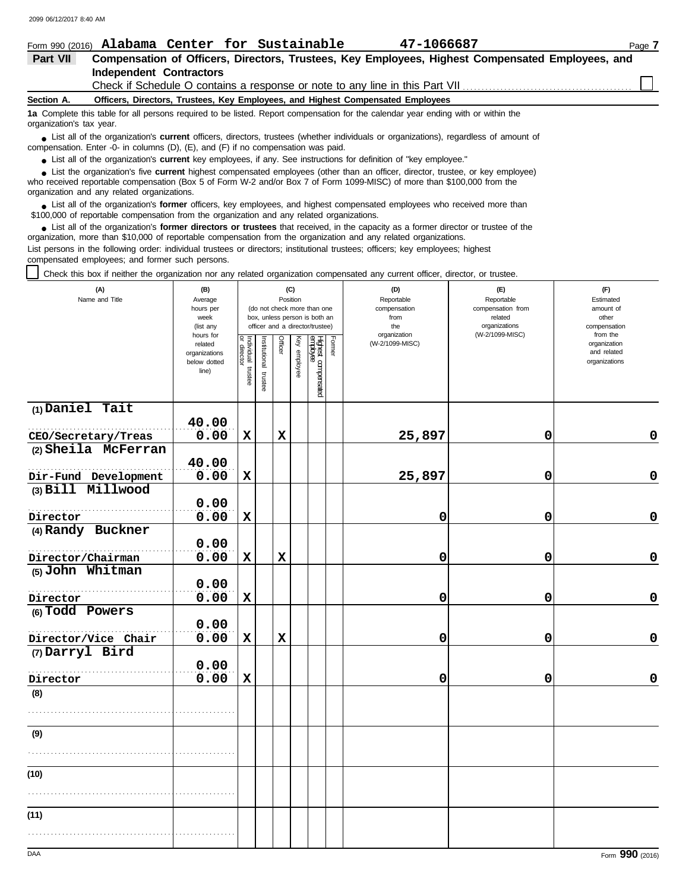|                                                                                               |                                                                                                                                                                                                                                    |  |  | Form 990 (2016) Alabama Center for Sustainable | 47-1066687 | Page 7                                                                                           |  |  |  |  |  |  |
|-----------------------------------------------------------------------------------------------|------------------------------------------------------------------------------------------------------------------------------------------------------------------------------------------------------------------------------------|--|--|------------------------------------------------|------------|--------------------------------------------------------------------------------------------------|--|--|--|--|--|--|
| Part VII                                                                                      |                                                                                                                                                                                                                                    |  |  |                                                |            | Compensation of Officers, Directors, Trustees, Key Employees, Highest Compensated Employees, and |  |  |  |  |  |  |
|                                                                                               | <b>Independent Contractors</b>                                                                                                                                                                                                     |  |  |                                                |            |                                                                                                  |  |  |  |  |  |  |
|                                                                                               |                                                                                                                                                                                                                                    |  |  |                                                |            |                                                                                                  |  |  |  |  |  |  |
| Officers, Directors, Trustees, Key Employees, and Highest Compensated Employees<br>Section A. |                                                                                                                                                                                                                                    |  |  |                                                |            |                                                                                                  |  |  |  |  |  |  |
|                                                                                               | 1a Complete this table for all persons required to be listed. Report compensation for the calendar year ending with or within the<br>organization's tax year.                                                                      |  |  |                                                |            |                                                                                                  |  |  |  |  |  |  |
|                                                                                               | • List all of the organization's <b>current</b> officers, directors, trustees (whether individuals or organizations), regardless of amount of<br>compensation. Enter -0- in columns (D), (E), and (F) if no compensation was paid. |  |  |                                                |            |                                                                                                  |  |  |  |  |  |  |

● List all of the organization's **current** key employees, if any. See instructions for definition of "key employee."

who received reportable compensation (Box 5 of Form W-2 and/or Box 7 of Form 1099-MISC) of more than \$100,000 from the organization and any related organizations. ■ List the organization's five **current** highest compensated employees (other than an officer, director, trustee, or key employee)<br> **•** Pregiund reportable compensation (Box 5 of Ferm W 2 and/or Box 7 of Ferm 1000 MISC) o

■ List all of the organization's **former** officers, key employees, and highest compensated employees who received more than<br> **•** 00.000 of reportable compensation from the examization and any related erganizations \$100,000 of reportable compensation from the organization and any related organizations.

■ List all of the organization's **former directors or trustees** that received, in the capacity as a former director or trustee of the practization more than \$10,000 of reportable compensation from the organization and any organization, more than \$10,000 of reportable compensation from the organization and any related organizations. List persons in the following order: individual trustees or directors; institutional trustees; officers; key employees; highest compensated employees; and former such persons.

Check this box if neither the organization nor any related organization compensated any current officer, director, or trustee.

| (A)<br>Name and Title                  | (B)<br>Average<br>hours per<br>week<br>(list any<br>hours for |                                   |                       | (C)<br>Position |              | (do not check more than one<br>box, unless person is both an<br>officer and a director/trustee) |        | (D)<br>Reportable<br>compensation<br>from<br>the<br>organization | (E)<br>Reportable<br>compensation from<br>related<br>organizations<br>(W-2/1099-MISC) | (F)<br>Estimated<br>amount of<br>other<br>compensation<br>from the |
|----------------------------------------|---------------------------------------------------------------|-----------------------------------|-----------------------|-----------------|--------------|-------------------------------------------------------------------------------------------------|--------|------------------------------------------------------------------|---------------------------------------------------------------------------------------|--------------------------------------------------------------------|
|                                        | related<br>organizations<br>below dotted<br>line)             | Individual trustee<br>or director | Institutional trustee | Officer         | Key employee | Highest compensated<br>empbyee                                                                  | Former | (W-2/1099-MISC)                                                  |                                                                                       | organization<br>and related<br>organizations                       |
| $(1)$ Daniel Tait                      |                                                               |                                   |                       |                 |              |                                                                                                 |        |                                                                  |                                                                                       |                                                                    |
|                                        | 40.00                                                         |                                   |                       |                 |              |                                                                                                 |        |                                                                  |                                                                                       |                                                                    |
| CEO/Secretary/Treas                    | 0.00                                                          | $\mathbf x$                       |                       | $\mathbf x$     |              |                                                                                                 |        | 25,897                                                           | $\mathbf 0$                                                                           | 0                                                                  |
| (2) Sheila McFerran                    | 40.00                                                         |                                   |                       |                 |              |                                                                                                 |        |                                                                  |                                                                                       |                                                                    |
| Dir-Fund Development                   | 0.00                                                          | $\mathbf x$                       |                       |                 |              |                                                                                                 |        | 25,897                                                           | 0                                                                                     | $\mathbf 0$                                                        |
| (3) Bill Millwood                      |                                                               |                                   |                       |                 |              |                                                                                                 |        |                                                                  |                                                                                       |                                                                    |
|                                        | 0.00                                                          |                                   |                       |                 |              |                                                                                                 |        |                                                                  |                                                                                       |                                                                    |
| Director                               | 0.00                                                          | $\mathbf x$                       |                       |                 |              |                                                                                                 |        | 0                                                                | 0                                                                                     | $\pmb{0}$                                                          |
| (4) Randy Buckner                      |                                                               |                                   |                       |                 |              |                                                                                                 |        |                                                                  |                                                                                       |                                                                    |
|                                        | 0.00                                                          |                                   |                       |                 |              |                                                                                                 |        |                                                                  |                                                                                       |                                                                    |
| Director/Chairman                      | 0.00                                                          | $\mathbf x$                       |                       | $\mathbf x$     |              |                                                                                                 |        | 0                                                                | 0                                                                                     | 0                                                                  |
| (5) John Whitman                       | 0.00                                                          |                                   |                       |                 |              |                                                                                                 |        |                                                                  |                                                                                       |                                                                    |
|                                        |                                                               |                                   |                       |                 |              |                                                                                                 |        |                                                                  |                                                                                       | $\mathbf 0$                                                        |
| Director                               | 0.00                                                          | X                                 |                       |                 |              |                                                                                                 |        | 0                                                                | $\mathbf 0$                                                                           |                                                                    |
| (6) Todd Powers                        | 0.00                                                          |                                   |                       |                 |              |                                                                                                 |        |                                                                  |                                                                                       |                                                                    |
|                                        | 0.00                                                          |                                   |                       |                 |              |                                                                                                 |        |                                                                  |                                                                                       |                                                                    |
| Director/Vice Chair<br>(7) Darryl Bird |                                                               | $\mathbf x$                       |                       | $\mathbf x$     |              |                                                                                                 |        | 0                                                                | 0                                                                                     | $\mathbf 0$                                                        |
|                                        | 0.00                                                          |                                   |                       |                 |              |                                                                                                 |        |                                                                  |                                                                                       |                                                                    |
|                                        | 0.00                                                          | $\mathbf x$                       |                       |                 |              |                                                                                                 |        | 0                                                                | 0                                                                                     | 0                                                                  |
| Director                               |                                                               |                                   |                       |                 |              |                                                                                                 |        |                                                                  |                                                                                       |                                                                    |
| (8)                                    |                                                               |                                   |                       |                 |              |                                                                                                 |        |                                                                  |                                                                                       |                                                                    |
|                                        |                                                               |                                   |                       |                 |              |                                                                                                 |        |                                                                  |                                                                                       |                                                                    |
| (9)                                    |                                                               |                                   |                       |                 |              |                                                                                                 |        |                                                                  |                                                                                       |                                                                    |
|                                        |                                                               |                                   |                       |                 |              |                                                                                                 |        |                                                                  |                                                                                       |                                                                    |
|                                        |                                                               |                                   |                       |                 |              |                                                                                                 |        |                                                                  |                                                                                       |                                                                    |
| (10)                                   |                                                               |                                   |                       |                 |              |                                                                                                 |        |                                                                  |                                                                                       |                                                                    |
|                                        |                                                               |                                   |                       |                 |              |                                                                                                 |        |                                                                  |                                                                                       |                                                                    |
| (11)                                   |                                                               |                                   |                       |                 |              |                                                                                                 |        |                                                                  |                                                                                       |                                                                    |
|                                        |                                                               |                                   |                       |                 |              |                                                                                                 |        |                                                                  |                                                                                       |                                                                    |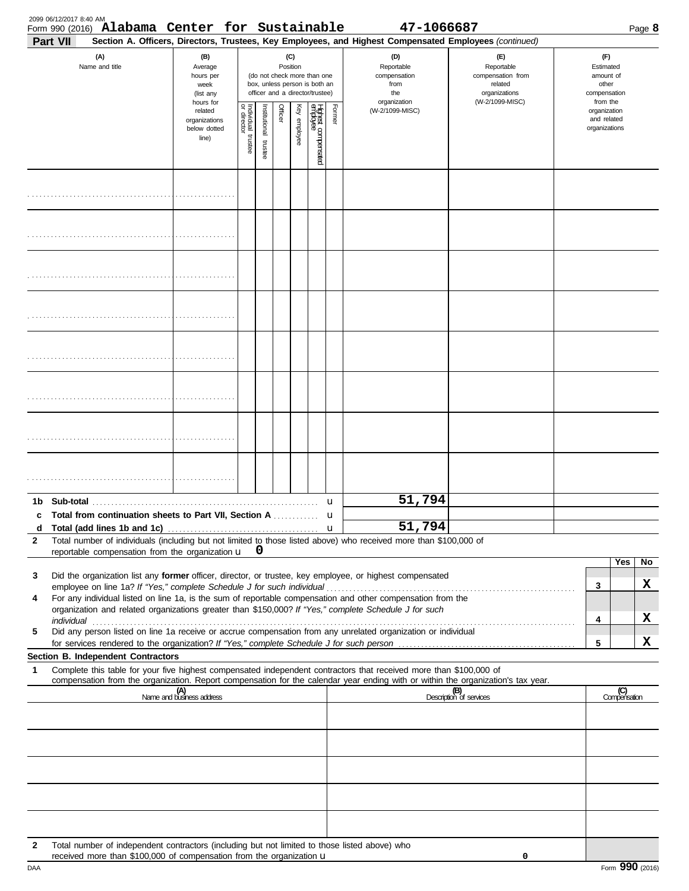| Part VII     | (A)<br>Name and title                                                                                                                                                                                                                                                                                                            | (B)<br>Average<br>hours per                                                                                                                                                                                                                                                                                       |                         |                         |                                                                    |              |                                 |        | Section A. Officers, Directors, Trustees, Key Employees, and Highest Compensated Employees (continued) |                                |        |                                              |                     |
|--------------|----------------------------------------------------------------------------------------------------------------------------------------------------------------------------------------------------------------------------------------------------------------------------------------------------------------------------------|-------------------------------------------------------------------------------------------------------------------------------------------------------------------------------------------------------------------------------------------------------------------------------------------------------------------|-------------------------|-------------------------|--------------------------------------------------------------------|--------------|---------------------------------|--------|--------------------------------------------------------------------------------------------------------|--------------------------------|--------|----------------------------------------------|---------------------|
|              |                                                                                                                                                                                                                                                                                                                                  | (D)<br>(C)<br>(E)<br>Position<br>Reportable<br>Reportable<br>(do not check more than one<br>compensation<br>compensation from<br>box, unless person is both an<br>related<br>from<br>week<br>officer and a director/trustee)<br>the<br>organizations<br>(list any<br>organization<br>(W-2/1099-MISC)<br>hours for |                         |                         | (F)<br>Estimated<br>amount of<br>other<br>compensation<br>from the |              |                                 |        |                                                                                                        |                                |        |                                              |                     |
|              |                                                                                                                                                                                                                                                                                                                                  | related<br>organizations<br>below dotted<br>line)                                                                                                                                                                                                                                                                 | Individual 1<br>trustee | nstitutional<br>trustee | Officer                                                            | Key employee | Highest compensated<br>employee | Former | (W-2/1099-MISC)                                                                                        |                                |        | organization<br>and related<br>organizations |                     |
|              |                                                                                                                                                                                                                                                                                                                                  |                                                                                                                                                                                                                                                                                                                   |                         |                         |                                                                    |              |                                 |        |                                                                                                        |                                |        |                                              |                     |
|              |                                                                                                                                                                                                                                                                                                                                  |                                                                                                                                                                                                                                                                                                                   |                         |                         |                                                                    |              |                                 |        |                                                                                                        |                                |        |                                              |                     |
|              |                                                                                                                                                                                                                                                                                                                                  |                                                                                                                                                                                                                                                                                                                   |                         |                         |                                                                    |              |                                 |        |                                                                                                        |                                |        |                                              |                     |
|              |                                                                                                                                                                                                                                                                                                                                  |                                                                                                                                                                                                                                                                                                                   |                         |                         |                                                                    |              |                                 |        |                                                                                                        |                                |        |                                              |                     |
|              |                                                                                                                                                                                                                                                                                                                                  |                                                                                                                                                                                                                                                                                                                   |                         |                         |                                                                    |              |                                 |        |                                                                                                        |                                |        |                                              |                     |
|              |                                                                                                                                                                                                                                                                                                                                  |                                                                                                                                                                                                                                                                                                                   |                         |                         |                                                                    |              |                                 |        |                                                                                                        |                                |        |                                              |                     |
|              |                                                                                                                                                                                                                                                                                                                                  |                                                                                                                                                                                                                                                                                                                   |                         |                         |                                                                    |              |                                 |        |                                                                                                        |                                |        |                                              |                     |
|              |                                                                                                                                                                                                                                                                                                                                  |                                                                                                                                                                                                                                                                                                                   |                         |                         |                                                                    |              |                                 |        |                                                                                                        |                                |        |                                              |                     |
|              | Total from continuation sheets to Part VII, Section A                                                                                                                                                                                                                                                                            |                                                                                                                                                                                                                                                                                                                   |                         |                         |                                                                    |              |                                 | u      | 51,794                                                                                                 |                                |        |                                              |                     |
| d            |                                                                                                                                                                                                                                                                                                                                  |                                                                                                                                                                                                                                                                                                                   |                         |                         |                                                                    |              |                                 |        | 51,794                                                                                                 |                                |        |                                              |                     |
| $\mathbf{2}$ | Total number of individuals (including but not limited to those listed above) who received more than \$100,000 of<br>reportable compensation from the organization $\mathbf{u}$ $\mathbf{0}$                                                                                                                                     |                                                                                                                                                                                                                                                                                                                   |                         |                         |                                                                    |              |                                 |        |                                                                                                        |                                |        |                                              |                     |
| 3<br>4       | Did the organization list any former officer, director, or trustee, key employee, or highest compensated<br>For any individual listed on line 1a, is the sum of reportable compensation and other compensation from the<br>organization and related organizations greater than \$150,000? If "Yes," complete Schedule J for such |                                                                                                                                                                                                                                                                                                                   |                         |                         |                                                                    |              |                                 |        |                                                                                                        |                                | 3      |                                              | Yes<br>No<br>X      |
| 5            | Did any person listed on line 1a receive or accrue compensation from any unrelated organization or individual                                                                                                                                                                                                                    |                                                                                                                                                                                                                                                                                                                   |                         |                         |                                                                    |              |                                 |        |                                                                                                        |                                | 4<br>5 |                                              | X<br>X              |
|              | Section B. Independent Contractors                                                                                                                                                                                                                                                                                               |                                                                                                                                                                                                                                                                                                                   |                         |                         |                                                                    |              |                                 |        |                                                                                                        |                                |        |                                              |                     |
| 1            | Complete this table for your five highest compensated independent contractors that received more than \$100,000 of<br>compensation from the organization. Report compensation for the calendar year ending with or within the organization's tax year.                                                                           |                                                                                                                                                                                                                                                                                                                   |                         |                         |                                                                    |              |                                 |        |                                                                                                        |                                |        |                                              |                     |
|              |                                                                                                                                                                                                                                                                                                                                  | (A)<br>Name and business address                                                                                                                                                                                                                                                                                  |                         |                         |                                                                    |              |                                 |        |                                                                                                        | (B)<br>Description of services |        |                                              | (C)<br>Compensation |
|              |                                                                                                                                                                                                                                                                                                                                  |                                                                                                                                                                                                                                                                                                                   |                         |                         |                                                                    |              |                                 |        |                                                                                                        |                                |        |                                              |                     |
|              |                                                                                                                                                                                                                                                                                                                                  |                                                                                                                                                                                                                                                                                                                   |                         |                         |                                                                    |              |                                 |        |                                                                                                        |                                |        |                                              |                     |
|              |                                                                                                                                                                                                                                                                                                                                  |                                                                                                                                                                                                                                                                                                                   |                         |                         |                                                                    |              |                                 |        |                                                                                                        |                                |        |                                              |                     |
| $\mathbf{2}$ | Total number of independent contractors (including but not limited to those listed above) who                                                                                                                                                                                                                                    |                                                                                                                                                                                                                                                                                                                   |                         |                         |                                                                    |              |                                 |        |                                                                                                        |                                |        |                                              |                     |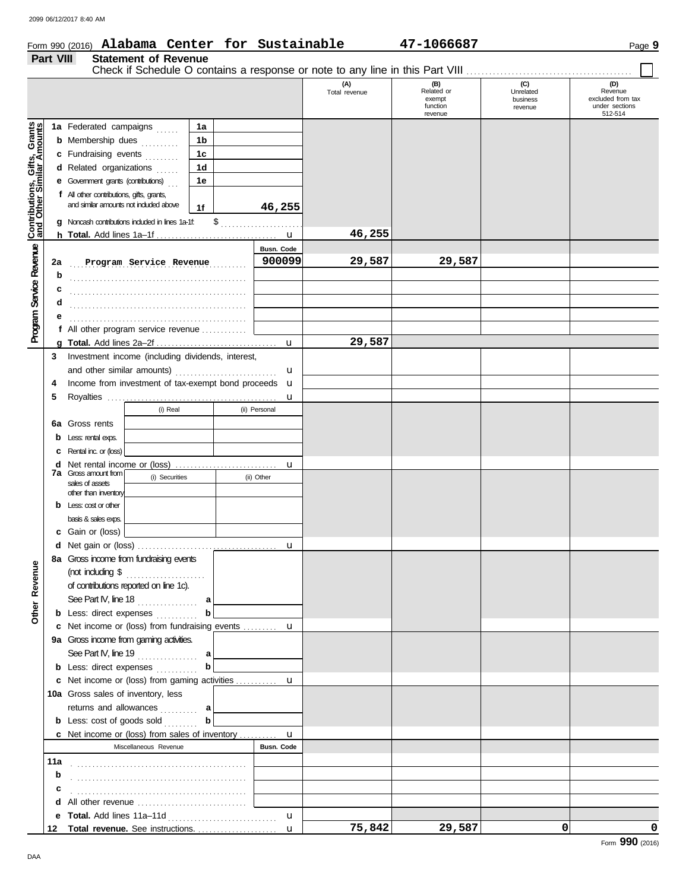DAA

|                                                             |           | Form 990 (2016) Alabama Center for Sustainable                                     |                |    |               |                      | 47-1066687                                         |                                         | Page 9                                                           |
|-------------------------------------------------------------|-----------|------------------------------------------------------------------------------------|----------------|----|---------------|----------------------|----------------------------------------------------|-----------------------------------------|------------------------------------------------------------------|
|                                                             | Part VIII | <b>Statement of Revenue</b>                                                        |                |    |               |                      |                                                    |                                         |                                                                  |
|                                                             |           |                                                                                    |                |    |               |                      |                                                    |                                         |                                                                  |
|                                                             |           |                                                                                    |                |    |               | (A)<br>Total revenue | (B)<br>Related or<br>exempt<br>function<br>revenue | (C)<br>Unrelated<br>business<br>revenue | (D)<br>Revenue<br>excluded from tax<br>under sections<br>512-514 |
|                                                             |           | 1a Federated campaigns                                                             | 1a             |    |               |                      |                                                    |                                         |                                                                  |
|                                                             |           | <b>b</b> Membership dues <i>minimal</i>                                            | 1 <sub>b</sub> |    |               |                      |                                                    |                                         |                                                                  |
|                                                             |           | c Fundraising events                                                               | 1 <sub>c</sub> |    |               |                      |                                                    |                                         |                                                                  |
|                                                             |           | d Related organizations<br>.<br>.                                                  | 1 <sub>d</sub> |    |               |                      |                                                    |                                         |                                                                  |
|                                                             |           | e Government grants (contributions)                                                | 1e             |    |               |                      |                                                    |                                         |                                                                  |
| <b>Program Service Revenue Contributions, Gifts, Grants</b> |           | f All other contributions, gifts, grants,<br>and similar amounts not induded above | 1f             |    | 46,255        |                      |                                                    |                                         |                                                                  |
|                                                             |           | g Noncash contributions included in lines 1a-1f.                                   |                | \$ |               |                      |                                                    |                                         |                                                                  |
|                                                             |           |                                                                                    |                |    | u             | 46,255               |                                                    |                                         |                                                                  |
|                                                             |           |                                                                                    |                |    | Busn. Code    |                      |                                                    |                                         |                                                                  |
|                                                             | 2a        | Program Service Revenue                                                            |                |    | 900099        | 29,587               | 29,587                                             |                                         |                                                                  |
|                                                             | b         |                                                                                    |                |    |               |                      |                                                    |                                         |                                                                  |
|                                                             | c         |                                                                                    |                |    |               |                      |                                                    |                                         |                                                                  |
|                                                             | d         |                                                                                    |                |    |               |                      |                                                    |                                         |                                                                  |
|                                                             |           |                                                                                    |                |    |               |                      |                                                    |                                         |                                                                  |
|                                                             |           | f All other program service revenue                                                |                |    |               |                      |                                                    |                                         |                                                                  |
|                                                             | a         |                                                                                    |                |    | u             | 29,587               |                                                    |                                         |                                                                  |
|                                                             | 3         | Investment income (including dividends, interest,                                  |                |    |               |                      |                                                    |                                         |                                                                  |
|                                                             |           | and other similar amounts)                                                         |                |    | u             |                      |                                                    |                                         |                                                                  |
|                                                             | 4         | Income from investment of tax-exempt bond proceeds                                 |                |    | u             |                      |                                                    |                                         |                                                                  |
|                                                             | 5         |                                                                                    |                |    | u             |                      |                                                    |                                         |                                                                  |
|                                                             |           | (i) Real                                                                           |                |    | (ii) Personal |                      |                                                    |                                         |                                                                  |
|                                                             | 6а        | Gross rents                                                                        |                |    |               |                      |                                                    |                                         |                                                                  |
|                                                             | b         | Less: rental exps.                                                                 |                |    |               |                      |                                                    |                                         |                                                                  |
|                                                             |           | Rental inc. or (loss)                                                              |                |    |               |                      |                                                    |                                         |                                                                  |
|                                                             | d         | <b>7a</b> Gross amount from<br>(i) Securities<br>sales of assets                   |                |    | u             |                      |                                                    |                                         |                                                                  |
|                                                             |           |                                                                                    |                |    | (ii) Other    |                      |                                                    |                                         |                                                                  |
|                                                             |           | other than inventory                                                               |                |    |               |                      |                                                    |                                         |                                                                  |
|                                                             |           | Less: cost or other                                                                |                |    |               |                      |                                                    |                                         |                                                                  |
|                                                             |           | basis & sales exps.                                                                |                |    |               |                      |                                                    |                                         |                                                                  |
|                                                             |           | <b>c</b> Gain or (loss)                                                            |                |    |               |                      |                                                    |                                         |                                                                  |
|                                                             |           |                                                                                    |                |    |               |                      |                                                    |                                         |                                                                  |
|                                                             |           | 8a Gross income from fundraising events                                            |                |    |               |                      |                                                    |                                         |                                                                  |
|                                                             |           |                                                                                    |                |    |               |                      |                                                    |                                         |                                                                  |
|                                                             |           | of contributions reported on line 1c).                                             |                |    |               |                      |                                                    |                                         |                                                                  |
|                                                             |           | See Part IV, line 18 $\ldots$ a                                                    |                |    |               |                      |                                                    |                                         |                                                                  |
| <b>Other Revenue</b>                                        |           | <b>b</b> Less: direct expenses $\ldots$                                            | b              |    |               |                      |                                                    |                                         |                                                                  |
|                                                             |           | c Net income or (loss) from fundraising events  u                                  |                |    |               |                      |                                                    |                                         |                                                                  |
|                                                             |           | 9a Gross income from gaming activities.                                            |                |    |               |                      |                                                    |                                         |                                                                  |
|                                                             |           | See Part IV, line 19 $\ldots$ a                                                    |                |    |               |                      |                                                    |                                         |                                                                  |
|                                                             |           | <b>b</b> Less: direct expenses <i>minimum</i>                                      | $\mathbf b$    |    |               |                      |                                                    |                                         |                                                                  |
|                                                             |           |                                                                                    |                |    |               |                      |                                                    |                                         |                                                                  |
|                                                             |           | 10a Gross sales of inventory, less                                                 |                |    |               |                      |                                                    |                                         |                                                                  |
|                                                             |           | returns and allowances  a                                                          |                |    |               |                      |                                                    |                                         |                                                                  |
|                                                             |           | <b>b</b> Less: cost of goods sold                                                  | $\mathbf b$    |    |               |                      |                                                    |                                         |                                                                  |
|                                                             |           |                                                                                    |                |    |               |                      |                                                    |                                         |                                                                  |
|                                                             |           | Miscellaneous Revenue                                                              |                |    | Busn. Code    |                      |                                                    |                                         |                                                                  |
|                                                             |           |                                                                                    |                |    |               |                      |                                                    |                                         |                                                                  |
|                                                             | b         |                                                                                    |                |    |               |                      |                                                    |                                         |                                                                  |
|                                                             | с         |                                                                                    |                |    |               |                      |                                                    |                                         |                                                                  |
|                                                             |           |                                                                                    |                |    |               |                      |                                                    |                                         |                                                                  |
|                                                             |           |                                                                                    |                |    | u             |                      |                                                    |                                         |                                                                  |
|                                                             |           |                                                                                    |                |    |               | 75,842               | 29,587                                             | 0                                       | 0                                                                |

## Form **990** (2016)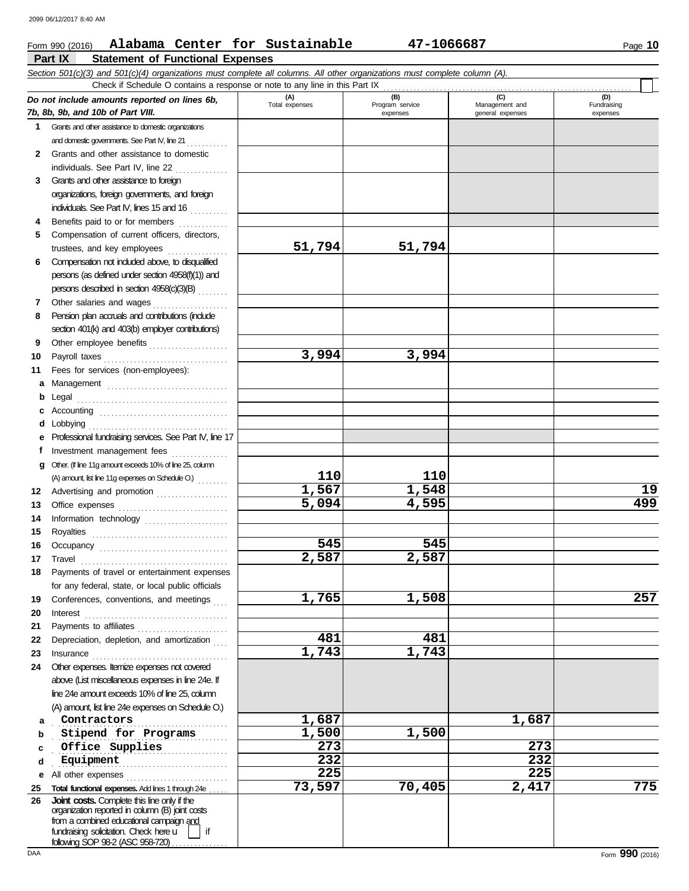### **Part IX Statement of Functional Expenses** Form 990 (2016) Page **10 Alabama Center for Sustainable 47-1066687** *Section 501(c)(3) and 501(c)(4) organizations must complete all columns. All other organizations must complete column (A). Do not include amounts reported on lines 6b, 7b, 8b, 9b, and 10b of Part VIII.* **1 2 3** Grants and other assistance to foreign **4 5** Grants and other assistance to domestic organizations and domestic governments. See Part IV, line 21 Grants and other assistance to domestic individuals. See Part IV, line 22 . . . . . . . . . . . . . . organizations, foreign governments, and foreign individuals. See Part IV, lines 15 and 16 Benefits paid to or for members .............. Compensation of current officers, directors, trustees, and key employees . . . . . . . . . . . . . . . . **(A) (B) (C) (D)** Management and expenses **general** expenses Check if Schedule O contains a response or note to any line in this Part IX **51,794 51,794**

## **6** Compensation not included above, to disqualified **7** persons (as defined under section 4958(f)(1)) and

- **8 9**
- **10 11** Fees for services (non-employees):
- Other salaries and wages . . . . . . . . . . . . . . . . . . . . Pension plan accruals and contributions (include
- Other employee benefits ..................... Payroll taxes . . . . . . . . . . . . . . . . . . . . . . . . . . . . . . . . .
	- **b** Legal . . . . . . . . . . . . . . . . . . . . . . . . . . . . . . . . . . . . . . . . **c** Accounting . . . . . . . . . . . . . . . . . . . . . . . . . . . . . . . . . . **d** Lobbying . . . . . . . . . . . . . . . . . . . . . . . . . . . . . . . . . . . . . **e** Professional fundraising services. See Part IV, line 17 Investment management fees ................
- 
- persons described in section 4958(c)(3)(B) . . . . . . . .
- section 401(k) and 403(b) employer contributions)
- 
- **a** Management .................................

**g** Other. (If line 11g amount exceeds 10% of line 25, column

**12** Advertising and promotion . . . . . . . . . . . . . . . . . .

Office expenses . . . . . . . . . . . . . . . . . . . . . . . . . . . . . Information technology ...................... Royalties . . . . . . . . . . . . . . . . . . . . . . . . . . . . . . . . . . . . Occupancy . . . . . . . . . . . . . . . . . . . . . . . . . . . . . . . . . . Travel . . . . . . . . . . . . . . . . . . . . . . . . . . . . . . . . . . . . . . . Payments of travel or entertainment expenses for any federal, state, or local public officials Conferences, conventions, and meetings Interest . . . . . . . . . . . . . . . . . . . . . . . . . . . . . . . . . . . . . . Payments to affiliates . . . . . . . . . . . . . . . . . . . . . . . .

(A) amount, list line 11g expenses on Schedule O.)  $\ldots \ldots$ 

**22** Depreciation, depletion, and amortization ...

Insurance . . . . . . . . . . . . . . . . . . . . . . . . . . . . . . . . . . . .

above (List miscellaneous expenses in line 24e. If line 24e amount exceeds 10% of line 25, column (A) amount, list line 24e expenses on Schedule O.)

**e** All other expenses . . . . . . . . . . . . . . . . . . . . . . . . . . . **25 Total functional expenses.** Add lines 1 through 24e . . . . .

fundraising solicitation. Check here  $\mathsf{u}$  | if organization reported in column (B) joint costs from a combined educational campaign and

**Joint costs.** Complete this line only if the

following SOP 98-2 (ASC 958-720)

**24** Other expenses. Itemize expenses not covered

- 
- 
- 
- 
- **3,994 3,994**

**110 110**

**545 545**

**481 481**

**2,587 2,587**

**225 225**

**1,567 1,548 19 5,094 4,595 499**

**1,765 1,508 257**

**73,597 70,405 2,417 775**

**contractors 1,687 1,687** 

**1,743 1,743**

. . . . . . . . . . . . . . . . . . . . . . . . . . . . . . . . . . . . . . . . . . . . . . **Office Supplies 273 273** . . . . . . . . . . . . . . . . . . . . . . . . . . . . . . . . . . . . . . . . . . . . . . **Equipment 232 232**

**stipend for Programs 1,500 1,500** 

Fundraising expenses

**26**

**f**

**19 20 21**

**23**

**a b c d**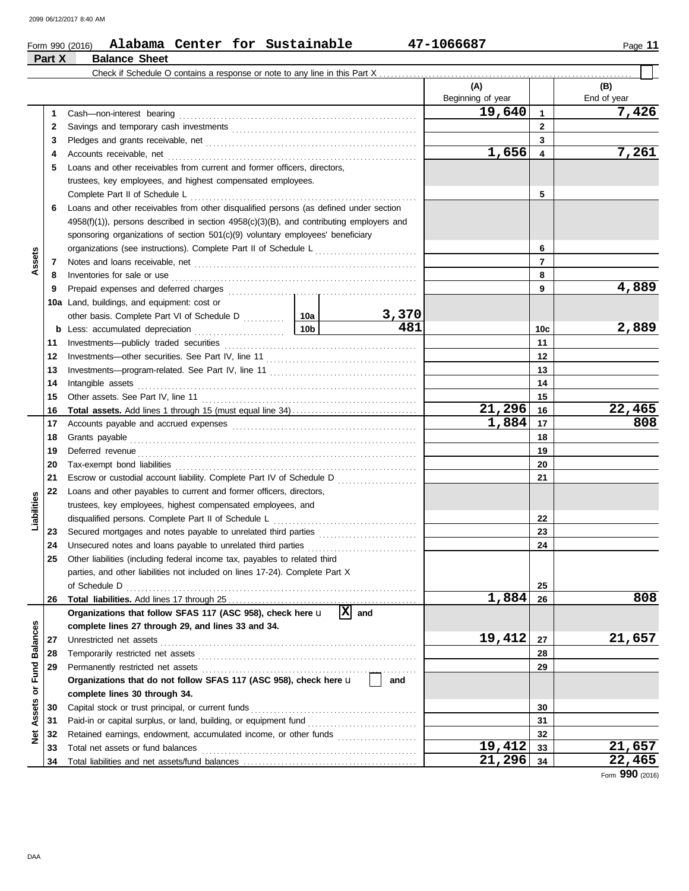|  | age |  |
|--|-----|--|
|--|-----|--|

### Form 990 (2016) Page **11 Alabama Center for Sustainable 47-1066687 Part X Balance Sheet** Check if Schedule O contains a response or note to any line in this Part X **(A) (B)** Beginning of year  $\vert$  | End of year **19,640 7,426** Cash—non-interest bearing . . . . . . . . . . . . . . . . . . . . . . . . . . . . . . . . . . . . . . . . . . . . . . . . . . . . . . . . . . . . . . . **1 1** Savings and temporary cash investments . . . . . . . . . . . . . . . . . . . . . . . . . . . . . . . . . . . . . . . . . . . . . . . . . **2 2 3 3** Pledges and grants receivable, net . . . . . . . . . . . . . . . . . . . . . . . . . . . . . . . . . . . . . . . . . . . . . . . . . . . . . . . . **1,656 7,261 4 4** Accounts receivable, net . . . . . . . . . . . . . . . . . . . . . . . . . . . . . . . . . . . . . . . . . . . . . . . . . . . . . . . . . . . . . . . . . . **5** Loans and other receivables from current and former officers, directors, trustees, key employees, and highest compensated employees. Complete Part II of Schedule L . . . . . . . . . . . . . . . . . . . . . . . . . . . . . . . . . . . . . . . . . . . . . . . . . . . . . . . . . . . . **5 6** Loans and other receivables from other disqualified persons (as defined under section 4958(f)(1)), persons described in section 4958(c)(3)(B), and contributing employers and sponsoring organizations of section 501(c)(9) voluntary employees' beneficiary organizations (see instructions). Complete Part II of Schedule L . . . . . . . . . . . . . . . . . . . . . . . . . . . **6 Assets 7 7** Notes and loans receivable, net . . . . . . . . . . . . . . . . . . . . . . . . . . . . . . . . . . . . . . . . . . . . . . . . . . . . . . . . . . . Inventories for sale or use . . . . . . . . . . . . . . . . . . . . . . . . . . . . . . . . . . . . . . . . . . . . . . . . . . . . . . . . . . . . . . . . . **8 8** Prepaid expenses and deferred charges . . . . . . . . . . . . . . . . . . . . . . . . . . . . . . . . . . . . . . . . . . . . . . . . . . **4,889 9 9 10a** Land, buildings, and equipment: cost or **3,370** other basis. Complete Part VI of Schedule D . . . . . . . . . 10a **10b 481 2,889 10c b** Less: accumulated depreciation . . . . . . . . . . . . . . . . . . . . . . . . Investments—publicly traded securities . . . . . . . . . . . . . . . . . . . . . . . . . . . . . . . . . . . . . . . . . . . . . . . . . . . **11 11** Investments—other securities. See Part IV, line 11 . . . . . . . . . . . . . . . . . . . . . . . . . . . . . . . . . . . . . . . . **12 12** Investments—program-related. See Part IV, line 11 . . . . . . . . . . . . . . . . . . . . . . . . . . . . . . . . . . . . . . . **13 13** Intangible assets . . . . . . . . . . . . . . . . . . . . . . . . . . . . . . . . . . . . . . . . . . . . . . . . . . . . . . . . . . . . . . . . . . . . . . . . . . **14 14 15** Other assets. See Part IV, line 11 . . . . . . . . . . . . . . . . . . . . . . . . . . . . . . . . . . . . . . . . . . . . . . . . . . . . . . . . . **15 21,296 22,465 16 Total assets.** Add lines 1 through 15 (must equal line 34) . . . . . . . . . . . . . . . . . . . . . . . . . . . . . . . . . **16 1,884 808** Accounts payable and accrued expenses . . . . . . . . . . . . . . . . . . . . . . . . . . . . . . . . . . . . . . . . . . . . . . . . . **17 17 18** Grants payable . . . . . . . . . . . . . . . . . . . . . . . . . . . . . . . . . . . . . . . . . . . . . . . . . . . . . . . . . . . . . . . . . . . . . . . . . . . . **18 19** Deferred revenue . . . . . . . . . . . . . . . . . . . . . . . . . . . . . . . . . . . . . . . . . . . . . . . . . . . . . . . . . . . . . . . . . . . . . . . . . . **19** Tax-exempt bond liabilities . . . . . . . . . . . . . . . . . . . . . . . . . . . . . . . . . . . . . . . . . . . . . . . . . . . . . . . . . . . . . . . . **20 20** Escrow or custodial account liability. Complete Part IV of Schedule D . . . . . . . . . . . . . . . . . . . . . **21 21 22** Loans and other payables to current and former officers, directors, **Liabilities** trustees, key employees, highest compensated employees, and disqualified persons. Complete Part II of Schedule L . . . . . . . . . . . . . . . . . . . . . . . . . . . . . . . . . . . . . . **22** Secured mortgages and notes payable to unrelated third parties ......................... **23 23** Unsecured notes and loans payable to unrelated third parties . . . . . . . . . . . . . . . . . . . . . . . . . . . . . **24 24 25** Other liabilities (including federal income tax, payables to related third parties, and other liabilities not included on lines 17-24). Complete Part X of Schedule D . . . . . . . . . . . . . . . . . . . . . . . . . . . . . . . . . . . . . . . . . . . . . . . . . . . . . . . . . . . . . . . . . . . . . . . . . . . . . **25 1,884 808 26** Total liabilities. Add lines 17 through 25 **26 Organizations that follow SFAS 117 (ASC 958), check here** u **and X Balances Net Assets or Fund Balances complete lines 27 through 29, and lines 33 and 34.** Unrestricted net assets . . . . . . . . . . . . . . . . . . . . . . . . . . . . . . . . . . . . . . . . . . . . . . . . . . . . . . . . . . . . . . . . . . . . **19,412 21,657 27 27** Temporarily restricted net assets . . . . . . . . . . . . . . . . . . . . . . . . . . . . . . . . . . . . . . . . . . . . . . . . . . . . . . . . . . **28 28 Net Assets or Fund 29 29** Permanently restricted net assets . . . . . . . . . . . . . . . . . . . . . . . . . . . . . . . . . . . . . . . . . . . . . . . . . . . . . . . . . **Organizations that do not follow SFAS 117 (ASC 958), check here** u **and complete lines 30 through 34.** Capital stock or trust principal, or current funds . . . . . . . . . . . . . . . . . . . . . . . . . . . . . . . . . . . . . . . . . . . . **30 30 31** Paid-in or capital surplus, or land, building, or equipment fund ................................... **31** Retained earnings, endowment, accumulated income, or other funds ...................... **32 32** Total net assets or fund balances . . . . . . . . . . . . . . . . . . . . . . . . . . . . . . . . . . . . . . . . . . . . . . . . . . . . . . . . . **19,412 21,657 33 33** Total liabilities and net assets/fund balances ................................. **21,296 22,465 34 34**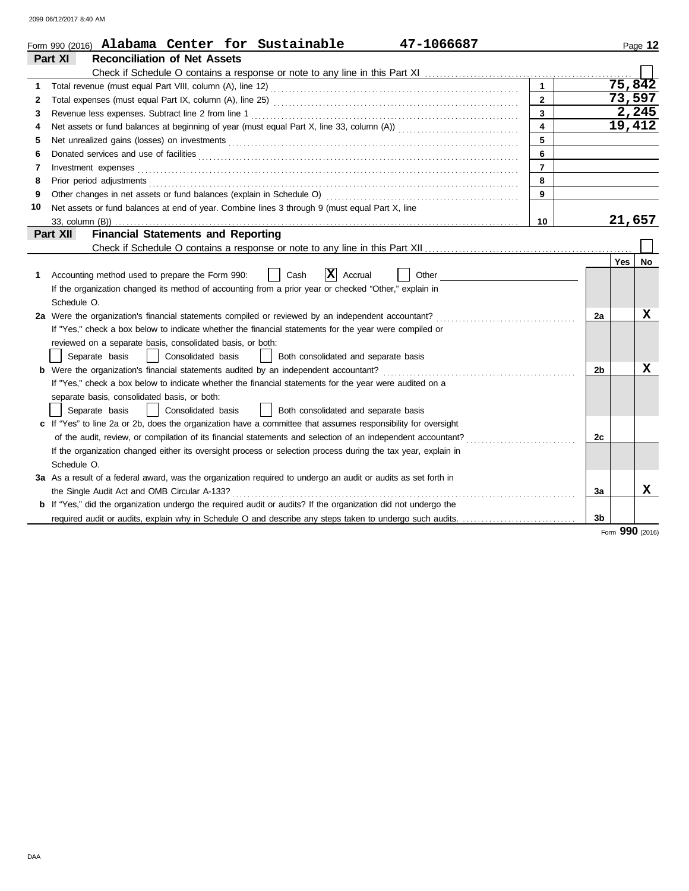|    | 47-1066687<br>Form 990 (2016) Alabama Center for Sustainable                                                                                                                                                                   |                         |                |     | Page 12   |  |  |
|----|--------------------------------------------------------------------------------------------------------------------------------------------------------------------------------------------------------------------------------|-------------------------|----------------|-----|-----------|--|--|
|    | Part XI<br><b>Reconciliation of Net Assets</b>                                                                                                                                                                                 |                         |                |     |           |  |  |
|    |                                                                                                                                                                                                                                |                         |                |     |           |  |  |
| 1  |                                                                                                                                                                                                                                | $\mathbf{1}$            |                |     | 75,842    |  |  |
| 2  |                                                                                                                                                                                                                                | $\overline{2}$          |                |     | 73,597    |  |  |
| 3  |                                                                                                                                                                                                                                | $\overline{\mathbf{3}}$ |                |     | 2,245     |  |  |
| 4  |                                                                                                                                                                                                                                | $\overline{\mathbf{4}}$ |                |     | 19,412    |  |  |
| 5  |                                                                                                                                                                                                                                | 5                       |                |     |           |  |  |
| 6  | Donated services and use of facilities <b>constructs</b> and the service of the service of the services and use of facilities                                                                                                  | 6                       |                |     |           |  |  |
| 7  | Investment expenses with the contract of the contract of the contract of the contract of the contract of the contract of the contract of the contract of the contract of the contract of the contract of the contract of the c | $\overline{7}$          |                |     |           |  |  |
| 8  | Prior period adjustments <b>constructs constructs constructs constructs constructs constructs constructs constructs constructs constructs constructs constructs constructs constructs constructs c</b>                         | 8                       |                |     |           |  |  |
| 9  |                                                                                                                                                                                                                                | 9                       |                |     |           |  |  |
| 10 | Net assets or fund balances at end of year. Combine lines 3 through 9 (must equal Part X, line                                                                                                                                 |                         |                |     |           |  |  |
|    | 10                                                                                                                                                                                                                             |                         |                |     |           |  |  |
|    | <b>Financial Statements and Reporting</b><br>Part XII                                                                                                                                                                          |                         |                |     |           |  |  |
|    |                                                                                                                                                                                                                                |                         |                |     |           |  |  |
|    |                                                                                                                                                                                                                                |                         |                | Yes | <b>No</b> |  |  |
| 1  | X <br>Accounting method used to prepare the Form 990:<br>Cash<br>Accrual<br>Other                                                                                                                                              |                         |                |     |           |  |  |
|    | If the organization changed its method of accounting from a prior year or checked "Other," explain in                                                                                                                          |                         |                |     |           |  |  |
|    | Schedule O.                                                                                                                                                                                                                    |                         |                |     |           |  |  |
|    | 2a Were the organization's financial statements compiled or reviewed by an independent accountant?                                                                                                                             |                         | 2a             |     | х         |  |  |
|    | If "Yes," check a box below to indicate whether the financial statements for the year were compiled or                                                                                                                         |                         |                |     |           |  |  |
|    | reviewed on a separate basis, consolidated basis, or both:                                                                                                                                                                     |                         |                |     |           |  |  |
|    | Separate basis<br>Consolidated basis<br>Both consolidated and separate basis                                                                                                                                                   |                         |                |     |           |  |  |
|    | <b>b</b> Were the organization's financial statements audited by an independent accountant?                                                                                                                                    |                         | 2b             |     | x         |  |  |
|    | If "Yes," check a box below to indicate whether the financial statements for the year were audited on a                                                                                                                        |                         |                |     |           |  |  |
|    | separate basis, consolidated basis, or both:                                                                                                                                                                                   |                         |                |     |           |  |  |
|    | Both consolidated and separate basis<br>Separate basis<br>Consolidated basis                                                                                                                                                   |                         |                |     |           |  |  |
|    | c If "Yes" to line 2a or 2b, does the organization have a committee that assumes responsibility for oversight                                                                                                                  |                         |                |     |           |  |  |
|    | of the audit, review, or compilation of its financial statements and selection of an independent accountant?                                                                                                                   |                         | 2c             |     |           |  |  |
|    | If the organization changed either its oversight process or selection process during the tax year, explain in                                                                                                                  |                         |                |     |           |  |  |
|    | Schedule O.                                                                                                                                                                                                                    |                         |                |     |           |  |  |
|    | 3a As a result of a federal award, was the organization required to undergo an audit or audits as set forth in                                                                                                                 |                         |                |     |           |  |  |
|    | the Single Audit Act and OMB Circular A-133?                                                                                                                                                                                   |                         | За             |     | X         |  |  |
|    | b If "Yes," did the organization undergo the required audit or audits? If the organization did not undergo the                                                                                                                 |                         |                |     |           |  |  |
|    | required audit or audits, explain why in Schedule O and describe any steps taken to undergo such audits.                                                                                                                       |                         | 3 <sub>b</sub> |     |           |  |  |

Form **990** (2016)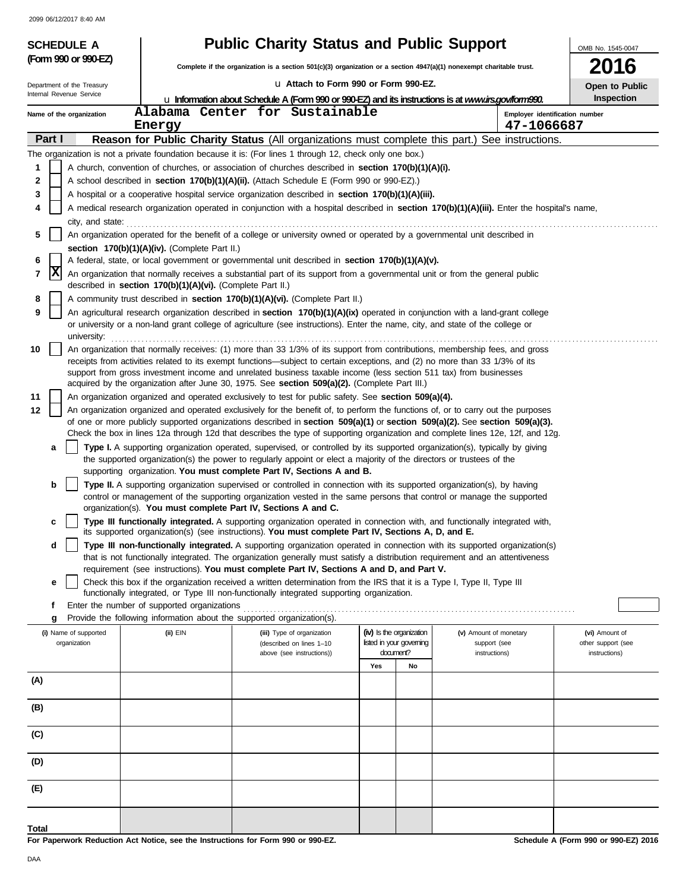| <b>Public Charity Status and Public Support</b><br><b>SCHEDULE A</b> |                                                                                                                                                                                                                                                                                                                                                   |                                                                                                                                                                                                                                                                                                                              |                                                                   |    |                                        |                                              | OMB No. 1545-0047                    |  |  |  |
|----------------------------------------------------------------------|---------------------------------------------------------------------------------------------------------------------------------------------------------------------------------------------------------------------------------------------------------------------------------------------------------------------------------------------------|------------------------------------------------------------------------------------------------------------------------------------------------------------------------------------------------------------------------------------------------------------------------------------------------------------------------------|-------------------------------------------------------------------|----|----------------------------------------|----------------------------------------------|--------------------------------------|--|--|--|
| (Form 990 or 990-EZ)                                                 |                                                                                                                                                                                                                                                                                                                                                   | Complete if the organization is a section 501(c)(3) organization or a section 4947(a)(1) nonexempt charitable trust.                                                                                                                                                                                                         |                                                                   |    |                                        |                                              | <b>2016</b>                          |  |  |  |
| Department of the Treasury                                           |                                                                                                                                                                                                                                                                                                                                                   | U Attach to Form 990 or Form 990-EZ.                                                                                                                                                                                                                                                                                         |                                                                   |    |                                        |                                              | Open to Public                       |  |  |  |
| Internal Revenue Service                                             |                                                                                                                                                                                                                                                                                                                                                   | La Information about Schedule A (Form 990 or 990-EZ) and its instructions is at www.irs.gov/form990.                                                                                                                                                                                                                         |                                                                   |    |                                        |                                              | Inspection                           |  |  |  |
| Name of the organization                                             | Energy                                                                                                                                                                                                                                                                                                                                            | Alabama Center for Sustainable                                                                                                                                                                                                                                                                                               |                                                                   |    |                                        | Employer identification number<br>47-1066687 |                                      |  |  |  |
| Part I                                                               |                                                                                                                                                                                                                                                                                                                                                   | Reason for Public Charity Status (All organizations must complete this part.) See instructions.                                                                                                                                                                                                                              |                                                                   |    |                                        |                                              |                                      |  |  |  |
|                                                                      |                                                                                                                                                                                                                                                                                                                                                   | The organization is not a private foundation because it is: (For lines 1 through 12, check only one box.)                                                                                                                                                                                                                    |                                                                   |    |                                        |                                              |                                      |  |  |  |
| 1                                                                    |                                                                                                                                                                                                                                                                                                                                                   | A church, convention of churches, or association of churches described in section 170(b)(1)(A)(i).                                                                                                                                                                                                                           |                                                                   |    |                                        |                                              |                                      |  |  |  |
| 2                                                                    |                                                                                                                                                                                                                                                                                                                                                   | A school described in <b>section 170(b)(1)(A)(ii).</b> (Attach Schedule E (Form 990 or 990-EZ).)                                                                                                                                                                                                                             |                                                                   |    |                                        |                                              |                                      |  |  |  |
| 3                                                                    |                                                                                                                                                                                                                                                                                                                                                   | A hospital or a cooperative hospital service organization described in section 170(b)(1)(A)(iii).                                                                                                                                                                                                                            |                                                                   |    |                                        |                                              |                                      |  |  |  |
| 4<br>city, and state:                                                |                                                                                                                                                                                                                                                                                                                                                   | A medical research organization operated in conjunction with a hospital described in section 170(b)(1)(A)(iii). Enter the hospital's name,                                                                                                                                                                                   |                                                                   |    |                                        |                                              |                                      |  |  |  |
| 5                                                                    |                                                                                                                                                                                                                                                                                                                                                   | An organization operated for the benefit of a college or university owned or operated by a governmental unit described in                                                                                                                                                                                                    |                                                                   |    |                                        |                                              |                                      |  |  |  |
|                                                                      | section 170(b)(1)(A)(iv). (Complete Part II.)                                                                                                                                                                                                                                                                                                     |                                                                                                                                                                                                                                                                                                                              |                                                                   |    |                                        |                                              |                                      |  |  |  |
| 6                                                                    | A federal, state, or local government or governmental unit described in section 170(b)(1)(A)(v).                                                                                                                                                                                                                                                  |                                                                                                                                                                                                                                                                                                                              |                                                                   |    |                                        |                                              |                                      |  |  |  |
| 7                                                                    | X<br>An organization that normally receives a substantial part of its support from a governmental unit or from the general public<br>described in section 170(b)(1)(A)(vi). (Complete Part II.)                                                                                                                                                   |                                                                                                                                                                                                                                                                                                                              |                                                                   |    |                                        |                                              |                                      |  |  |  |
| 8                                                                    | A community trust described in section 170(b)(1)(A)(vi). (Complete Part II.)                                                                                                                                                                                                                                                                      |                                                                                                                                                                                                                                                                                                                              |                                                                   |    |                                        |                                              |                                      |  |  |  |
| 9<br>university:                                                     | An agricultural research organization described in section 170(b)(1)(A)(ix) operated in conjunction with a land-grant college<br>or university or a non-land grant college of agriculture (see instructions). Enter the name, city, and state of the college or                                                                                   |                                                                                                                                                                                                                                                                                                                              |                                                                   |    |                                        |                                              |                                      |  |  |  |
| 10                                                                   | An organization that normally receives: (1) more than 33 1/3% of its support from contributions, membership fees, and gross                                                                                                                                                                                                                       |                                                                                                                                                                                                                                                                                                                              |                                                                   |    |                                        |                                              |                                      |  |  |  |
|                                                                      | receipts from activities related to its exempt functions—subject to certain exceptions, and (2) no more than 33 1/3% of its<br>support from gross investment income and unrelated business taxable income (less section 511 tax) from businesses<br>acquired by the organization after June 30, 1975. See section 509(a)(2). (Complete Part III.) |                                                                                                                                                                                                                                                                                                                              |                                                                   |    |                                        |                                              |                                      |  |  |  |
| 11                                                                   | An organization organized and operated exclusively to test for public safety. See section 509(a)(4).                                                                                                                                                                                                                                              |                                                                                                                                                                                                                                                                                                                              |                                                                   |    |                                        |                                              |                                      |  |  |  |
| 12                                                                   | An organization organized and operated exclusively for the benefit of, to perform the functions of, or to carry out the purposes                                                                                                                                                                                                                  |                                                                                                                                                                                                                                                                                                                              |                                                                   |    |                                        |                                              |                                      |  |  |  |
|                                                                      |                                                                                                                                                                                                                                                                                                                                                   | of one or more publicly supported organizations described in section 509(a)(1) or section 509(a)(2). See section 509(a)(3).                                                                                                                                                                                                  |                                                                   |    |                                        |                                              |                                      |  |  |  |
|                                                                      |                                                                                                                                                                                                                                                                                                                                                   | Check the box in lines 12a through 12d that describes the type of supporting organization and complete lines 12e, 12f, and 12g.                                                                                                                                                                                              |                                                                   |    |                                        |                                              |                                      |  |  |  |
| a                                                                    |                                                                                                                                                                                                                                                                                                                                                   | Type I. A supporting organization operated, supervised, or controlled by its supported organization(s), typically by giving<br>the supported organization(s) the power to regularly appoint or elect a majority of the directors or trustees of the<br>supporting organization. You must complete Part IV, Sections A and B. |                                                                   |    |                                        |                                              |                                      |  |  |  |
| b                                                                    |                                                                                                                                                                                                                                                                                                                                                   | Type II. A supporting organization supervised or controlled in connection with its supported organization(s), by having                                                                                                                                                                                                      |                                                                   |    |                                        |                                              |                                      |  |  |  |
|                                                                      |                                                                                                                                                                                                                                                                                                                                                   | control or management of the supporting organization vested in the same persons that control or manage the supported<br>organization(s). You must complete Part IV, Sections A and C.                                                                                                                                        |                                                                   |    |                                        |                                              |                                      |  |  |  |
| c                                                                    |                                                                                                                                                                                                                                                                                                                                                   | Type III functionally integrated. A supporting organization operated in connection with, and functionally integrated with,<br>its supported organization(s) (see instructions). You must complete Part IV, Sections A. D. and E.                                                                                             |                                                                   |    |                                        |                                              |                                      |  |  |  |
| d                                                                    |                                                                                                                                                                                                                                                                                                                                                   | Type III non-functionally integrated. A supporting organization operated in connection with its supported organization(s)<br>that is not functionally integrated. The organization generally must satisfy a distribution requirement and an attentiveness                                                                    |                                                                   |    |                                        |                                              |                                      |  |  |  |
|                                                                      |                                                                                                                                                                                                                                                                                                                                                   | requirement (see instructions). You must complete Part IV, Sections A and D, and Part V.                                                                                                                                                                                                                                     |                                                                   |    |                                        |                                              |                                      |  |  |  |
| е                                                                    |                                                                                                                                                                                                                                                                                                                                                   | Check this box if the organization received a written determination from the IRS that it is a Type I, Type II, Type III                                                                                                                                                                                                      |                                                                   |    |                                        |                                              |                                      |  |  |  |
| f                                                                    | Enter the number of supported organizations                                                                                                                                                                                                                                                                                                       | functionally integrated, or Type III non-functionally integrated supporting organization.                                                                                                                                                                                                                                    |                                                                   |    |                                        |                                              |                                      |  |  |  |
| g                                                                    |                                                                                                                                                                                                                                                                                                                                                   | Provide the following information about the supported organization(s).                                                                                                                                                                                                                                                       |                                                                   |    |                                        |                                              |                                      |  |  |  |
| (i) Name of supported<br>organization                                | (ii) EIN                                                                                                                                                                                                                                                                                                                                          | (iii) Type of organization<br>(described on lines 1-10                                                                                                                                                                                                                                                                       | (iv) Is the organization<br>listed in your governing<br>document? |    | (v) Amount of monetary<br>support (see |                                              | (vi) Amount of<br>other support (see |  |  |  |
|                                                                      |                                                                                                                                                                                                                                                                                                                                                   | above (see instructions))                                                                                                                                                                                                                                                                                                    | Yes                                                               | No | instructions)                          |                                              | instructions)                        |  |  |  |
| (A)                                                                  |                                                                                                                                                                                                                                                                                                                                                   |                                                                                                                                                                                                                                                                                                                              |                                                                   |    |                                        |                                              |                                      |  |  |  |
| (B)                                                                  |                                                                                                                                                                                                                                                                                                                                                   |                                                                                                                                                                                                                                                                                                                              |                                                                   |    |                                        |                                              |                                      |  |  |  |
| (C)                                                                  |                                                                                                                                                                                                                                                                                                                                                   |                                                                                                                                                                                                                                                                                                                              |                                                                   |    |                                        |                                              |                                      |  |  |  |
| (D)                                                                  |                                                                                                                                                                                                                                                                                                                                                   |                                                                                                                                                                                                                                                                                                                              |                                                                   |    |                                        |                                              |                                      |  |  |  |
| (E)                                                                  |                                                                                                                                                                                                                                                                                                                                                   |                                                                                                                                                                                                                                                                                                                              |                                                                   |    |                                        |                                              |                                      |  |  |  |
| Total                                                                |                                                                                                                                                                                                                                                                                                                                                   |                                                                                                                                                                                                                                                                                                                              |                                                                   |    |                                        |                                              |                                      |  |  |  |
|                                                                      |                                                                                                                                                                                                                                                                                                                                                   | For Paperwork Reduction Act Notice, see the Instructions for Form 000 or 000-F7                                                                                                                                                                                                                                              |                                                                   |    |                                        |                                              | Schodule A (Form 990 or 990-F7) 2016 |  |  |  |

**For Paperwork Reduction Act Notice, see the Instructions for Form 990 or 990-EZ.**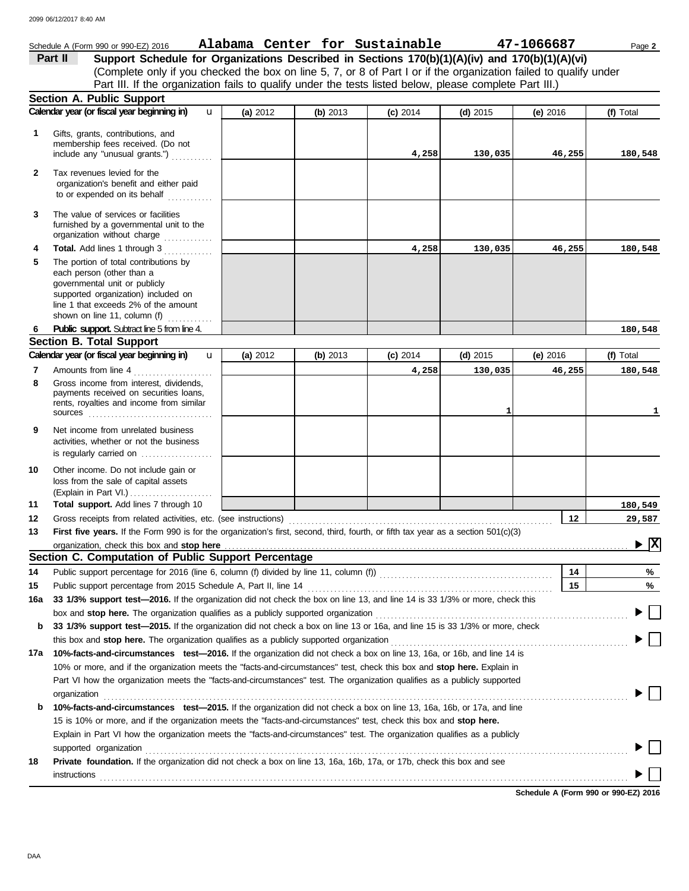|              | Schedule A (Form 990 or 990-EZ) 2016                                                                                                                                                                                                                                                                                                                          |   |            |            | Alabama Center for Sustainable |              | 47-1066687 | Page 2                                 |
|--------------|---------------------------------------------------------------------------------------------------------------------------------------------------------------------------------------------------------------------------------------------------------------------------------------------------------------------------------------------------------------|---|------------|------------|--------------------------------|--------------|------------|----------------------------------------|
|              | Support Schedule for Organizations Described in Sections 170(b)(1)(A)(iv) and 170(b)(1)(A)(vi)<br>Part II                                                                                                                                                                                                                                                     |   |            |            |                                |              |            |                                        |
|              | (Complete only if you checked the box on line 5, 7, or 8 of Part I or if the organization failed to qualify under                                                                                                                                                                                                                                             |   |            |            |                                |              |            |                                        |
|              | Part III. If the organization fails to qualify under the tests listed below, please complete Part III.)                                                                                                                                                                                                                                                       |   |            |            |                                |              |            |                                        |
|              | <b>Section A. Public Support</b>                                                                                                                                                                                                                                                                                                                              |   |            |            |                                |              |            |                                        |
|              | Calendar year (or fiscal year beginning in)                                                                                                                                                                                                                                                                                                                   | u | (a) 2012   | (b) $2013$ | $(c)$ 2014                     | $(d)$ 2015   | (e) $2016$ | (f) Total                              |
| 1            | Gifts, grants, contributions, and<br>membership fees received. (Do not<br>include any "unusual grants.")                                                                                                                                                                                                                                                      |   |            |            | 4,258                          | 130,035      | 46,255     | 180,548                                |
| $\mathbf{2}$ | Tax revenues levied for the<br>organization's benefit and either paid<br>to or expended on its behalf                                                                                                                                                                                                                                                         |   |            |            |                                |              |            |                                        |
| 3            | The value of services or facilities<br>furnished by a governmental unit to the<br>organization without charge                                                                                                                                                                                                                                                 |   |            |            |                                |              |            |                                        |
| 4            | Total. Add lines 1 through 3                                                                                                                                                                                                                                                                                                                                  |   |            |            | 4,258                          | 130,035      | 46,255     | 180,548                                |
| 5            | The portion of total contributions by<br>each person (other than a<br>governmental unit or publicly<br>supported organization) included on<br>line 1 that exceeds 2% of the amount<br>shown on line 11, column (f)<br>.                                                                                                                                       |   |            |            |                                |              |            |                                        |
| 6            | Public support. Subtract line 5 from line 4.                                                                                                                                                                                                                                                                                                                  |   |            |            |                                |              |            | 180,548                                |
|              | <b>Section B. Total Support</b>                                                                                                                                                                                                                                                                                                                               |   |            |            |                                |              |            |                                        |
|              | Calendar year (or fiscal year beginning in)                                                                                                                                                                                                                                                                                                                   | u | (a) $2012$ | (b) $2013$ | $(c)$ 2014                     | (d) $2015$   | (e) $2016$ | (f) Total                              |
| 7            | Amounts from line 4                                                                                                                                                                                                                                                                                                                                           |   |            |            | 4,258                          | 130,035      | 46,255     | 180,548                                |
| 8            | Gross income from interest, dividends,<br>payments received on securities loans,<br>rents, royalties and income from similar<br>sources                                                                                                                                                                                                                       |   |            |            |                                | $\mathbf{1}$ |            | 1                                      |
| 9            | Net income from unrelated business<br>activities, whether or not the business<br>is regularly carried on                                                                                                                                                                                                                                                      |   |            |            |                                |              |            |                                        |
| 10           | Other income. Do not include gain or<br>loss from the sale of capital assets<br>(Explain in Part VI.)                                                                                                                                                                                                                                                         |   |            |            |                                |              |            |                                        |
| 11           | Total support. Add lines 7 through 10                                                                                                                                                                                                                                                                                                                         |   |            |            |                                |              |            | 180,549                                |
| 12           | Gross receipts from related activities, etc. (see instructions)                                                                                                                                                                                                                                                                                               |   |            |            |                                |              | $12 \,$    | 29,587                                 |
| 13           | First five years. If the Form 990 is for the organization's first, second, third, fourth, or fifth tax year as a section 501(c)(3)                                                                                                                                                                                                                            |   |            |            |                                |              |            |                                        |
|              |                                                                                                                                                                                                                                                                                                                                                               |   |            |            |                                |              |            | $\blacktriangleright \boxed{\text{X}}$ |
|              | Section C. Computation of Public Support Percentage                                                                                                                                                                                                                                                                                                           |   |            |            |                                |              |            |                                        |
| 14           | Public support percentage for 2016 (line 6, column (f) divided by line 11, column (f) [[[[[[[[[[[[[[[[[[[[[[[                                                                                                                                                                                                                                                 |   |            |            |                                |              | 14         | %                                      |
| 15           |                                                                                                                                                                                                                                                                                                                                                               |   |            |            |                                |              | 15         | %                                      |
| 16a          | 33 1/3% support test-2016. If the organization did not check the box on line 13, and line 14 is 33 1/3% or more, check this                                                                                                                                                                                                                                   |   |            |            |                                |              |            |                                        |
| b            | box and stop here. The organization qualifies as a publicly supported organization [11] content content content content of the content of the content of the content of the content of the content of the content of the conte<br>33 1/3% support test-2015. If the organization did not check a box on line 13 or 16a, and line 15 is 33 1/3% or more, check |   |            |            |                                |              |            |                                        |
|              |                                                                                                                                                                                                                                                                                                                                                               |   |            |            |                                |              |            |                                        |
| 17a          | 10%-facts-and-circumstances test-2016. If the organization did not check a box on line 13, 16a, or 16b, and line 14 is                                                                                                                                                                                                                                        |   |            |            |                                |              |            |                                        |
|              | 10% or more, and if the organization meets the "facts-and-circumstances" test, check this box and stop here. Explain in                                                                                                                                                                                                                                       |   |            |            |                                |              |            |                                        |
|              | Part VI how the organization meets the "facts-and-circumstances" test. The organization qualifies as a publicly supported                                                                                                                                                                                                                                     |   |            |            |                                |              |            |                                        |
|              | organization                                                                                                                                                                                                                                                                                                                                                  |   |            |            |                                |              |            |                                        |
| b            | 10%-facts-and-circumstances test-2015. If the organization did not check a box on line 13, 16a, 16b, or 17a, and line                                                                                                                                                                                                                                         |   |            |            |                                |              |            |                                        |
|              | 15 is 10% or more, and if the organization meets the "facts-and-circumstances" test, check this box and stop here.                                                                                                                                                                                                                                            |   |            |            |                                |              |            |                                        |
|              | Explain in Part VI how the organization meets the "facts-and-circumstances" test. The organization qualifies as a publicly                                                                                                                                                                                                                                    |   |            |            |                                |              |            |                                        |
|              |                                                                                                                                                                                                                                                                                                                                                               |   |            |            |                                |              |            |                                        |
| 18           | supported organization contains and contains a supported organization contains a supported organization contains a supported organization<br>Private foundation. If the organization did not check a box on line 13, 16a, 16b, 17a, or 17b, check this box and see                                                                                            |   |            |            |                                |              |            |                                        |
|              |                                                                                                                                                                                                                                                                                                                                                               |   |            |            |                                |              |            |                                        |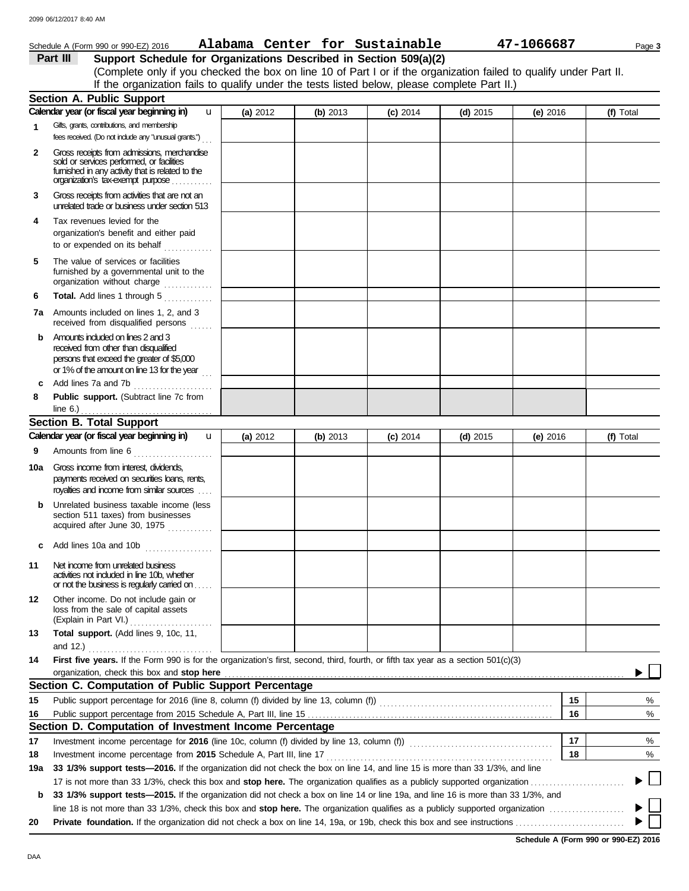|     | Schedule A (Form 990 or 990-EZ) 2016                                                                                                                                                                                                                                                       |          |          | Alabama Center for Sustainable |            | 47-1066687 |          | Page 3    |
|-----|--------------------------------------------------------------------------------------------------------------------------------------------------------------------------------------------------------------------------------------------------------------------------------------------|----------|----------|--------------------------------|------------|------------|----------|-----------|
|     | Part III<br>Support Schedule for Organizations Described in Section 509(a)(2)                                                                                                                                                                                                              |          |          |                                |            |            |          |           |
|     | (Complete only if you checked the box on line 10 of Part I or if the organization failed to qualify under Part II.                                                                                                                                                                         |          |          |                                |            |            |          |           |
|     | If the organization fails to qualify under the tests listed below, please complete Part II.)                                                                                                                                                                                               |          |          |                                |            |            |          |           |
|     | <b>Section A. Public Support</b>                                                                                                                                                                                                                                                           |          |          |                                |            |            |          |           |
|     | Calendar year (or fiscal year beginning in)<br>u                                                                                                                                                                                                                                           | (a) 2012 | (b) 2013 | $(c)$ 2014                     | $(d)$ 2015 | (e) $2016$ |          | (f) Total |
| 1.  | Gifts, grants, contributions, and membership<br>fees received. (Do not include any "unusual grants.")                                                                                                                                                                                      |          |          |                                |            |            |          |           |
| 2   | Gross receipts from admissions, merchandise<br>sold or services performed, or facilities<br>fumished in any activity that is related to the<br>organization's tax-exempt purpose                                                                                                           |          |          |                                |            |            |          |           |
| 3   | Gross receipts from activities that are not an<br>unrelated trade or business under section 513                                                                                                                                                                                            |          |          |                                |            |            |          |           |
| 4   | Tax revenues levied for the<br>organization's benefit and either paid<br>to or expended on its behalf                                                                                                                                                                                      |          |          |                                |            |            |          |           |
| 5   | The value of services or facilities<br>furnished by a governmental unit to the<br>organization without charge                                                                                                                                                                              |          |          |                                |            |            |          |           |
| 6   | Total. Add lines 1 through 5                                                                                                                                                                                                                                                               |          |          |                                |            |            |          |           |
|     | 7a Amounts included on lines 1, 2, and 3<br>received from disqualified persons                                                                                                                                                                                                             |          |          |                                |            |            |          |           |
| b   | Amounts included on lines 2 and 3<br>received from other than disqualified<br>persons that exceed the greater of \$5,000<br>or 1% of the amount on line 13 for the year                                                                                                                    |          |          |                                |            |            |          |           |
| c   | Add lines 7a and 7b<br>.                                                                                                                                                                                                                                                                   |          |          |                                |            |            |          |           |
| 8   | Public support. (Subtract line 7c from<br>line $6.$ )                                                                                                                                                                                                                                      |          |          |                                |            |            |          |           |
|     | <b>Section B. Total Support</b>                                                                                                                                                                                                                                                            |          |          |                                |            |            |          |           |
|     | Calendar year (or fiscal year beginning in)<br>$\mathbf{u}$                                                                                                                                                                                                                                | (a) 2012 | (b) 2013 | $(c)$ 2014                     | $(d)$ 2015 | (e) $2016$ |          | (f) Total |
| 9   | Amounts from line 6                                                                                                                                                                                                                                                                        |          |          |                                |            |            |          |           |
|     | <b>10a</b> Gross income from interest, dividends,<br>payments received on securities loans, rents,                                                                                                                                                                                         |          |          |                                |            |            |          |           |
|     | royalties and income from similar sources                                                                                                                                                                                                                                                  |          |          |                                |            |            |          |           |
| b   | Unrelated business taxable income (less<br>section 511 taxes) from businesses<br>acquired after June 30, 1975                                                                                                                                                                              |          |          |                                |            |            |          |           |
| c   |                                                                                                                                                                                                                                                                                            |          |          |                                |            |            |          |           |
| 11  | Net income from unrelated business<br>activities not included in line 10b, whether<br>or not the business is regularly carried on                                                                                                                                                          |          |          |                                |            |            |          |           |
| 12  | Other income. Do not include gain or<br>loss from the sale of capital assets<br>(Explain in Part VI.)                                                                                                                                                                                      |          |          |                                |            |            |          |           |
| 13  | Total support. (Add lines 9, 10c, 11,                                                                                                                                                                                                                                                      |          |          |                                |            |            |          |           |
| 14  | First five years. If the Form 990 is for the organization's first, second, third, fourth, or fifth tax year as a section 501(c)(3)                                                                                                                                                         |          |          |                                |            |            |          |           |
|     | organization, check this box and stop here <b>constant and an intervention and an intervention and stop here</b> constant and stop here constant and an intervention and stop here constant and an intervention and stop here const<br>Section C. Computation of Public Support Percentage |          |          |                                |            |            |          |           |
|     |                                                                                                                                                                                                                                                                                            |          |          |                                |            |            |          |           |
| 15  | Public support percentage for 2016 (line 8, column (f) divided by line 13, column (f) [[[[[[[[[[[[[[[[[[[[[[[                                                                                                                                                                              |          |          |                                |            |            | 15<br>16 | %         |
| 16  | Section D. Computation of Investment Income Percentage                                                                                                                                                                                                                                     |          |          |                                |            |            |          | %         |
| 17  |                                                                                                                                                                                                                                                                                            |          |          |                                |            |            | 17       | %         |
| 18  | Investment income percentage from 2015 Schedule A, Part III, line 17                                                                                                                                                                                                                       |          |          |                                |            |            | 18       | %         |
| 19a | 33 1/3% support tests-2016. If the organization did not check the box on line 14, and line 15 is more than 33 1/3%, and line                                                                                                                                                               |          |          |                                |            |            |          |           |
|     |                                                                                                                                                                                                                                                                                            |          |          |                                |            |            |          |           |
| b   | 33 1/3% support tests—2015. If the organization did not check a box on line 14 or line 19a, and line 16 is more than 33 1/3%, and                                                                                                                                                          |          |          |                                |            |            |          |           |
|     | line 18 is not more than 33 1/3%, check this box and <b>stop here.</b> The organization qualifies as a publicly supported organization <i>companient</i> of the state of the state of the state of the state of the state of the state o                                                   |          |          |                                |            |            |          |           |
| 20  |                                                                                                                                                                                                                                                                                            |          |          |                                |            |            |          |           |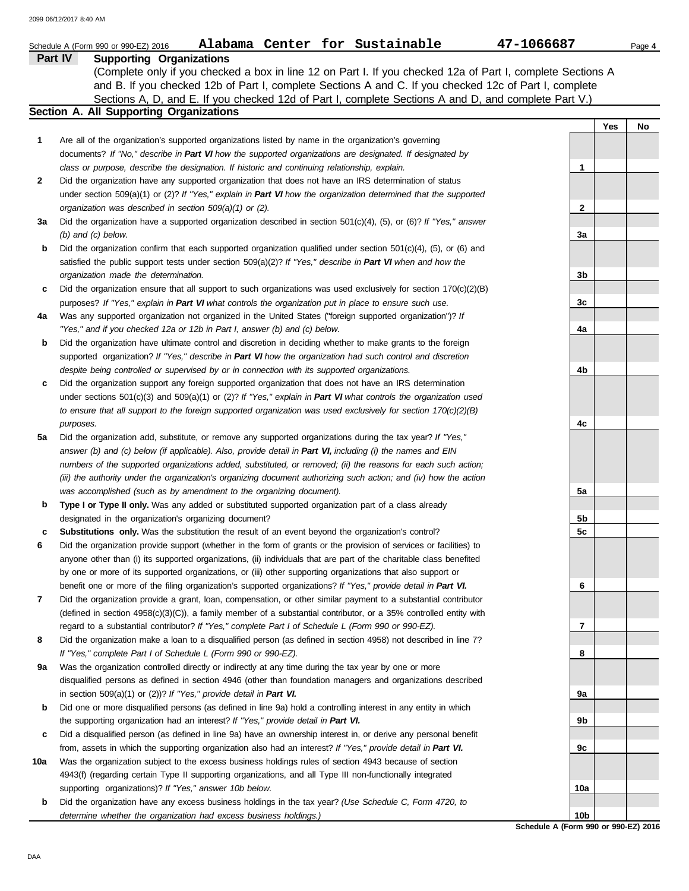|     | Alabama Center for Sustainable<br>Schedule A (Form 990 or 990-EZ) 2016                                                          | 47-1066687      |     | Page 4 |  |  |  |  |
|-----|---------------------------------------------------------------------------------------------------------------------------------|-----------------|-----|--------|--|--|--|--|
|     | <b>Part IV</b><br><b>Supporting Organizations</b>                                                                               |                 |     |        |  |  |  |  |
|     | (Complete only if you checked a box in line 12 on Part I. If you checked 12a of Part I, complete Sections A                     |                 |     |        |  |  |  |  |
|     | and B. If you checked 12b of Part I, complete Sections A and C. If you checked 12c of Part I, complete                          |                 |     |        |  |  |  |  |
|     | Sections A, D, and E. If you checked 12d of Part I, complete Sections A and D, and complete Part V.)                            |                 |     |        |  |  |  |  |
|     | Section A. All Supporting Organizations                                                                                         |                 |     |        |  |  |  |  |
|     |                                                                                                                                 |                 | Yes | No     |  |  |  |  |
| 1   | Are all of the organization's supported organizations listed by name in the organization's governing                            |                 |     |        |  |  |  |  |
|     | documents? If "No," describe in Part VI how the supported organizations are designated. If designated by                        |                 |     |        |  |  |  |  |
|     | class or purpose, describe the designation. If historic and continuing relationship, explain.                                   | 1               |     |        |  |  |  |  |
| 2   | Did the organization have any supported organization that does not have an IRS determination of status                          |                 |     |        |  |  |  |  |
|     | under section $509(a)(1)$ or (2)? If "Yes," explain in Part VI how the organization determined that the supported               |                 |     |        |  |  |  |  |
|     | organization was described in section 509(a)(1) or (2).                                                                         | 2               |     |        |  |  |  |  |
|     |                                                                                                                                 |                 |     |        |  |  |  |  |
|     | Did the organization have a supported organization described in section $501(c)(4)$ , (5), or (6)? If "Yes," answer<br>За<br>3a |                 |     |        |  |  |  |  |
|     | $(b)$ and $(c)$ below.                                                                                                          |                 |     |        |  |  |  |  |
| b   | Did the organization confirm that each supported organization qualified under section $501(c)(4)$ , (5), or (6) and             |                 |     |        |  |  |  |  |
|     | satisfied the public support tests under section $509(a)(2)$ ? If "Yes," describe in Part VI when and how the                   |                 |     |        |  |  |  |  |
|     | organization made the determination.                                                                                            | 3b              |     |        |  |  |  |  |
| c   | Did the organization ensure that all support to such organizations was used exclusively for section $170(c)(2)(B)$              |                 |     |        |  |  |  |  |
|     | purposes? If "Yes," explain in Part VI what controls the organization put in place to ensure such use.                          | 3c              |     |        |  |  |  |  |
| 4a  | Was any supported organization not organized in the United States ("foreign supported organization")? If                        |                 |     |        |  |  |  |  |
|     | "Yes," and if you checked 12a or 12b in Part I, answer (b) and (c) below.                                                       | 4a              |     |        |  |  |  |  |
| b   | Did the organization have ultimate control and discretion in deciding whether to make grants to the foreign                     |                 |     |        |  |  |  |  |
|     | supported organization? If "Yes," describe in Part VI how the organization had such control and discretion                      |                 |     |        |  |  |  |  |
|     | despite being controlled or supervised by or in connection with its supported organizations.                                    | 4b              |     |        |  |  |  |  |
| c   | Did the organization support any foreign supported organization that does not have an IRS determination                         |                 |     |        |  |  |  |  |
|     | under sections $501(c)(3)$ and $509(a)(1)$ or $(2)?$ If "Yes," explain in Part VI what controls the organization used           |                 |     |        |  |  |  |  |
|     | to ensure that all support to the foreign supported organization was used exclusively for section $170(c)(2)(B)$                |                 |     |        |  |  |  |  |
|     | purposes.                                                                                                                       | 4c              |     |        |  |  |  |  |
| 5a  | Did the organization add, substitute, or remove any supported organizations during the tax year? If "Yes,"                      |                 |     |        |  |  |  |  |
|     | answer (b) and (c) below (if applicable). Also, provide detail in Part VI, including (i) the names and EIN                      |                 |     |        |  |  |  |  |
|     | numbers of the supported organizations added, substituted, or removed; (ii) the reasons for each such action;                   |                 |     |        |  |  |  |  |
|     | (iii) the authority under the organization's organizing document authorizing such action; and (iv) how the action               |                 |     |        |  |  |  |  |
|     | was accomplished (such as by amendment to the organizing document).                                                             | 5a              |     |        |  |  |  |  |
| b   | Type I or Type II only. Was any added or substituted supported organization part of a class already                             |                 |     |        |  |  |  |  |
|     | designated in the organization's organizing document?                                                                           | 5b              |     |        |  |  |  |  |
| c   | Substitutions only. Was the substitution the result of an event beyond the organization's control?                              | 5 <sub>c</sub>  |     |        |  |  |  |  |
| 6   | Did the organization provide support (whether in the form of grants or the provision of services or facilities) to              |                 |     |        |  |  |  |  |
|     | anyone other than (i) its supported organizations, (ii) individuals that are part of the charitable class benefited             |                 |     |        |  |  |  |  |
|     | by one or more of its supported organizations, or (iii) other supporting organizations that also support or                     |                 |     |        |  |  |  |  |
|     | benefit one or more of the filing organization's supported organizations? If "Yes," provide detail in Part VI.                  | 6               |     |        |  |  |  |  |
| 7   | Did the organization provide a grant, loan, compensation, or other similar payment to a substantial contributor                 |                 |     |        |  |  |  |  |
|     | (defined in section 4958(c)(3)(C)), a family member of a substantial contributor, or a 35% controlled entity with               |                 |     |        |  |  |  |  |
|     | regard to a substantial contributor? If "Yes," complete Part I of Schedule L (Form 990 or 990-EZ).                              | 7               |     |        |  |  |  |  |
| 8   | Did the organization make a loan to a disqualified person (as defined in section 4958) not described in line 7?                 |                 |     |        |  |  |  |  |
|     | If "Yes," complete Part I of Schedule L (Form 990 or 990-EZ).                                                                   | 8               |     |        |  |  |  |  |
| 9а  | Was the organization controlled directly or indirectly at any time during the tax year by one or more                           |                 |     |        |  |  |  |  |
|     | disqualified persons as defined in section 4946 (other than foundation managers and organizations described                     |                 |     |        |  |  |  |  |
|     | in section $509(a)(1)$ or $(2)$ ? If "Yes," provide detail in Part VI.                                                          | 9а              |     |        |  |  |  |  |
| b   | Did one or more disqualified persons (as defined in line 9a) hold a controlling interest in any entity in which                 |                 |     |        |  |  |  |  |
|     | the supporting organization had an interest? If "Yes," provide detail in Part VI.                                               | 9b              |     |        |  |  |  |  |
| c   | Did a disqualified person (as defined in line 9a) have an ownership interest in, or derive any personal benefit                 |                 |     |        |  |  |  |  |
|     | from, assets in which the supporting organization also had an interest? If "Yes," provide detail in Part VI.                    | 9с              |     |        |  |  |  |  |
|     |                                                                                                                                 |                 |     |        |  |  |  |  |
| 10a | Was the organization subject to the excess business holdings rules of section 4943 because of section                           |                 |     |        |  |  |  |  |
|     | 4943(f) (regarding certain Type II supporting organizations, and all Type III non-functionally integrated                       |                 |     |        |  |  |  |  |
|     | supporting organizations)? If "Yes," answer 10b below.                                                                          | 10a             |     |        |  |  |  |  |
| b   | Did the organization have any excess business holdings in the tax year? (Use Schedule C, Form 4720, to                          |                 |     |        |  |  |  |  |
|     | determine whether the organization had excess business holdings.)                                                               | 10 <sub>b</sub> |     |        |  |  |  |  |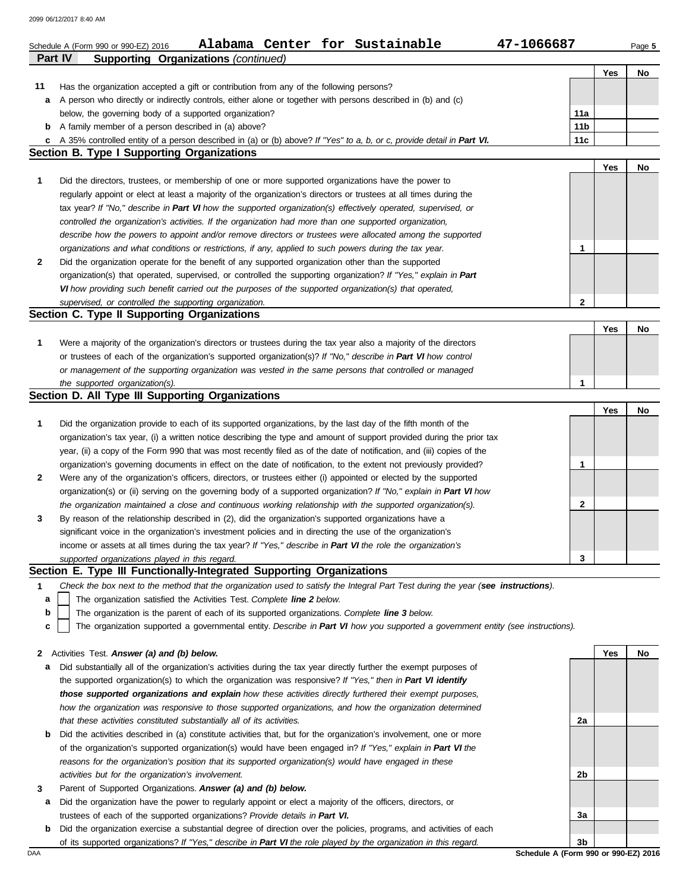|                                                  | 47-1066687<br>Alabama Center for Sustainable<br>Schedule A (Form 990 or 990-EZ) 2016                                                                                                                                   |                        |     | Page 5 |  |  |  |  |  |  |
|--------------------------------------------------|------------------------------------------------------------------------------------------------------------------------------------------------------------------------------------------------------------------------|------------------------|-----|--------|--|--|--|--|--|--|
| <b>Part IV</b>                                   | <b>Supporting Organizations (continued)</b>                                                                                                                                                                            |                        |     |        |  |  |  |  |  |  |
|                                                  |                                                                                                                                                                                                                        |                        | Yes | No     |  |  |  |  |  |  |
| 11                                               | Has the organization accepted a gift or contribution from any of the following persons?                                                                                                                                |                        |     |        |  |  |  |  |  |  |
| а                                                | A person who directly or indirectly controls, either alone or together with persons described in (b) and (c)                                                                                                           |                        |     |        |  |  |  |  |  |  |
| b                                                | below, the governing body of a supported organization?<br>A family member of a person described in (a) above?                                                                                                          | 11a<br>11 <sub>b</sub> |     |        |  |  |  |  |  |  |
| c                                                | A 35% controlled entity of a person described in (a) or (b) above? If "Yes" to a, b, or c, provide detail in Part VI.                                                                                                  | 11c                    |     |        |  |  |  |  |  |  |
|                                                  | <b>Section B. Type I Supporting Organizations</b>                                                                                                                                                                      |                        |     |        |  |  |  |  |  |  |
|                                                  |                                                                                                                                                                                                                        |                        | Yes | No     |  |  |  |  |  |  |
| 1                                                | Did the directors, trustees, or membership of one or more supported organizations have the power to                                                                                                                    |                        |     |        |  |  |  |  |  |  |
|                                                  | regularly appoint or elect at least a majority of the organization's directors or trustees at all times during the                                                                                                     |                        |     |        |  |  |  |  |  |  |
|                                                  | tax year? If "No," describe in Part VI how the supported organization(s) effectively operated, supervised, or                                                                                                          |                        |     |        |  |  |  |  |  |  |
|                                                  | controlled the organization's activities. If the organization had more than one supported organization,                                                                                                                |                        |     |        |  |  |  |  |  |  |
|                                                  | describe how the powers to appoint and/or remove directors or trustees were allocated among the supported                                                                                                              |                        |     |        |  |  |  |  |  |  |
|                                                  | organizations and what conditions or restrictions, if any, applied to such powers during the tax year.                                                                                                                 | 1                      |     |        |  |  |  |  |  |  |
| 2                                                | Did the organization operate for the benefit of any supported organization other than the supported                                                                                                                    |                        |     |        |  |  |  |  |  |  |
|                                                  | organization(s) that operated, supervised, or controlled the supporting organization? If "Yes," explain in Part                                                                                                        |                        |     |        |  |  |  |  |  |  |
|                                                  | VI how providing such benefit carried out the purposes of the supported organization(s) that operated,                                                                                                                 |                        |     |        |  |  |  |  |  |  |
|                                                  | supervised, or controlled the supporting organization.<br>Section C. Type II Supporting Organizations                                                                                                                  | $\mathbf{2}$           |     |        |  |  |  |  |  |  |
|                                                  |                                                                                                                                                                                                                        |                        | Yes | No     |  |  |  |  |  |  |
| 1                                                | Were a majority of the organization's directors or trustees during the tax year also a majority of the directors                                                                                                       |                        |     |        |  |  |  |  |  |  |
|                                                  | or trustees of each of the organization's supported organization(s)? If "No," describe in Part VI how control                                                                                                          |                        |     |        |  |  |  |  |  |  |
|                                                  | or management of the supporting organization was vested in the same persons that controlled or managed                                                                                                                 |                        |     |        |  |  |  |  |  |  |
|                                                  | the supported organization(s).                                                                                                                                                                                         | 1                      |     |        |  |  |  |  |  |  |
| Section D. All Type III Supporting Organizations |                                                                                                                                                                                                                        |                        |     |        |  |  |  |  |  |  |
|                                                  |                                                                                                                                                                                                                        |                        | Yes | No     |  |  |  |  |  |  |
| 1                                                | Did the organization provide to each of its supported organizations, by the last day of the fifth month of the                                                                                                         |                        |     |        |  |  |  |  |  |  |
|                                                  | organization's tax year, (i) a written notice describing the type and amount of support provided during the prior tax                                                                                                  |                        |     |        |  |  |  |  |  |  |
|                                                  | year, (ii) a copy of the Form 990 that was most recently filed as of the date of notification, and (iii) copies of the                                                                                                 |                        |     |        |  |  |  |  |  |  |
|                                                  | organization's governing documents in effect on the date of notification, to the extent not previously provided?                                                                                                       | 1                      |     |        |  |  |  |  |  |  |
| 2                                                | Were any of the organization's officers, directors, or trustees either (i) appointed or elected by the supported                                                                                                       |                        |     |        |  |  |  |  |  |  |
|                                                  | organization(s) or (ii) serving on the governing body of a supported organization? If "No," explain in Part VI how                                                                                                     |                        |     |        |  |  |  |  |  |  |
|                                                  | the organization maintained a close and continuous working relationship with the supported organization(s).                                                                                                            | 2                      |     |        |  |  |  |  |  |  |
| 3                                                | By reason of the relationship described in (2), did the organization's supported organizations have a                                                                                                                  |                        |     |        |  |  |  |  |  |  |
|                                                  | significant voice in the organization's investment policies and in directing the use of the organization's                                                                                                             |                        |     |        |  |  |  |  |  |  |
|                                                  | income or assets at all times during the tax year? If "Yes," describe in Part VI the role the organization's<br>supported organizations played in this regard.                                                         | 3                      |     |        |  |  |  |  |  |  |
|                                                  | Section E. Type III Functionally-Integrated Supporting Organizations                                                                                                                                                   |                        |     |        |  |  |  |  |  |  |
| 1                                                | Check the box next to the method that the organization used to satisfy the Integral Part Test during the year (see instructions).                                                                                      |                        |     |        |  |  |  |  |  |  |
| a                                                | The organization satisfied the Activities Test. Complete line 2 below.                                                                                                                                                 |                        |     |        |  |  |  |  |  |  |
| b                                                | The organization is the parent of each of its supported organizations. Complete line 3 below.                                                                                                                          |                        |     |        |  |  |  |  |  |  |
| c                                                | The organization supported a governmental entity. Describe in Part VI how you supported a government entity (see instructions).                                                                                        |                        |     |        |  |  |  |  |  |  |
|                                                  |                                                                                                                                                                                                                        |                        |     |        |  |  |  |  |  |  |
| 2                                                | Activities Test. Answer (a) and (b) below.                                                                                                                                                                             |                        | Yes | No     |  |  |  |  |  |  |
| а                                                | Did substantially all of the organization's activities during the tax year directly further the exempt purposes of                                                                                                     |                        |     |        |  |  |  |  |  |  |
|                                                  | the supported organization(s) to which the organization was responsive? If "Yes," then in Part VI identify                                                                                                             |                        |     |        |  |  |  |  |  |  |
|                                                  | those supported organizations and explain how these activities directly furthered their exempt purposes,                                                                                                               |                        |     |        |  |  |  |  |  |  |
|                                                  | how the organization was responsive to those supported organizations, and how the organization determined                                                                                                              |                        |     |        |  |  |  |  |  |  |
|                                                  | that these activities constituted substantially all of its activities.                                                                                                                                                 | 2a                     |     |        |  |  |  |  |  |  |
| b                                                | Did the activities described in (a) constitute activities that, but for the organization's involvement, one or more                                                                                                    |                        |     |        |  |  |  |  |  |  |
|                                                  | of the organization's supported organization(s) would have been engaged in? If "Yes," explain in Part VI the<br>reasons for the organization's position that its supported organization(s) would have engaged in these |                        |     |        |  |  |  |  |  |  |
|                                                  | activities but for the organization's involvement.                                                                                                                                                                     | 2b                     |     |        |  |  |  |  |  |  |
| 3                                                | Parent of Supported Organizations. Answer (a) and (b) below.                                                                                                                                                           |                        |     |        |  |  |  |  |  |  |
| а                                                | Did the organization have the power to regularly appoint or elect a majority of the officers, directors, or                                                                                                            |                        |     |        |  |  |  |  |  |  |
|                                                  | trustees of each of the supported organizations? Provide details in Part VI.                                                                                                                                           | За                     |     |        |  |  |  |  |  |  |
| b                                                | Did the organization exercise a substantial degree of direction over the policies, programs, and activities of each                                                                                                    |                        |     |        |  |  |  |  |  |  |
|                                                  | of its supported organizations? If "Yes," describe in Part VI the role played by the organization in this regard.                                                                                                      | 3b                     |     |        |  |  |  |  |  |  |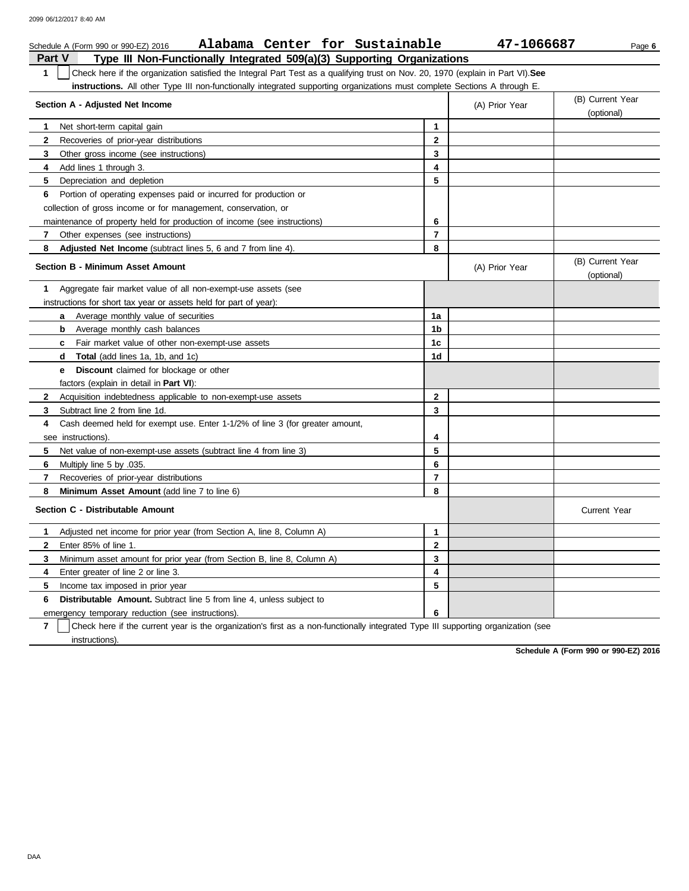| Alabama Center for Sustainable<br>Schedule A (Form 990 or 990-EZ) 2016                                                               |                | 47-1066687     | Page 6                         |
|--------------------------------------------------------------------------------------------------------------------------------------|----------------|----------------|--------------------------------|
| Part V<br>Type III Non-Functionally Integrated 509(a)(3) Supporting Organizations                                                    |                |                |                                |
| Check here if the organization satisfied the Integral Part Test as a qualifying trust on Nov. 20, 1970 (explain in Part VI).See<br>1 |                |                |                                |
| <b>instructions.</b> All other Type III non-functionally integrated supporting organizations must complete Sections A through E.     |                |                |                                |
| Section A - Adjusted Net Income                                                                                                      |                | (A) Prior Year | (B) Current Year<br>(optional) |
| Net short-term capital gain<br>1.                                                                                                    | 1              |                |                                |
| $\mathbf{2}$<br>Recoveries of prior-year distributions                                                                               | $\mathbf{2}$   |                |                                |
| 3<br>Other gross income (see instructions)                                                                                           | 3              |                |                                |
| 4<br>Add lines 1 through 3.                                                                                                          | 4              |                |                                |
| 5<br>Depreciation and depletion                                                                                                      | 5              |                |                                |
| 6<br>Portion of operating expenses paid or incurred for production or                                                                |                |                |                                |
| collection of gross income or for management, conservation, or                                                                       |                |                |                                |
| maintenance of property held for production of income (see instructions)                                                             | 6              |                |                                |
| 7<br>Other expenses (see instructions)                                                                                               | $\overline{7}$ |                |                                |
| 8<br>Adjusted Net Income (subtract lines 5, 6 and 7 from line 4).                                                                    | 8              |                |                                |
| <b>Section B - Minimum Asset Amount</b>                                                                                              |                | (A) Prior Year | (B) Current Year<br>(optional) |
| Aggregate fair market value of all non-exempt-use assets (see<br>1.                                                                  |                |                |                                |
| instructions for short tax year or assets held for part of year):                                                                    |                |                |                                |
| Average monthly value of securities<br>a                                                                                             | 1a             |                |                                |
| Average monthly cash balances<br>b                                                                                                   | 1b             |                |                                |
| Fair market value of other non-exempt-use assets<br>c                                                                                | 1 <sub>c</sub> |                |                                |
| <b>Total</b> (add lines 1a, 1b, and 1c)<br>d                                                                                         | 1d             |                |                                |
| <b>Discount</b> claimed for blockage or other<br>е                                                                                   |                |                |                                |
| factors (explain in detail in <b>Part VI)</b> :                                                                                      |                |                |                                |
| $\mathbf{2}$<br>Acquisition indebtedness applicable to non-exempt-use assets                                                         | $\mathbf{2}$   |                |                                |
| 3<br>Subtract line 2 from line 1d.                                                                                                   | 3              |                |                                |
| Cash deemed held for exempt use. Enter 1-1/2% of line 3 (for greater amount,<br>4                                                    |                |                |                                |
| see instructions).                                                                                                                   | 4              |                |                                |
| 5.<br>Net value of non-exempt-use assets (subtract line 4 from line 3)                                                               | 5              |                |                                |
| 6<br>.035. Multiply line 5 by                                                                                                        | 6              |                |                                |
| $\overline{7}$<br>Recoveries of prior-year distributions                                                                             | $\overline{7}$ |                |                                |
| 8<br>Minimum Asset Amount (add line 7 to line 6)                                                                                     | 8              |                |                                |
| Section C - Distributable Amount                                                                                                     |                |                | <b>Current Year</b>            |
| Adjusted net income for prior year (from Section A, line 8, Column A)<br>1                                                           | 1              |                |                                |
| $\mathbf{2}$<br>Enter 85% of line 1.                                                                                                 | 2              |                |                                |
| 3<br>Minimum asset amount for prior year (from Section B, line 8, Column A)                                                          | 3              |                |                                |
| 4<br>Enter greater of line 2 or line 3.                                                                                              | 4              |                |                                |
| 5<br>Income tax imposed in prior year                                                                                                | 5              |                |                                |
| <b>Distributable Amount.</b> Subtract line 5 from line 4, unless subject to<br>6                                                     |                |                |                                |
| emergency temporary reduction (see instructions).                                                                                    | 6              |                |                                |

**7** instructions). Check here if the current year is the organization's first as a non-functionally integrated Type III supporting organization (see

**Schedule A (Form 990 or 990-EZ) 2016**

DAA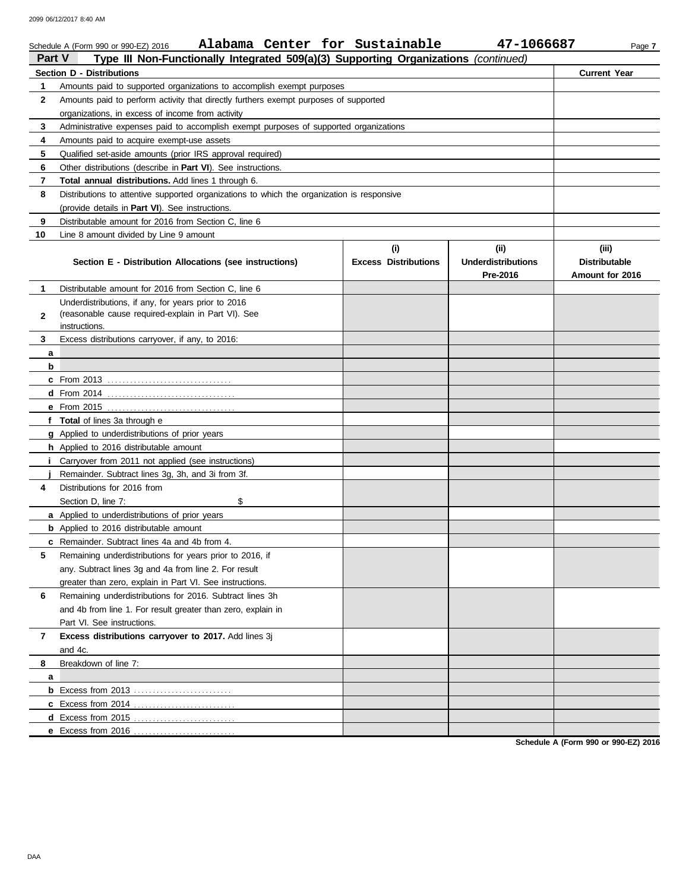|              | Alabama Center for Sustainable<br>Schedule A (Form 990 or 990-EZ) 2016                                     |                             | 47-1066687                | Page 7               |  |  |  |  |  |  |
|--------------|------------------------------------------------------------------------------------------------------------|-----------------------------|---------------------------|----------------------|--|--|--|--|--|--|
| Part V       | Type III Non-Functionally Integrated 509(a)(3) Supporting Organizations (continued)                        |                             |                           |                      |  |  |  |  |  |  |
|              | <b>Section D - Distributions</b>                                                                           |                             |                           | <b>Current Year</b>  |  |  |  |  |  |  |
| 1            | Amounts paid to supported organizations to accomplish exempt purposes                                      |                             |                           |                      |  |  |  |  |  |  |
| $\mathbf{2}$ | Amounts paid to perform activity that directly furthers exempt purposes of supported                       |                             |                           |                      |  |  |  |  |  |  |
|              | organizations, in excess of income from activity                                                           |                             |                           |                      |  |  |  |  |  |  |
| 3            | Administrative expenses paid to accomplish exempt purposes of supported organizations                      |                             |                           |                      |  |  |  |  |  |  |
| 4            | Amounts paid to acquire exempt-use assets                                                                  |                             |                           |                      |  |  |  |  |  |  |
| 5            | Qualified set-aside amounts (prior IRS approval required)                                                  |                             |                           |                      |  |  |  |  |  |  |
| 6            | Other distributions (describe in <b>Part VI</b> ). See instructions.                                       |                             |                           |                      |  |  |  |  |  |  |
| 7            | Total annual distributions. Add lines 1 through 6.                                                         |                             |                           |                      |  |  |  |  |  |  |
| 8            | Distributions to attentive supported organizations to which the organization is responsive                 |                             |                           |                      |  |  |  |  |  |  |
|              | (provide details in <b>Part VI</b> ). See instructions.                                                    |                             |                           |                      |  |  |  |  |  |  |
| 9            | Distributable amount for 2016 from Section C, line 6                                                       |                             |                           |                      |  |  |  |  |  |  |
| 10           | Line 8 amount divided by Line 9 amount                                                                     |                             |                           |                      |  |  |  |  |  |  |
|              |                                                                                                            | (i)                         | (ii)                      | (iii)                |  |  |  |  |  |  |
|              | Section E - Distribution Allocations (see instructions)                                                    | <b>Excess Distributions</b> | <b>Underdistributions</b> | <b>Distributable</b> |  |  |  |  |  |  |
|              |                                                                                                            |                             | Pre-2016                  | Amount for 2016      |  |  |  |  |  |  |
| 1            | Distributable amount for 2016 from Section C, line 6                                                       |                             |                           |                      |  |  |  |  |  |  |
|              | Underdistributions, if any, for years prior to 2016<br>(reasonable cause required-explain in Part VI). See |                             |                           |                      |  |  |  |  |  |  |
| $\mathbf{2}$ | instructions.                                                                                              |                             |                           |                      |  |  |  |  |  |  |
| 3.           | Excess distributions carryover, if any, to 2016:                                                           |                             |                           |                      |  |  |  |  |  |  |
| a            |                                                                                                            |                             |                           |                      |  |  |  |  |  |  |
| b            |                                                                                                            |                             |                           |                      |  |  |  |  |  |  |
|              |                                                                                                            |                             |                           |                      |  |  |  |  |  |  |
|              |                                                                                                            |                             |                           |                      |  |  |  |  |  |  |
|              |                                                                                                            |                             |                           |                      |  |  |  |  |  |  |
|              | f Total of lines 3a through e                                                                              |                             |                           |                      |  |  |  |  |  |  |
|              | <b>g</b> Applied to underdistributions of prior years                                                      |                             |                           |                      |  |  |  |  |  |  |
|              | h Applied to 2016 distributable amount                                                                     |                             |                           |                      |  |  |  |  |  |  |
|              | <i>i</i> Carryover from 2011 not applied (see instructions)                                                |                             |                           |                      |  |  |  |  |  |  |
|              | Remainder. Subtract lines 3g, 3h, and 3i from 3f.                                                          |                             |                           |                      |  |  |  |  |  |  |
| 4            | Distributions for 2016 from                                                                                |                             |                           |                      |  |  |  |  |  |  |
|              | Section D, line 7:<br>\$                                                                                   |                             |                           |                      |  |  |  |  |  |  |
|              | <b>a</b> Applied to underdistributions of prior years                                                      |                             |                           |                      |  |  |  |  |  |  |
|              | <b>b</b> Applied to 2016 distributable amount                                                              |                             |                           |                      |  |  |  |  |  |  |
|              | <b>c</b> Remainder. Subtract lines 4a and 4b from 4.                                                       |                             |                           |                      |  |  |  |  |  |  |
| 5            | Remaining underdistributions for years prior to 2016, if                                                   |                             |                           |                      |  |  |  |  |  |  |
|              | any. Subtract lines 3g and 4a from line 2. For result                                                      |                             |                           |                      |  |  |  |  |  |  |
|              | greater than zero, explain in Part VI. See instructions.                                                   |                             |                           |                      |  |  |  |  |  |  |
| 6            | Remaining underdistributions for 2016. Subtract lines 3h                                                   |                             |                           |                      |  |  |  |  |  |  |
|              | and 4b from line 1. For result greater than zero, explain in                                               |                             |                           |                      |  |  |  |  |  |  |
|              | Part VI. See instructions.                                                                                 |                             |                           |                      |  |  |  |  |  |  |
| 7            | Excess distributions carryover to 2017. Add lines 3j                                                       |                             |                           |                      |  |  |  |  |  |  |
|              | and 4c.                                                                                                    |                             |                           |                      |  |  |  |  |  |  |
| 8            | Breakdown of line 7:                                                                                       |                             |                           |                      |  |  |  |  |  |  |
| a            |                                                                                                            |                             |                           |                      |  |  |  |  |  |  |
|              |                                                                                                            |                             |                           |                      |  |  |  |  |  |  |
|              |                                                                                                            |                             |                           |                      |  |  |  |  |  |  |
|              |                                                                                                            |                             |                           |                      |  |  |  |  |  |  |
|              | e Excess from 2016                                                                                         |                             |                           |                      |  |  |  |  |  |  |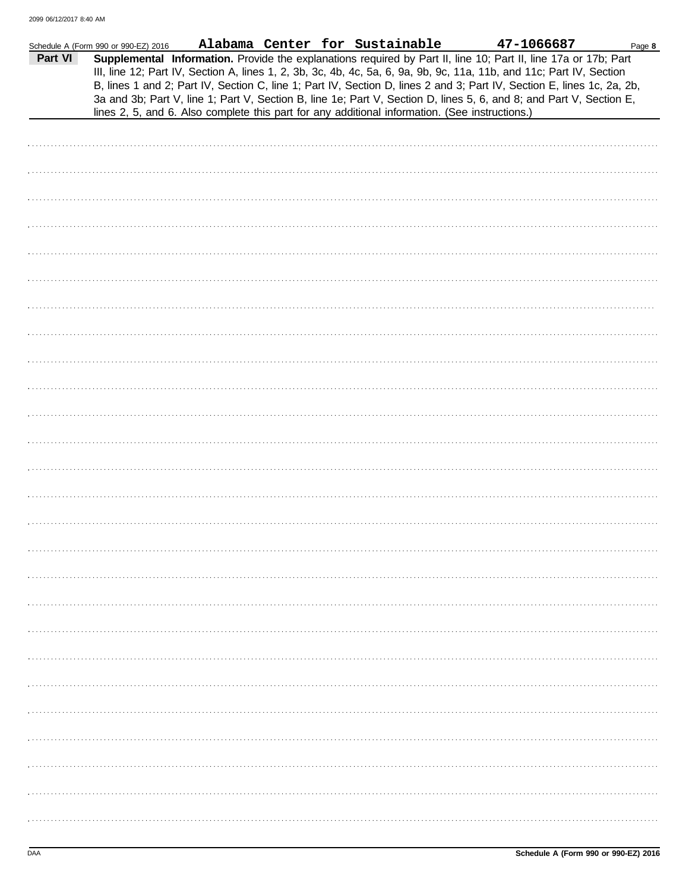|         | Schedule A (Form 990 or 990-EZ) 2016 |                                                                                                |  | Alabama Center for Sustainable | 47-1066687                                                                                                                                                                                                                                                                                                                                                                                                                                                                               | Page 8 |
|---------|--------------------------------------|------------------------------------------------------------------------------------------------|--|--------------------------------|------------------------------------------------------------------------------------------------------------------------------------------------------------------------------------------------------------------------------------------------------------------------------------------------------------------------------------------------------------------------------------------------------------------------------------------------------------------------------------------|--------|
| Part VI |                                      | lines 2, 5, and 6. Also complete this part for any additional information. (See instructions.) |  |                                | Supplemental Information. Provide the explanations required by Part II, line 10; Part II, line 17a or 17b; Part<br>III, line 12; Part IV, Section A, lines 1, 2, 3b, 3c, 4b, 4c, 5a, 6, 9a, 9b, 9c, 11a, 11b, and 11c; Part IV, Section<br>B, lines 1 and 2; Part IV, Section C, line 1; Part IV, Section D, lines 2 and 3; Part IV, Section E, lines 1c, 2a, 2b,<br>3a and 3b; Part V, line 1; Part V, Section B, line 1e; Part V, Section D, lines 5, 6, and 8; and Part V, Section E, |        |
|         |                                      |                                                                                                |  |                                |                                                                                                                                                                                                                                                                                                                                                                                                                                                                                          |        |
|         |                                      |                                                                                                |  |                                |                                                                                                                                                                                                                                                                                                                                                                                                                                                                                          |        |
|         |                                      |                                                                                                |  |                                |                                                                                                                                                                                                                                                                                                                                                                                                                                                                                          |        |
|         |                                      |                                                                                                |  |                                |                                                                                                                                                                                                                                                                                                                                                                                                                                                                                          |        |
|         |                                      |                                                                                                |  |                                |                                                                                                                                                                                                                                                                                                                                                                                                                                                                                          |        |
|         |                                      |                                                                                                |  |                                |                                                                                                                                                                                                                                                                                                                                                                                                                                                                                          |        |
|         |                                      |                                                                                                |  |                                |                                                                                                                                                                                                                                                                                                                                                                                                                                                                                          |        |
|         |                                      |                                                                                                |  |                                |                                                                                                                                                                                                                                                                                                                                                                                                                                                                                          |        |
|         |                                      |                                                                                                |  |                                |                                                                                                                                                                                                                                                                                                                                                                                                                                                                                          |        |
|         |                                      |                                                                                                |  |                                |                                                                                                                                                                                                                                                                                                                                                                                                                                                                                          |        |
|         |                                      |                                                                                                |  |                                |                                                                                                                                                                                                                                                                                                                                                                                                                                                                                          |        |
|         |                                      |                                                                                                |  |                                |                                                                                                                                                                                                                                                                                                                                                                                                                                                                                          |        |
|         |                                      |                                                                                                |  |                                |                                                                                                                                                                                                                                                                                                                                                                                                                                                                                          |        |
|         |                                      |                                                                                                |  |                                |                                                                                                                                                                                                                                                                                                                                                                                                                                                                                          |        |
|         |                                      |                                                                                                |  |                                |                                                                                                                                                                                                                                                                                                                                                                                                                                                                                          |        |
|         |                                      |                                                                                                |  |                                |                                                                                                                                                                                                                                                                                                                                                                                                                                                                                          |        |
|         |                                      |                                                                                                |  |                                |                                                                                                                                                                                                                                                                                                                                                                                                                                                                                          |        |
|         |                                      |                                                                                                |  |                                |                                                                                                                                                                                                                                                                                                                                                                                                                                                                                          |        |
|         |                                      |                                                                                                |  |                                |                                                                                                                                                                                                                                                                                                                                                                                                                                                                                          |        |
|         |                                      |                                                                                                |  |                                |                                                                                                                                                                                                                                                                                                                                                                                                                                                                                          |        |
|         |                                      |                                                                                                |  |                                |                                                                                                                                                                                                                                                                                                                                                                                                                                                                                          |        |
|         |                                      |                                                                                                |  |                                |                                                                                                                                                                                                                                                                                                                                                                                                                                                                                          |        |
|         |                                      |                                                                                                |  |                                |                                                                                                                                                                                                                                                                                                                                                                                                                                                                                          |        |
|         |                                      |                                                                                                |  |                                |                                                                                                                                                                                                                                                                                                                                                                                                                                                                                          |        |
|         |                                      |                                                                                                |  |                                |                                                                                                                                                                                                                                                                                                                                                                                                                                                                                          |        |
|         |                                      |                                                                                                |  |                                |                                                                                                                                                                                                                                                                                                                                                                                                                                                                                          |        |
|         |                                      |                                                                                                |  |                                |                                                                                                                                                                                                                                                                                                                                                                                                                                                                                          |        |
|         |                                      |                                                                                                |  |                                |                                                                                                                                                                                                                                                                                                                                                                                                                                                                                          |        |
|         |                                      |                                                                                                |  |                                |                                                                                                                                                                                                                                                                                                                                                                                                                                                                                          |        |
|         |                                      |                                                                                                |  |                                |                                                                                                                                                                                                                                                                                                                                                                                                                                                                                          |        |
|         |                                      |                                                                                                |  |                                |                                                                                                                                                                                                                                                                                                                                                                                                                                                                                          |        |
|         |                                      |                                                                                                |  |                                |                                                                                                                                                                                                                                                                                                                                                                                                                                                                                          |        |
|         |                                      |                                                                                                |  |                                |                                                                                                                                                                                                                                                                                                                                                                                                                                                                                          |        |
|         |                                      |                                                                                                |  |                                |                                                                                                                                                                                                                                                                                                                                                                                                                                                                                          |        |
|         |                                      |                                                                                                |  |                                |                                                                                                                                                                                                                                                                                                                                                                                                                                                                                          |        |
|         |                                      |                                                                                                |  |                                |                                                                                                                                                                                                                                                                                                                                                                                                                                                                                          |        |
|         |                                      |                                                                                                |  |                                |                                                                                                                                                                                                                                                                                                                                                                                                                                                                                          |        |
|         |                                      |                                                                                                |  |                                |                                                                                                                                                                                                                                                                                                                                                                                                                                                                                          |        |
|         |                                      |                                                                                                |  |                                |                                                                                                                                                                                                                                                                                                                                                                                                                                                                                          |        |
|         |                                      |                                                                                                |  |                                |                                                                                                                                                                                                                                                                                                                                                                                                                                                                                          |        |
|         |                                      |                                                                                                |  |                                |                                                                                                                                                                                                                                                                                                                                                                                                                                                                                          |        |
|         |                                      |                                                                                                |  |                                |                                                                                                                                                                                                                                                                                                                                                                                                                                                                                          |        |
|         |                                      |                                                                                                |  |                                |                                                                                                                                                                                                                                                                                                                                                                                                                                                                                          |        |
|         |                                      |                                                                                                |  |                                |                                                                                                                                                                                                                                                                                                                                                                                                                                                                                          |        |
|         |                                      |                                                                                                |  |                                |                                                                                                                                                                                                                                                                                                                                                                                                                                                                                          |        |
|         |                                      |                                                                                                |  |                                |                                                                                                                                                                                                                                                                                                                                                                                                                                                                                          |        |
|         |                                      |                                                                                                |  |                                |                                                                                                                                                                                                                                                                                                                                                                                                                                                                                          |        |
|         |                                      |                                                                                                |  |                                |                                                                                                                                                                                                                                                                                                                                                                                                                                                                                          |        |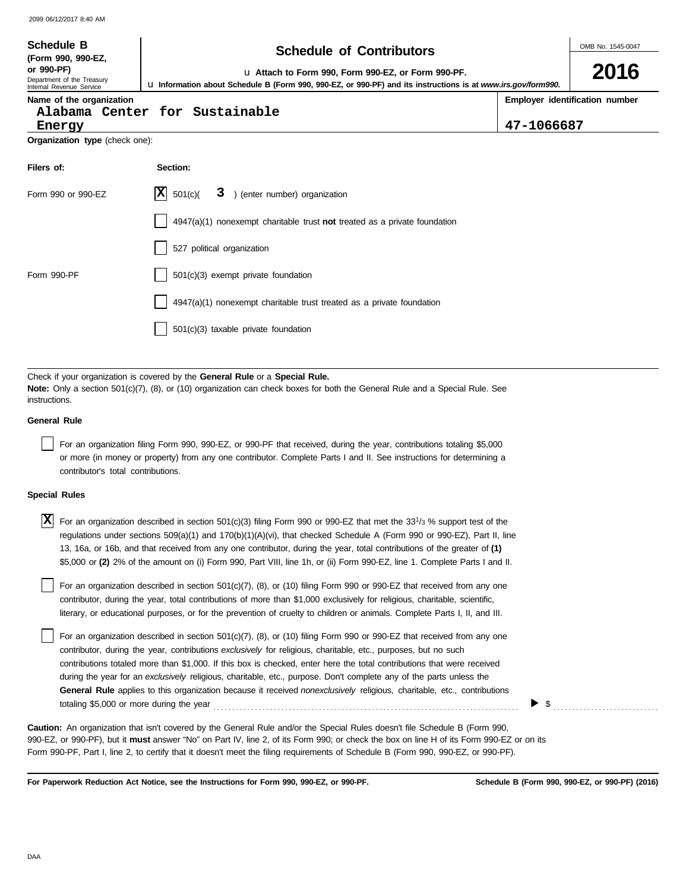| <b>Schedule B</b>                                                                          | <b>Schedule of Contributors</b>                                                                                                                                                                             | OMB No. 1545-0047 |                                |  |  |  |  |
|--------------------------------------------------------------------------------------------|-------------------------------------------------------------------------------------------------------------------------------------------------------------------------------------------------------------|-------------------|--------------------------------|--|--|--|--|
| (Form 990, 990-EZ,<br>or 990-PF)<br>Department of the Treasury<br>Internal Revenue Service | La Attach to Form 990, Form 990-EZ, or Form 990-PF.<br>U Information about Schedule B (Form 990, 990-EZ, or 990-PF) and its instructions is at www.irs.gov/form990.                                         |                   | 2016                           |  |  |  |  |
| Name of the organization<br>Energy                                                         | Alabama Center for Sustainable                                                                                                                                                                              | 47-1066687        | Employer identification number |  |  |  |  |
| Organization type (check one):                                                             |                                                                                                                                                                                                             |                   |                                |  |  |  |  |
| Filers of:                                                                                 | Section:                                                                                                                                                                                                    |                   |                                |  |  |  |  |
| Form 990 or 990-EZ                                                                         | X <br>501(c)<br>3 ) (enter number) organization                                                                                                                                                             |                   |                                |  |  |  |  |
|                                                                                            | $4947(a)(1)$ nonexempt charitable trust not treated as a private foundation                                                                                                                                 |                   |                                |  |  |  |  |
|                                                                                            | 527 political organization                                                                                                                                                                                  |                   |                                |  |  |  |  |
| Form 990-PF                                                                                | 501(c)(3) exempt private foundation                                                                                                                                                                         |                   |                                |  |  |  |  |
|                                                                                            | 4947(a)(1) nonexempt charitable trust treated as a private foundation                                                                                                                                       |                   |                                |  |  |  |  |
|                                                                                            | 501(c)(3) taxable private foundation                                                                                                                                                                        |                   |                                |  |  |  |  |
|                                                                                            |                                                                                                                                                                                                             |                   |                                |  |  |  |  |
| instructions.                                                                              | Check if your organization is covered by the General Rule or a Special Rule.<br>Note: Only a section 501(c)(7), (8), or (10) organization can check boxes for both the General Rule and a Special Rule. See |                   |                                |  |  |  |  |

### **General Rule**

| For an organization filing Form 990, 990-EZ, or 990-PF that received, during the year, contributions totaling \$5,000 |
|-----------------------------------------------------------------------------------------------------------------------|
| or more (in money or property) from any one contributor. Complete Parts I and II. See instructions for determining a  |
| contributor's total contributions.                                                                                    |

### **Special Rules**

| X | For an organization described in section 501(c)(3) filing Form 990 or 990-EZ that met the 33 <sup>1</sup> /3 % support test of the<br>regulations under sections 509(a)(1) and 170(b)(1)(A)(vi), that checked Schedule A (Form 990 or 990-EZ), Part II, line<br>13, 16a, or 16b, and that received from any one contributor, during the year, total contributions of the greater of (1)<br>\$5,000 or (2) 2% of the amount on (i) Form 990, Part VIII, line 1h, or (ii) Form 990-EZ, line 1. Complete Parts I and II.                                                                                                                                           |
|---|-----------------------------------------------------------------------------------------------------------------------------------------------------------------------------------------------------------------------------------------------------------------------------------------------------------------------------------------------------------------------------------------------------------------------------------------------------------------------------------------------------------------------------------------------------------------------------------------------------------------------------------------------------------------|
|   | For an organization described in section 501(c)(7), (8), or (10) filing Form 990 or 990-EZ that received from any one<br>contributor, during the year, total contributions of more than \$1,000 exclusively for religious, charitable, scientific,<br>literary, or educational purposes, or for the prevention of cruelty to children or animals. Complete Parts I, II, and III.                                                                                                                                                                                                                                                                                |
|   | For an organization described in section 501(c)(7), (8), or (10) filing Form 990 or 990-EZ that received from any one<br>contributor, during the year, contributions exclusively for religious, charitable, etc., purposes, but no such<br>contributions totaled more than \$1,000. If this box is checked, enter here the total contributions that were received<br>during the year for an exclusively religious, charitable, etc., purpose. Don't complete any of the parts unless the<br>General Rule applies to this organization because it received nonexclusively religious, charitable, etc., contributions<br>totaling \$5,000 or more during the year |

990-EZ, or 990-PF), but it **must** answer "No" on Part IV, line 2, of its Form 990; or check the box on line H of its Form 990-EZ or on its Form 990-PF, Part I, line 2, to certify that it doesn't meet the filing requirements of Schedule B (Form 990, 990-EZ, or 990-PF). **Caution:** An organization that isn't covered by the General Rule and/or the Special Rules doesn't file Schedule B (Form 990,

**For Paperwork Reduction Act Notice, see the Instructions for Form 990, 990-EZ, or 990-PF.**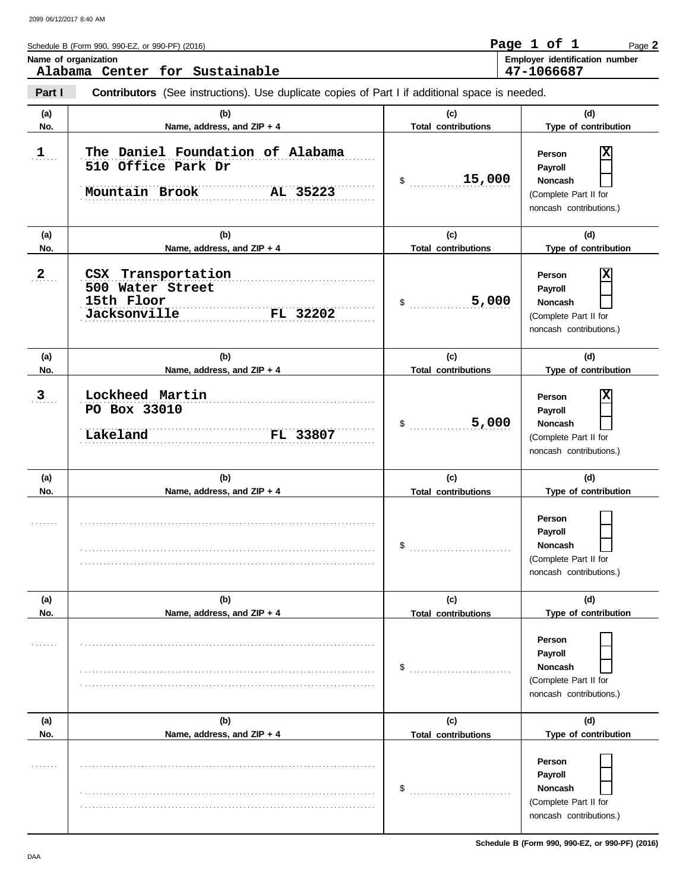|              | Schedule B (Form 990, 990-EZ, or 990-PF) (2016)<br>Name of organization<br>Alabama Center for Sustainable |                                   | Page 1 of 1<br>Page 2<br>Employer identification number<br>47-1066687                        |
|--------------|-----------------------------------------------------------------------------------------------------------|-----------------------------------|----------------------------------------------------------------------------------------------|
| Part I       | <b>Contributors</b> (See instructions). Use duplicate copies of Part I if additional space is needed.     |                                   |                                                                                              |
| (a)<br>No.   | (b)<br>Name, address, and ZIP + 4                                                                         | (c)<br><b>Total contributions</b> | (d)<br>Type of contribution                                                                  |
| $\mathbf{1}$ | The Daniel Foundation of Alabama<br>510 Office Park Dr<br>$AL$ 35223<br>Mountain Brook                    | 15,000<br>$\mathsf{\$}$           | X<br>Person<br>Payroll<br><b>Noncash</b><br>(Complete Part II for<br>noncash contributions.) |
| (a)<br>No.   | (b)<br>Name, address, and ZIP + 4                                                                         | (c)<br><b>Total contributions</b> | (d)<br>Type of contribution                                                                  |
| 2            | CSX Transportation<br>500 Water Street<br>15th Floor<br><b>TELL FIOOL</b><br>Jacksonville FL 32202        | 5,000<br>$\$\quad$                | х<br>Person<br>Payroll<br><b>Noncash</b><br>(Complete Part II for<br>noncash contributions.) |
| (a)<br>No.   | (b)<br>Name, address, and ZIP + 4                                                                         | (c)<br><b>Total contributions</b> | (d)<br>Type of contribution                                                                  |
| 3            | Lockheed Martin<br>PO Box 33010<br><b>FL 33807</b><br>Lakeland                                            | 5,000<br>$\frac{1}{2}$            | х<br>Person<br>Payroll<br><b>Noncash</b><br>(Complete Part II for<br>noncash contributions.) |
| (a)<br>No.   | (b)<br>Name, address, and ZIP + 4                                                                         | (c)<br><b>Total contributions</b> | (d)<br>Type of contribution                                                                  |
|              |                                                                                                           | \$                                | Person<br>Payroll<br><b>Noncash</b><br>(Complete Part II for<br>noncash contributions.)      |
| (a)<br>No.   | (b)<br>Name, address, and ZIP + 4                                                                         | (c)<br><b>Total contributions</b> | (d)<br>Type of contribution                                                                  |
|              |                                                                                                           | \$                                | Person<br>Payroll<br>Noncash<br>(Complete Part II for                                        |
|              |                                                                                                           |                                   | noncash contributions.)                                                                      |

(Complete Part II for noncash contributions.)

**Person Payroll Noncash**

\$ ................................

. . . . . . .

. . . . . . . . . . . . . . . . . . . . . . . . . . . . . . . . . . . . . . . . . . . . . . . . . . . . . . . . . . . . . . . . . . . . . . . . . . . . . . . . . . . . . . . . . . . . . . . . . . . . . . . . . . . . . . . . . . . . . . . . . . . . . . . . . . . . . . . . . . . . . . . . . . . . . . . . . . . .

. . . . . . . . . . . . . . . . . . . . . . . . . . . . . . . . . . . . . . . . . . . . . . . . . . . . . . . . . . . . . . . . . . . . . . . . . . . . . .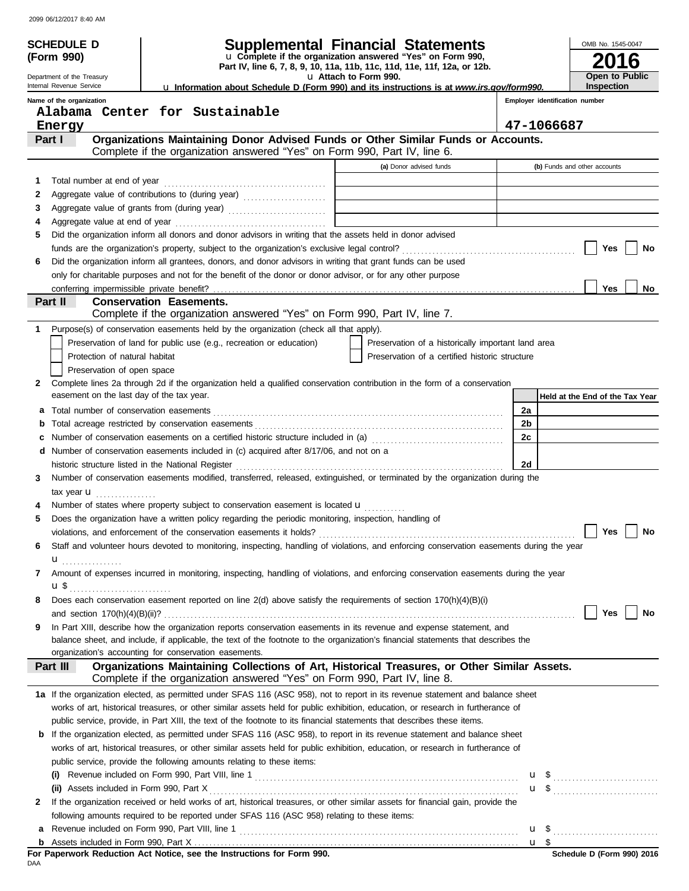|   | <b>SCHEDULE D</b>                                                                                                                                    |                                                                                                                                                                                                                                                                     | <b>Supplemental Financial Statements</b>           |    |                                | OMB No. 1545-0047               |  |  |  |
|---|------------------------------------------------------------------------------------------------------------------------------------------------------|---------------------------------------------------------------------------------------------------------------------------------------------------------------------------------------------------------------------------------------------------------------------|----------------------------------------------------|----|--------------------------------|---------------------------------|--|--|--|
|   | U Complete if the organization answered "Yes" on Form 990,<br>(Form 990)<br>Part IV, line 6, 7, 8, 9, 10, 11a, 11b, 11c, 11d, 11e, 11f, 12a, or 12b. |                                                                                                                                                                                                                                                                     |                                                    |    |                                |                                 |  |  |  |
|   | Department of the Treasury<br>Internal Revenue Service                                                                                               |                                                                                                                                                                                                                                                                     | U Attach to Form 990.                              |    |                                | <b>Open to Public</b>           |  |  |  |
|   |                                                                                                                                                      | La Information about Schedule D (Form 990) and its instructions is at www.irs.gov/form990.                                                                                                                                                                          |                                                    |    |                                | <b>Inspection</b>               |  |  |  |
|   | Name of the organization                                                                                                                             | Alabama Center for Sustainable                                                                                                                                                                                                                                      |                                                    |    | Employer identification number |                                 |  |  |  |
|   | Energy                                                                                                                                               |                                                                                                                                                                                                                                                                     |                                                    |    | 47-1066687                     |                                 |  |  |  |
|   | Part I                                                                                                                                               | Organizations Maintaining Donor Advised Funds or Other Similar Funds or Accounts.                                                                                                                                                                                   |                                                    |    |                                |                                 |  |  |  |
|   |                                                                                                                                                      | Complete if the organization answered "Yes" on Form 990, Part IV, line 6.                                                                                                                                                                                           |                                                    |    |                                |                                 |  |  |  |
|   |                                                                                                                                                      |                                                                                                                                                                                                                                                                     | (a) Donor advised funds                            |    |                                | (b) Funds and other accounts    |  |  |  |
| 1 | Total number at end of year                                                                                                                          |                                                                                                                                                                                                                                                                     |                                                    |    |                                |                                 |  |  |  |
| 2 |                                                                                                                                                      | Aggregate value of contributions to (during year)                                                                                                                                                                                                                   |                                                    |    |                                |                                 |  |  |  |
| 3 |                                                                                                                                                      |                                                                                                                                                                                                                                                                     |                                                    |    |                                |                                 |  |  |  |
| 4 |                                                                                                                                                      |                                                                                                                                                                                                                                                                     |                                                    |    |                                |                                 |  |  |  |
| 5 |                                                                                                                                                      | Did the organization inform all donors and donor advisors in writing that the assets held in donor advised                                                                                                                                                          |                                                    |    |                                |                                 |  |  |  |
|   |                                                                                                                                                      |                                                                                                                                                                                                                                                                     |                                                    |    |                                | Yes<br>No                       |  |  |  |
| 6 |                                                                                                                                                      | Did the organization inform all grantees, donors, and donor advisors in writing that grant funds can be used                                                                                                                                                        |                                                    |    |                                |                                 |  |  |  |
|   |                                                                                                                                                      | only for charitable purposes and not for the benefit of the donor or donor advisor, or for any other purpose                                                                                                                                                        |                                                    |    |                                |                                 |  |  |  |
|   |                                                                                                                                                      |                                                                                                                                                                                                                                                                     |                                                    |    |                                | Yes<br>No                       |  |  |  |
|   | Part II                                                                                                                                              | <b>Conservation Easements.</b>                                                                                                                                                                                                                                      |                                                    |    |                                |                                 |  |  |  |
|   |                                                                                                                                                      | Complete if the organization answered "Yes" on Form 990, Part IV, line 7.                                                                                                                                                                                           |                                                    |    |                                |                                 |  |  |  |
| 1 |                                                                                                                                                      | Purpose(s) of conservation easements held by the organization (check all that apply).                                                                                                                                                                               |                                                    |    |                                |                                 |  |  |  |
|   |                                                                                                                                                      | Preservation of land for public use (e.g., recreation or education)                                                                                                                                                                                                 | Preservation of a historically important land area |    |                                |                                 |  |  |  |
|   | Protection of natural habitat                                                                                                                        |                                                                                                                                                                                                                                                                     | Preservation of a certified historic structure     |    |                                |                                 |  |  |  |
|   | Preservation of open space                                                                                                                           |                                                                                                                                                                                                                                                                     |                                                    |    |                                |                                 |  |  |  |
| 2 |                                                                                                                                                      | Complete lines 2a through 2d if the organization held a qualified conservation contribution in the form of a conservation                                                                                                                                           |                                                    |    |                                |                                 |  |  |  |
|   | easement on the last day of the tax year.                                                                                                            |                                                                                                                                                                                                                                                                     |                                                    |    |                                | Held at the End of the Tax Year |  |  |  |
| а |                                                                                                                                                      |                                                                                                                                                                                                                                                                     |                                                    | 2a |                                |                                 |  |  |  |
| b |                                                                                                                                                      |                                                                                                                                                                                                                                                                     |                                                    | 2b |                                |                                 |  |  |  |
| c |                                                                                                                                                      | Number of conservation easements on a certified historic structure included in (a) [11] Number of conservation easements on a certified historic structure included in (a)                                                                                          |                                                    | 2c |                                |                                 |  |  |  |
|   |                                                                                                                                                      | d Number of conservation easements included in (c) acquired after 8/17/06, and not on a                                                                                                                                                                             |                                                    |    |                                |                                 |  |  |  |
|   |                                                                                                                                                      | historic structure listed in the National Register                                                                                                                                                                                                                  |                                                    | 2d |                                |                                 |  |  |  |
| 3 |                                                                                                                                                      | Number of conservation easements modified, transferred, released, extinguished, or terminated by the organization during the                                                                                                                                        |                                                    |    |                                |                                 |  |  |  |
|   | tax year $\mathbf{u}$                                                                                                                                |                                                                                                                                                                                                                                                                     |                                                    |    |                                |                                 |  |  |  |
|   |                                                                                                                                                      | Number of states where property subject to conservation easement is located $\bigcup$                                                                                                                                                                               |                                                    |    |                                |                                 |  |  |  |
| 5 |                                                                                                                                                      | Does the organization have a written policy regarding the periodic monitoring, inspection, handling of                                                                                                                                                              |                                                    |    |                                |                                 |  |  |  |
|   |                                                                                                                                                      | violations, and enforcement of the conservation easements it holds?                                                                                                                                                                                                 |                                                    |    |                                | Yes<br>No                       |  |  |  |
| 6 |                                                                                                                                                      | Staff and volunteer hours devoted to monitoring, inspecting, handling of violations, and enforcing conservation easements during the year                                                                                                                           |                                                    |    |                                |                                 |  |  |  |
|   | <b>u</b> <sub>……………</sub>                                                                                                                            | Amount of expenses incurred in monitoring, inspecting, handling of violations, and enforcing conservation easements during the year                                                                                                                                 |                                                    |    |                                |                                 |  |  |  |
| 7 |                                                                                                                                                      |                                                                                                                                                                                                                                                                     |                                                    |    |                                |                                 |  |  |  |
|   | $u$ \$                                                                                                                                               | Does each conservation easement reported on line 2(d) above satisfy the requirements of section 170(h)(4)(B)(i)                                                                                                                                                     |                                                    |    |                                |                                 |  |  |  |
| 8 |                                                                                                                                                      |                                                                                                                                                                                                                                                                     |                                                    |    |                                | Yes<br>No                       |  |  |  |
| 9 |                                                                                                                                                      | In Part XIII, describe how the organization reports conservation easements in its revenue and expense statement, and                                                                                                                                                |                                                    |    |                                |                                 |  |  |  |
|   |                                                                                                                                                      | balance sheet, and include, if applicable, the text of the footnote to the organization's financial statements that describes the                                                                                                                                   |                                                    |    |                                |                                 |  |  |  |
|   |                                                                                                                                                      | organization's accounting for conservation easements.                                                                                                                                                                                                               |                                                    |    |                                |                                 |  |  |  |
|   | Part III                                                                                                                                             | Organizations Maintaining Collections of Art, Historical Treasures, or Other Similar Assets.<br>Complete if the organization answered "Yes" on Form 990, Part IV, line 8.                                                                                           |                                                    |    |                                |                                 |  |  |  |
|   |                                                                                                                                                      |                                                                                                                                                                                                                                                                     |                                                    |    |                                |                                 |  |  |  |
|   |                                                                                                                                                      | 1a If the organization elected, as permitted under SFAS 116 (ASC 958), not to report in its revenue statement and balance sheet<br>works of art, historical treasures, or other similar assets held for public exhibition, education, or research in furtherance of |                                                    |    |                                |                                 |  |  |  |
|   |                                                                                                                                                      | public service, provide, in Part XIII, the text of the footnote to its financial statements that describes these items.                                                                                                                                             |                                                    |    |                                |                                 |  |  |  |
| b |                                                                                                                                                      | If the organization elected, as permitted under SFAS 116 (ASC 958), to report in its revenue statement and balance sheet                                                                                                                                            |                                                    |    |                                |                                 |  |  |  |
|   |                                                                                                                                                      | works of art, historical treasures, or other similar assets held for public exhibition, education, or research in furtherance of                                                                                                                                    |                                                    |    |                                |                                 |  |  |  |
|   |                                                                                                                                                      | public service, provide the following amounts relating to these items:                                                                                                                                                                                              |                                                    |    |                                |                                 |  |  |  |
|   |                                                                                                                                                      |                                                                                                                                                                                                                                                                     |                                                    |    |                                |                                 |  |  |  |
|   |                                                                                                                                                      |                                                                                                                                                                                                                                                                     |                                                    |    |                                |                                 |  |  |  |
| 2 |                                                                                                                                                      | If the organization received or held works of art, historical treasures, or other similar assets for financial gain, provide the                                                                                                                                    |                                                    |    |                                | $\overline{u}$ \$               |  |  |  |
|   |                                                                                                                                                      | following amounts required to be reported under SFAS 116 (ASC 958) relating to these items:                                                                                                                                                                         |                                                    |    |                                |                                 |  |  |  |
| а |                                                                                                                                                      |                                                                                                                                                                                                                                                                     |                                                    |    |                                |                                 |  |  |  |
|   |                                                                                                                                                      |                                                                                                                                                                                                                                                                     |                                                    |    |                                |                                 |  |  |  |
|   |                                                                                                                                                      |                                                                                                                                                                                                                                                                     |                                                    |    |                                |                                 |  |  |  |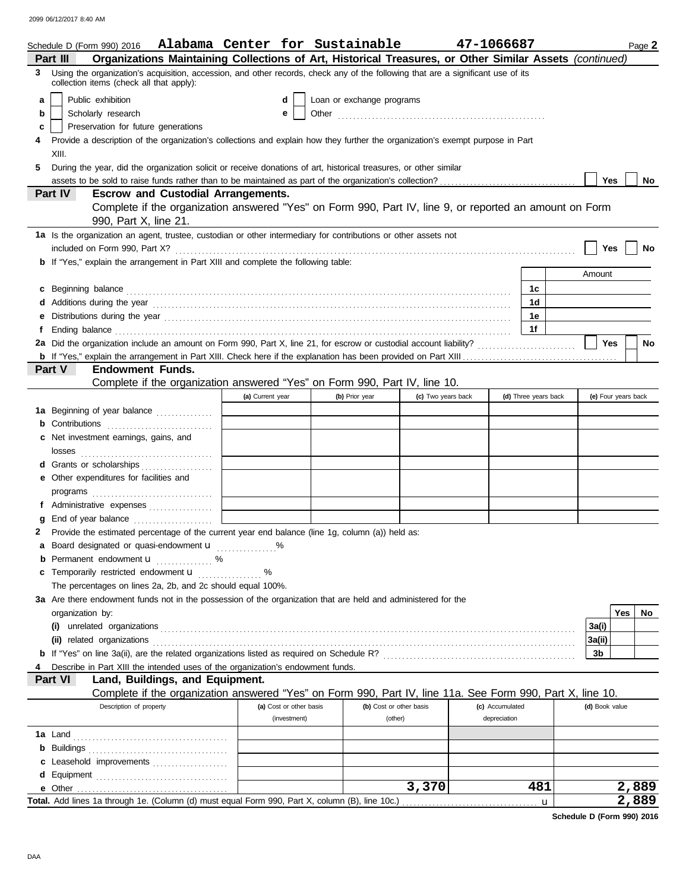| Organizations Maintaining Collections of Art, Historical Treasures, or Other Similar Assets (continued)<br>Part III<br>Using the organization's acquisition, accession, and other records, check any of the following that are a significant use of its<br>3<br>collection items (check all that apply):<br>Public exhibition<br>Loan or exchange programs<br>a<br>d<br>Scholarly research<br>b<br>е<br>Preservation for future generations<br>c<br>Provide a description of the organization's collections and explain how they further the organization's exempt purpose in Part<br>XIII.<br>5<br>During the year, did the organization solicit or receive donations of art, historical treasures, or other similar<br><b>Yes</b><br><b>No</b><br><b>Escrow and Custodial Arrangements.</b><br><b>Part IV</b><br>Complete if the organization answered "Yes" on Form 990, Part IV, line 9, or reported an amount on Form<br>990, Part X, line 21.<br>1a Is the organization an agent, trustee, custodian or other intermediary for contributions or other assets not<br>Yes<br>No<br><b>b</b> If "Yes," explain the arrangement in Part XIII and complete the following table:<br>Amount<br>c Beginning balance <b>contract the contract of the contract of the contract of the contract of the contract of the contract of the contract of the contract of the contract of the contract of the contract of the contract of </b><br>1c<br>1d<br>1е<br>е<br>1f<br>Ending balance <b>constructs</b> and constructs and constructs and constructs and constructs and constructs and constructs and constructs and constructs and constructs and constructs and constructs and constructs and constructs<br>f<br>2a Did the organization include an amount on Form 990, Part X, line 21, for escrow or custodial account liability?<br><b>Yes</b><br><b>No</b><br>Part V<br><b>Endowment Funds.</b><br>Complete if the organization answered "Yes" on Form 990, Part IV, line 10.<br>(a) Current year<br>(d) Three years back<br>(e) Four years back<br>(b) Prior year<br>(c) Two years back<br>1a Beginning of year balance<br><b>b</b> Contributions <b>contributions</b><br>c Net investment earnings, gains, and<br>d Grants or scholarships<br>e Other expenditures for facilities and<br>programs<br>f Administrative expenses<br>End of year balance<br>g<br>2 Provide the estimated percentage of the current year end balance (line 1g, column (a)) held as:<br>a Board designated or quasi-endowment u<br><b>b</b> Permanent endowment $\mathbf{u}$ %<br>c Temporarily restricted endowment u<br>%<br>The percentages on lines 2a, 2b, and 2c should equal 100%.<br>3a Are there endowment funds not in the possession of the organization that are held and administered for the<br>Yes<br>No<br>organization by:<br>3a(i)<br>(ii) related organizations entertainment and all the contract of the contract of the contract or contract or contract or contract or contract or contract or contract or contract or contract or contract or contract or contr<br>3a(ii)<br>3b<br>Describe in Part XIII the intended uses of the organization's endowment funds.<br>Land, Buildings, and Equipment.<br>Part VI<br>Complete if the organization answered "Yes" on Form 990, Part IV, line 11a. See Form 990, Part X, line 10.<br>Description of property<br>(a) Cost or other basis<br>(b) Cost or other basis<br>(c) Accumulated<br>(d) Book value<br>(investment)<br>(other)<br>depreciation<br>c Leasehold improvements<br>3,370<br>481<br>2,889 | Schedule D (Form 990) 2016 Alabama Center for Sustainable |  |  | 47-1066687 |  |  | Page 2 |
|-----------------------------------------------------------------------------------------------------------------------------------------------------------------------------------------------------------------------------------------------------------------------------------------------------------------------------------------------------------------------------------------------------------------------------------------------------------------------------------------------------------------------------------------------------------------------------------------------------------------------------------------------------------------------------------------------------------------------------------------------------------------------------------------------------------------------------------------------------------------------------------------------------------------------------------------------------------------------------------------------------------------------------------------------------------------------------------------------------------------------------------------------------------------------------------------------------------------------------------------------------------------------------------------------------------------------------------------------------------------------------------------------------------------------------------------------------------------------------------------------------------------------------------------------------------------------------------------------------------------------------------------------------------------------------------------------------------------------------------------------------------------------------------------------------------------------------------------------------------------------------------------------------------------------------------------------------------------------------------------------------------------------------------------------------------------------------------------------------------------------------------------------------------------------------------------------------------------------------------------------------------------------------------------------------------------------------------------------------------------------------------------------------------------------------------------------------------------------------------------------------------------------------------------------------------------------------------------------------------------------------------------------------------------------------------------------------------------------------------------------------------------------------------------------------------------------------------------------------------------------------------------------------------------------------------------------------------------------------------------------------------------------------------------------------------------------------------------------------------------------------------------------------------------------------------------------------------------------------------------------------------------------------------------------------------------------------------------------------------------------------------------------------------------------------------------------------------------------------------------------------------------------------------------------------------|-----------------------------------------------------------|--|--|------------|--|--|--------|
|                                                                                                                                                                                                                                                                                                                                                                                                                                                                                                                                                                                                                                                                                                                                                                                                                                                                                                                                                                                                                                                                                                                                                                                                                                                                                                                                                                                                                                                                                                                                                                                                                                                                                                                                                                                                                                                                                                                                                                                                                                                                                                                                                                                                                                                                                                                                                                                                                                                                                                                                                                                                                                                                                                                                                                                                                                                                                                                                                                                                                                                                                                                                                                                                                                                                                                                                                                                                                                                                                                                                                           |                                                           |  |  |            |  |  |        |
|                                                                                                                                                                                                                                                                                                                                                                                                                                                                                                                                                                                                                                                                                                                                                                                                                                                                                                                                                                                                                                                                                                                                                                                                                                                                                                                                                                                                                                                                                                                                                                                                                                                                                                                                                                                                                                                                                                                                                                                                                                                                                                                                                                                                                                                                                                                                                                                                                                                                                                                                                                                                                                                                                                                                                                                                                                                                                                                                                                                                                                                                                                                                                                                                                                                                                                                                                                                                                                                                                                                                                           |                                                           |  |  |            |  |  |        |
|                                                                                                                                                                                                                                                                                                                                                                                                                                                                                                                                                                                                                                                                                                                                                                                                                                                                                                                                                                                                                                                                                                                                                                                                                                                                                                                                                                                                                                                                                                                                                                                                                                                                                                                                                                                                                                                                                                                                                                                                                                                                                                                                                                                                                                                                                                                                                                                                                                                                                                                                                                                                                                                                                                                                                                                                                                                                                                                                                                                                                                                                                                                                                                                                                                                                                                                                                                                                                                                                                                                                                           |                                                           |  |  |            |  |  |        |
|                                                                                                                                                                                                                                                                                                                                                                                                                                                                                                                                                                                                                                                                                                                                                                                                                                                                                                                                                                                                                                                                                                                                                                                                                                                                                                                                                                                                                                                                                                                                                                                                                                                                                                                                                                                                                                                                                                                                                                                                                                                                                                                                                                                                                                                                                                                                                                                                                                                                                                                                                                                                                                                                                                                                                                                                                                                                                                                                                                                                                                                                                                                                                                                                                                                                                                                                                                                                                                                                                                                                                           |                                                           |  |  |            |  |  |        |
|                                                                                                                                                                                                                                                                                                                                                                                                                                                                                                                                                                                                                                                                                                                                                                                                                                                                                                                                                                                                                                                                                                                                                                                                                                                                                                                                                                                                                                                                                                                                                                                                                                                                                                                                                                                                                                                                                                                                                                                                                                                                                                                                                                                                                                                                                                                                                                                                                                                                                                                                                                                                                                                                                                                                                                                                                                                                                                                                                                                                                                                                                                                                                                                                                                                                                                                                                                                                                                                                                                                                                           |                                                           |  |  |            |  |  |        |
|                                                                                                                                                                                                                                                                                                                                                                                                                                                                                                                                                                                                                                                                                                                                                                                                                                                                                                                                                                                                                                                                                                                                                                                                                                                                                                                                                                                                                                                                                                                                                                                                                                                                                                                                                                                                                                                                                                                                                                                                                                                                                                                                                                                                                                                                                                                                                                                                                                                                                                                                                                                                                                                                                                                                                                                                                                                                                                                                                                                                                                                                                                                                                                                                                                                                                                                                                                                                                                                                                                                                                           |                                                           |  |  |            |  |  |        |
|                                                                                                                                                                                                                                                                                                                                                                                                                                                                                                                                                                                                                                                                                                                                                                                                                                                                                                                                                                                                                                                                                                                                                                                                                                                                                                                                                                                                                                                                                                                                                                                                                                                                                                                                                                                                                                                                                                                                                                                                                                                                                                                                                                                                                                                                                                                                                                                                                                                                                                                                                                                                                                                                                                                                                                                                                                                                                                                                                                                                                                                                                                                                                                                                                                                                                                                                                                                                                                                                                                                                                           |                                                           |  |  |            |  |  |        |
|                                                                                                                                                                                                                                                                                                                                                                                                                                                                                                                                                                                                                                                                                                                                                                                                                                                                                                                                                                                                                                                                                                                                                                                                                                                                                                                                                                                                                                                                                                                                                                                                                                                                                                                                                                                                                                                                                                                                                                                                                                                                                                                                                                                                                                                                                                                                                                                                                                                                                                                                                                                                                                                                                                                                                                                                                                                                                                                                                                                                                                                                                                                                                                                                                                                                                                                                                                                                                                                                                                                                                           |                                                           |  |  |            |  |  |        |
|                                                                                                                                                                                                                                                                                                                                                                                                                                                                                                                                                                                                                                                                                                                                                                                                                                                                                                                                                                                                                                                                                                                                                                                                                                                                                                                                                                                                                                                                                                                                                                                                                                                                                                                                                                                                                                                                                                                                                                                                                                                                                                                                                                                                                                                                                                                                                                                                                                                                                                                                                                                                                                                                                                                                                                                                                                                                                                                                                                                                                                                                                                                                                                                                                                                                                                                                                                                                                                                                                                                                                           |                                                           |  |  |            |  |  |        |
|                                                                                                                                                                                                                                                                                                                                                                                                                                                                                                                                                                                                                                                                                                                                                                                                                                                                                                                                                                                                                                                                                                                                                                                                                                                                                                                                                                                                                                                                                                                                                                                                                                                                                                                                                                                                                                                                                                                                                                                                                                                                                                                                                                                                                                                                                                                                                                                                                                                                                                                                                                                                                                                                                                                                                                                                                                                                                                                                                                                                                                                                                                                                                                                                                                                                                                                                                                                                                                                                                                                                                           |                                                           |  |  |            |  |  |        |
|                                                                                                                                                                                                                                                                                                                                                                                                                                                                                                                                                                                                                                                                                                                                                                                                                                                                                                                                                                                                                                                                                                                                                                                                                                                                                                                                                                                                                                                                                                                                                                                                                                                                                                                                                                                                                                                                                                                                                                                                                                                                                                                                                                                                                                                                                                                                                                                                                                                                                                                                                                                                                                                                                                                                                                                                                                                                                                                                                                                                                                                                                                                                                                                                                                                                                                                                                                                                                                                                                                                                                           |                                                           |  |  |            |  |  |        |
|                                                                                                                                                                                                                                                                                                                                                                                                                                                                                                                                                                                                                                                                                                                                                                                                                                                                                                                                                                                                                                                                                                                                                                                                                                                                                                                                                                                                                                                                                                                                                                                                                                                                                                                                                                                                                                                                                                                                                                                                                                                                                                                                                                                                                                                                                                                                                                                                                                                                                                                                                                                                                                                                                                                                                                                                                                                                                                                                                                                                                                                                                                                                                                                                                                                                                                                                                                                                                                                                                                                                                           |                                                           |  |  |            |  |  |        |
|                                                                                                                                                                                                                                                                                                                                                                                                                                                                                                                                                                                                                                                                                                                                                                                                                                                                                                                                                                                                                                                                                                                                                                                                                                                                                                                                                                                                                                                                                                                                                                                                                                                                                                                                                                                                                                                                                                                                                                                                                                                                                                                                                                                                                                                                                                                                                                                                                                                                                                                                                                                                                                                                                                                                                                                                                                                                                                                                                                                                                                                                                                                                                                                                                                                                                                                                                                                                                                                                                                                                                           |                                                           |  |  |            |  |  |        |
|                                                                                                                                                                                                                                                                                                                                                                                                                                                                                                                                                                                                                                                                                                                                                                                                                                                                                                                                                                                                                                                                                                                                                                                                                                                                                                                                                                                                                                                                                                                                                                                                                                                                                                                                                                                                                                                                                                                                                                                                                                                                                                                                                                                                                                                                                                                                                                                                                                                                                                                                                                                                                                                                                                                                                                                                                                                                                                                                                                                                                                                                                                                                                                                                                                                                                                                                                                                                                                                                                                                                                           |                                                           |  |  |            |  |  |        |
|                                                                                                                                                                                                                                                                                                                                                                                                                                                                                                                                                                                                                                                                                                                                                                                                                                                                                                                                                                                                                                                                                                                                                                                                                                                                                                                                                                                                                                                                                                                                                                                                                                                                                                                                                                                                                                                                                                                                                                                                                                                                                                                                                                                                                                                                                                                                                                                                                                                                                                                                                                                                                                                                                                                                                                                                                                                                                                                                                                                                                                                                                                                                                                                                                                                                                                                                                                                                                                                                                                                                                           |                                                           |  |  |            |  |  |        |
|                                                                                                                                                                                                                                                                                                                                                                                                                                                                                                                                                                                                                                                                                                                                                                                                                                                                                                                                                                                                                                                                                                                                                                                                                                                                                                                                                                                                                                                                                                                                                                                                                                                                                                                                                                                                                                                                                                                                                                                                                                                                                                                                                                                                                                                                                                                                                                                                                                                                                                                                                                                                                                                                                                                                                                                                                                                                                                                                                                                                                                                                                                                                                                                                                                                                                                                                                                                                                                                                                                                                                           |                                                           |  |  |            |  |  |        |
|                                                                                                                                                                                                                                                                                                                                                                                                                                                                                                                                                                                                                                                                                                                                                                                                                                                                                                                                                                                                                                                                                                                                                                                                                                                                                                                                                                                                                                                                                                                                                                                                                                                                                                                                                                                                                                                                                                                                                                                                                                                                                                                                                                                                                                                                                                                                                                                                                                                                                                                                                                                                                                                                                                                                                                                                                                                                                                                                                                                                                                                                                                                                                                                                                                                                                                                                                                                                                                                                                                                                                           |                                                           |  |  |            |  |  |        |
|                                                                                                                                                                                                                                                                                                                                                                                                                                                                                                                                                                                                                                                                                                                                                                                                                                                                                                                                                                                                                                                                                                                                                                                                                                                                                                                                                                                                                                                                                                                                                                                                                                                                                                                                                                                                                                                                                                                                                                                                                                                                                                                                                                                                                                                                                                                                                                                                                                                                                                                                                                                                                                                                                                                                                                                                                                                                                                                                                                                                                                                                                                                                                                                                                                                                                                                                                                                                                                                                                                                                                           |                                                           |  |  |            |  |  |        |
|                                                                                                                                                                                                                                                                                                                                                                                                                                                                                                                                                                                                                                                                                                                                                                                                                                                                                                                                                                                                                                                                                                                                                                                                                                                                                                                                                                                                                                                                                                                                                                                                                                                                                                                                                                                                                                                                                                                                                                                                                                                                                                                                                                                                                                                                                                                                                                                                                                                                                                                                                                                                                                                                                                                                                                                                                                                                                                                                                                                                                                                                                                                                                                                                                                                                                                                                                                                                                                                                                                                                                           |                                                           |  |  |            |  |  |        |
|                                                                                                                                                                                                                                                                                                                                                                                                                                                                                                                                                                                                                                                                                                                                                                                                                                                                                                                                                                                                                                                                                                                                                                                                                                                                                                                                                                                                                                                                                                                                                                                                                                                                                                                                                                                                                                                                                                                                                                                                                                                                                                                                                                                                                                                                                                                                                                                                                                                                                                                                                                                                                                                                                                                                                                                                                                                                                                                                                                                                                                                                                                                                                                                                                                                                                                                                                                                                                                                                                                                                                           |                                                           |  |  |            |  |  |        |
|                                                                                                                                                                                                                                                                                                                                                                                                                                                                                                                                                                                                                                                                                                                                                                                                                                                                                                                                                                                                                                                                                                                                                                                                                                                                                                                                                                                                                                                                                                                                                                                                                                                                                                                                                                                                                                                                                                                                                                                                                                                                                                                                                                                                                                                                                                                                                                                                                                                                                                                                                                                                                                                                                                                                                                                                                                                                                                                                                                                                                                                                                                                                                                                                                                                                                                                                                                                                                                                                                                                                                           |                                                           |  |  |            |  |  |        |
|                                                                                                                                                                                                                                                                                                                                                                                                                                                                                                                                                                                                                                                                                                                                                                                                                                                                                                                                                                                                                                                                                                                                                                                                                                                                                                                                                                                                                                                                                                                                                                                                                                                                                                                                                                                                                                                                                                                                                                                                                                                                                                                                                                                                                                                                                                                                                                                                                                                                                                                                                                                                                                                                                                                                                                                                                                                                                                                                                                                                                                                                                                                                                                                                                                                                                                                                                                                                                                                                                                                                                           |                                                           |  |  |            |  |  |        |
|                                                                                                                                                                                                                                                                                                                                                                                                                                                                                                                                                                                                                                                                                                                                                                                                                                                                                                                                                                                                                                                                                                                                                                                                                                                                                                                                                                                                                                                                                                                                                                                                                                                                                                                                                                                                                                                                                                                                                                                                                                                                                                                                                                                                                                                                                                                                                                                                                                                                                                                                                                                                                                                                                                                                                                                                                                                                                                                                                                                                                                                                                                                                                                                                                                                                                                                                                                                                                                                                                                                                                           |                                                           |  |  |            |  |  |        |
|                                                                                                                                                                                                                                                                                                                                                                                                                                                                                                                                                                                                                                                                                                                                                                                                                                                                                                                                                                                                                                                                                                                                                                                                                                                                                                                                                                                                                                                                                                                                                                                                                                                                                                                                                                                                                                                                                                                                                                                                                                                                                                                                                                                                                                                                                                                                                                                                                                                                                                                                                                                                                                                                                                                                                                                                                                                                                                                                                                                                                                                                                                                                                                                                                                                                                                                                                                                                                                                                                                                                                           |                                                           |  |  |            |  |  |        |
|                                                                                                                                                                                                                                                                                                                                                                                                                                                                                                                                                                                                                                                                                                                                                                                                                                                                                                                                                                                                                                                                                                                                                                                                                                                                                                                                                                                                                                                                                                                                                                                                                                                                                                                                                                                                                                                                                                                                                                                                                                                                                                                                                                                                                                                                                                                                                                                                                                                                                                                                                                                                                                                                                                                                                                                                                                                                                                                                                                                                                                                                                                                                                                                                                                                                                                                                                                                                                                                                                                                                                           |                                                           |  |  |            |  |  |        |
|                                                                                                                                                                                                                                                                                                                                                                                                                                                                                                                                                                                                                                                                                                                                                                                                                                                                                                                                                                                                                                                                                                                                                                                                                                                                                                                                                                                                                                                                                                                                                                                                                                                                                                                                                                                                                                                                                                                                                                                                                                                                                                                                                                                                                                                                                                                                                                                                                                                                                                                                                                                                                                                                                                                                                                                                                                                                                                                                                                                                                                                                                                                                                                                                                                                                                                                                                                                                                                                                                                                                                           |                                                           |  |  |            |  |  |        |
|                                                                                                                                                                                                                                                                                                                                                                                                                                                                                                                                                                                                                                                                                                                                                                                                                                                                                                                                                                                                                                                                                                                                                                                                                                                                                                                                                                                                                                                                                                                                                                                                                                                                                                                                                                                                                                                                                                                                                                                                                                                                                                                                                                                                                                                                                                                                                                                                                                                                                                                                                                                                                                                                                                                                                                                                                                                                                                                                                                                                                                                                                                                                                                                                                                                                                                                                                                                                                                                                                                                                                           |                                                           |  |  |            |  |  |        |
|                                                                                                                                                                                                                                                                                                                                                                                                                                                                                                                                                                                                                                                                                                                                                                                                                                                                                                                                                                                                                                                                                                                                                                                                                                                                                                                                                                                                                                                                                                                                                                                                                                                                                                                                                                                                                                                                                                                                                                                                                                                                                                                                                                                                                                                                                                                                                                                                                                                                                                                                                                                                                                                                                                                                                                                                                                                                                                                                                                                                                                                                                                                                                                                                                                                                                                                                                                                                                                                                                                                                                           |                                                           |  |  |            |  |  |        |
|                                                                                                                                                                                                                                                                                                                                                                                                                                                                                                                                                                                                                                                                                                                                                                                                                                                                                                                                                                                                                                                                                                                                                                                                                                                                                                                                                                                                                                                                                                                                                                                                                                                                                                                                                                                                                                                                                                                                                                                                                                                                                                                                                                                                                                                                                                                                                                                                                                                                                                                                                                                                                                                                                                                                                                                                                                                                                                                                                                                                                                                                                                                                                                                                                                                                                                                                                                                                                                                                                                                                                           |                                                           |  |  |            |  |  |        |
|                                                                                                                                                                                                                                                                                                                                                                                                                                                                                                                                                                                                                                                                                                                                                                                                                                                                                                                                                                                                                                                                                                                                                                                                                                                                                                                                                                                                                                                                                                                                                                                                                                                                                                                                                                                                                                                                                                                                                                                                                                                                                                                                                                                                                                                                                                                                                                                                                                                                                                                                                                                                                                                                                                                                                                                                                                                                                                                                                                                                                                                                                                                                                                                                                                                                                                                                                                                                                                                                                                                                                           |                                                           |  |  |            |  |  |        |
|                                                                                                                                                                                                                                                                                                                                                                                                                                                                                                                                                                                                                                                                                                                                                                                                                                                                                                                                                                                                                                                                                                                                                                                                                                                                                                                                                                                                                                                                                                                                                                                                                                                                                                                                                                                                                                                                                                                                                                                                                                                                                                                                                                                                                                                                                                                                                                                                                                                                                                                                                                                                                                                                                                                                                                                                                                                                                                                                                                                                                                                                                                                                                                                                                                                                                                                                                                                                                                                                                                                                                           |                                                           |  |  |            |  |  |        |
|                                                                                                                                                                                                                                                                                                                                                                                                                                                                                                                                                                                                                                                                                                                                                                                                                                                                                                                                                                                                                                                                                                                                                                                                                                                                                                                                                                                                                                                                                                                                                                                                                                                                                                                                                                                                                                                                                                                                                                                                                                                                                                                                                                                                                                                                                                                                                                                                                                                                                                                                                                                                                                                                                                                                                                                                                                                                                                                                                                                                                                                                                                                                                                                                                                                                                                                                                                                                                                                                                                                                                           |                                                           |  |  |            |  |  |        |
|                                                                                                                                                                                                                                                                                                                                                                                                                                                                                                                                                                                                                                                                                                                                                                                                                                                                                                                                                                                                                                                                                                                                                                                                                                                                                                                                                                                                                                                                                                                                                                                                                                                                                                                                                                                                                                                                                                                                                                                                                                                                                                                                                                                                                                                                                                                                                                                                                                                                                                                                                                                                                                                                                                                                                                                                                                                                                                                                                                                                                                                                                                                                                                                                                                                                                                                                                                                                                                                                                                                                                           |                                                           |  |  |            |  |  |        |
|                                                                                                                                                                                                                                                                                                                                                                                                                                                                                                                                                                                                                                                                                                                                                                                                                                                                                                                                                                                                                                                                                                                                                                                                                                                                                                                                                                                                                                                                                                                                                                                                                                                                                                                                                                                                                                                                                                                                                                                                                                                                                                                                                                                                                                                                                                                                                                                                                                                                                                                                                                                                                                                                                                                                                                                                                                                                                                                                                                                                                                                                                                                                                                                                                                                                                                                                                                                                                                                                                                                                                           |                                                           |  |  |            |  |  |        |
|                                                                                                                                                                                                                                                                                                                                                                                                                                                                                                                                                                                                                                                                                                                                                                                                                                                                                                                                                                                                                                                                                                                                                                                                                                                                                                                                                                                                                                                                                                                                                                                                                                                                                                                                                                                                                                                                                                                                                                                                                                                                                                                                                                                                                                                                                                                                                                                                                                                                                                                                                                                                                                                                                                                                                                                                                                                                                                                                                                                                                                                                                                                                                                                                                                                                                                                                                                                                                                                                                                                                                           |                                                           |  |  |            |  |  |        |
|                                                                                                                                                                                                                                                                                                                                                                                                                                                                                                                                                                                                                                                                                                                                                                                                                                                                                                                                                                                                                                                                                                                                                                                                                                                                                                                                                                                                                                                                                                                                                                                                                                                                                                                                                                                                                                                                                                                                                                                                                                                                                                                                                                                                                                                                                                                                                                                                                                                                                                                                                                                                                                                                                                                                                                                                                                                                                                                                                                                                                                                                                                                                                                                                                                                                                                                                                                                                                                                                                                                                                           |                                                           |  |  |            |  |  |        |
|                                                                                                                                                                                                                                                                                                                                                                                                                                                                                                                                                                                                                                                                                                                                                                                                                                                                                                                                                                                                                                                                                                                                                                                                                                                                                                                                                                                                                                                                                                                                                                                                                                                                                                                                                                                                                                                                                                                                                                                                                                                                                                                                                                                                                                                                                                                                                                                                                                                                                                                                                                                                                                                                                                                                                                                                                                                                                                                                                                                                                                                                                                                                                                                                                                                                                                                                                                                                                                                                                                                                                           |                                                           |  |  |            |  |  |        |
|                                                                                                                                                                                                                                                                                                                                                                                                                                                                                                                                                                                                                                                                                                                                                                                                                                                                                                                                                                                                                                                                                                                                                                                                                                                                                                                                                                                                                                                                                                                                                                                                                                                                                                                                                                                                                                                                                                                                                                                                                                                                                                                                                                                                                                                                                                                                                                                                                                                                                                                                                                                                                                                                                                                                                                                                                                                                                                                                                                                                                                                                                                                                                                                                                                                                                                                                                                                                                                                                                                                                                           |                                                           |  |  |            |  |  |        |
|                                                                                                                                                                                                                                                                                                                                                                                                                                                                                                                                                                                                                                                                                                                                                                                                                                                                                                                                                                                                                                                                                                                                                                                                                                                                                                                                                                                                                                                                                                                                                                                                                                                                                                                                                                                                                                                                                                                                                                                                                                                                                                                                                                                                                                                                                                                                                                                                                                                                                                                                                                                                                                                                                                                                                                                                                                                                                                                                                                                                                                                                                                                                                                                                                                                                                                                                                                                                                                                                                                                                                           |                                                           |  |  |            |  |  |        |
|                                                                                                                                                                                                                                                                                                                                                                                                                                                                                                                                                                                                                                                                                                                                                                                                                                                                                                                                                                                                                                                                                                                                                                                                                                                                                                                                                                                                                                                                                                                                                                                                                                                                                                                                                                                                                                                                                                                                                                                                                                                                                                                                                                                                                                                                                                                                                                                                                                                                                                                                                                                                                                                                                                                                                                                                                                                                                                                                                                                                                                                                                                                                                                                                                                                                                                                                                                                                                                                                                                                                                           |                                                           |  |  |            |  |  |        |
|                                                                                                                                                                                                                                                                                                                                                                                                                                                                                                                                                                                                                                                                                                                                                                                                                                                                                                                                                                                                                                                                                                                                                                                                                                                                                                                                                                                                                                                                                                                                                                                                                                                                                                                                                                                                                                                                                                                                                                                                                                                                                                                                                                                                                                                                                                                                                                                                                                                                                                                                                                                                                                                                                                                                                                                                                                                                                                                                                                                                                                                                                                                                                                                                                                                                                                                                                                                                                                                                                                                                                           |                                                           |  |  |            |  |  |        |
|                                                                                                                                                                                                                                                                                                                                                                                                                                                                                                                                                                                                                                                                                                                                                                                                                                                                                                                                                                                                                                                                                                                                                                                                                                                                                                                                                                                                                                                                                                                                                                                                                                                                                                                                                                                                                                                                                                                                                                                                                                                                                                                                                                                                                                                                                                                                                                                                                                                                                                                                                                                                                                                                                                                                                                                                                                                                                                                                                                                                                                                                                                                                                                                                                                                                                                                                                                                                                                                                                                                                                           |                                                           |  |  |            |  |  |        |
|                                                                                                                                                                                                                                                                                                                                                                                                                                                                                                                                                                                                                                                                                                                                                                                                                                                                                                                                                                                                                                                                                                                                                                                                                                                                                                                                                                                                                                                                                                                                                                                                                                                                                                                                                                                                                                                                                                                                                                                                                                                                                                                                                                                                                                                                                                                                                                                                                                                                                                                                                                                                                                                                                                                                                                                                                                                                                                                                                                                                                                                                                                                                                                                                                                                                                                                                                                                                                                                                                                                                                           |                                                           |  |  |            |  |  |        |
|                                                                                                                                                                                                                                                                                                                                                                                                                                                                                                                                                                                                                                                                                                                                                                                                                                                                                                                                                                                                                                                                                                                                                                                                                                                                                                                                                                                                                                                                                                                                                                                                                                                                                                                                                                                                                                                                                                                                                                                                                                                                                                                                                                                                                                                                                                                                                                                                                                                                                                                                                                                                                                                                                                                                                                                                                                                                                                                                                                                                                                                                                                                                                                                                                                                                                                                                                                                                                                                                                                                                                           |                                                           |  |  |            |  |  |        |
|                                                                                                                                                                                                                                                                                                                                                                                                                                                                                                                                                                                                                                                                                                                                                                                                                                                                                                                                                                                                                                                                                                                                                                                                                                                                                                                                                                                                                                                                                                                                                                                                                                                                                                                                                                                                                                                                                                                                                                                                                                                                                                                                                                                                                                                                                                                                                                                                                                                                                                                                                                                                                                                                                                                                                                                                                                                                                                                                                                                                                                                                                                                                                                                                                                                                                                                                                                                                                                                                                                                                                           |                                                           |  |  |            |  |  |        |
|                                                                                                                                                                                                                                                                                                                                                                                                                                                                                                                                                                                                                                                                                                                                                                                                                                                                                                                                                                                                                                                                                                                                                                                                                                                                                                                                                                                                                                                                                                                                                                                                                                                                                                                                                                                                                                                                                                                                                                                                                                                                                                                                                                                                                                                                                                                                                                                                                                                                                                                                                                                                                                                                                                                                                                                                                                                                                                                                                                                                                                                                                                                                                                                                                                                                                                                                                                                                                                                                                                                                                           |                                                           |  |  |            |  |  |        |
|                                                                                                                                                                                                                                                                                                                                                                                                                                                                                                                                                                                                                                                                                                                                                                                                                                                                                                                                                                                                                                                                                                                                                                                                                                                                                                                                                                                                                                                                                                                                                                                                                                                                                                                                                                                                                                                                                                                                                                                                                                                                                                                                                                                                                                                                                                                                                                                                                                                                                                                                                                                                                                                                                                                                                                                                                                                                                                                                                                                                                                                                                                                                                                                                                                                                                                                                                                                                                                                                                                                                                           |                                                           |  |  |            |  |  |        |
|                                                                                                                                                                                                                                                                                                                                                                                                                                                                                                                                                                                                                                                                                                                                                                                                                                                                                                                                                                                                                                                                                                                                                                                                                                                                                                                                                                                                                                                                                                                                                                                                                                                                                                                                                                                                                                                                                                                                                                                                                                                                                                                                                                                                                                                                                                                                                                                                                                                                                                                                                                                                                                                                                                                                                                                                                                                                                                                                                                                                                                                                                                                                                                                                                                                                                                                                                                                                                                                                                                                                                           |                                                           |  |  |            |  |  |        |
|                                                                                                                                                                                                                                                                                                                                                                                                                                                                                                                                                                                                                                                                                                                                                                                                                                                                                                                                                                                                                                                                                                                                                                                                                                                                                                                                                                                                                                                                                                                                                                                                                                                                                                                                                                                                                                                                                                                                                                                                                                                                                                                                                                                                                                                                                                                                                                                                                                                                                                                                                                                                                                                                                                                                                                                                                                                                                                                                                                                                                                                                                                                                                                                                                                                                                                                                                                                                                                                                                                                                                           |                                                           |  |  |            |  |  |        |
|                                                                                                                                                                                                                                                                                                                                                                                                                                                                                                                                                                                                                                                                                                                                                                                                                                                                                                                                                                                                                                                                                                                                                                                                                                                                                                                                                                                                                                                                                                                                                                                                                                                                                                                                                                                                                                                                                                                                                                                                                                                                                                                                                                                                                                                                                                                                                                                                                                                                                                                                                                                                                                                                                                                                                                                                                                                                                                                                                                                                                                                                                                                                                                                                                                                                                                                                                                                                                                                                                                                                                           |                                                           |  |  |            |  |  |        |
|                                                                                                                                                                                                                                                                                                                                                                                                                                                                                                                                                                                                                                                                                                                                                                                                                                                                                                                                                                                                                                                                                                                                                                                                                                                                                                                                                                                                                                                                                                                                                                                                                                                                                                                                                                                                                                                                                                                                                                                                                                                                                                                                                                                                                                                                                                                                                                                                                                                                                                                                                                                                                                                                                                                                                                                                                                                                                                                                                                                                                                                                                                                                                                                                                                                                                                                                                                                                                                                                                                                                                           |                                                           |  |  |            |  |  |        |
|                                                                                                                                                                                                                                                                                                                                                                                                                                                                                                                                                                                                                                                                                                                                                                                                                                                                                                                                                                                                                                                                                                                                                                                                                                                                                                                                                                                                                                                                                                                                                                                                                                                                                                                                                                                                                                                                                                                                                                                                                                                                                                                                                                                                                                                                                                                                                                                                                                                                                                                                                                                                                                                                                                                                                                                                                                                                                                                                                                                                                                                                                                                                                                                                                                                                                                                                                                                                                                                                                                                                                           |                                                           |  |  |            |  |  |        |
| Total. Add lines 1a through 1e. (Column (d) must equal Form 990, Part X, column (B), line 10c.)<br>2,889<br>u                                                                                                                                                                                                                                                                                                                                                                                                                                                                                                                                                                                                                                                                                                                                                                                                                                                                                                                                                                                                                                                                                                                                                                                                                                                                                                                                                                                                                                                                                                                                                                                                                                                                                                                                                                                                                                                                                                                                                                                                                                                                                                                                                                                                                                                                                                                                                                                                                                                                                                                                                                                                                                                                                                                                                                                                                                                                                                                                                                                                                                                                                                                                                                                                                                                                                                                                                                                                                                             |                                                           |  |  |            |  |  |        |

**Schedule D (Form 990) 2016**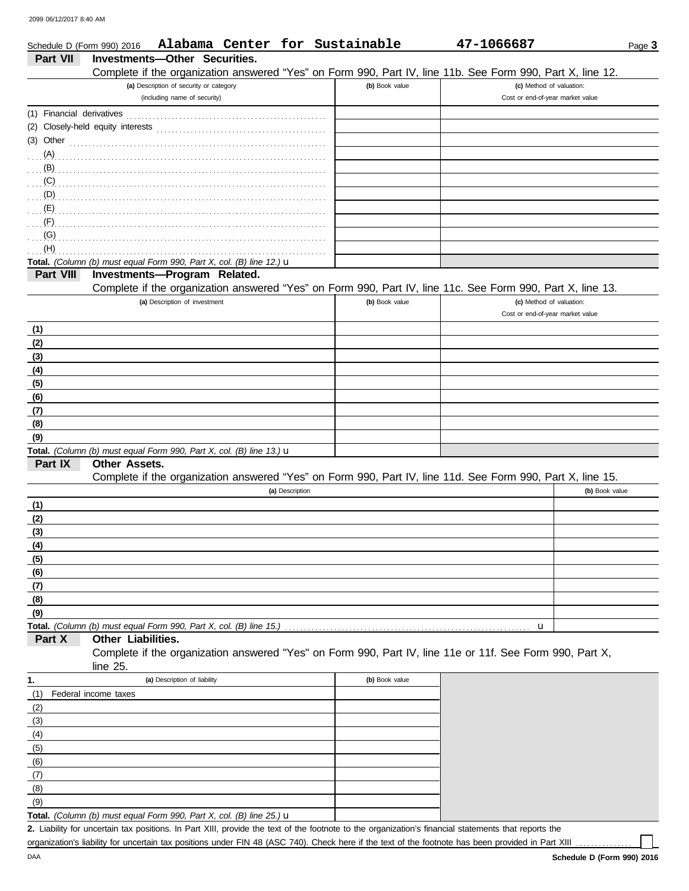| Schedule D (Form 990) 2016 | Alabama Center for Sustainable                                                                               |                | 47-1066687                       | Page 3         |
|----------------------------|--------------------------------------------------------------------------------------------------------------|----------------|----------------------------------|----------------|
| Part VII                   | Investments-Other Securities.                                                                                |                |                                  |                |
|                            | Complete if the organization answered "Yes" on Form 990, Part IV, line 11b. See Form 990, Part X, line 12.   |                |                                  |                |
|                            | (a) Description of security or category                                                                      | (b) Book value | (c) Method of valuation:         |                |
|                            | (including name of security)                                                                                 |                | Cost or end-of-year market value |                |
|                            |                                                                                                              |                |                                  |                |
|                            | (2) Closely-held equity interests                                                                            |                |                                  |                |
|                            | (3) Other $\ldots$ $\ldots$ $\ldots$ $\ldots$ $\ldots$ $\ldots$ $\ldots$ $\ldots$ $\ldots$ $\ldots$ $\ldots$ |                |                                  |                |
| (A)                        |                                                                                                              |                |                                  |                |
|                            |                                                                                                              |                |                                  |                |
| (C)                        |                                                                                                              |                |                                  |                |
| (D)                        |                                                                                                              |                |                                  |                |
| (E)                        |                                                                                                              |                |                                  |                |
| (F)                        |                                                                                                              |                |                                  |                |
| (G)                        |                                                                                                              |                |                                  |                |
| (H)                        |                                                                                                              |                |                                  |                |
|                            | Total. (Column (b) must equal Form 990, Part X, col. (B) line 12.) u                                         |                |                                  |                |
| Part VIII                  | Investments-Program Related.                                                                                 |                |                                  |                |
|                            | Complete if the organization answered "Yes" on Form 990, Part IV, line 11c. See Form 990, Part X, line 13.   |                |                                  |                |
|                            | (a) Description of investment                                                                                | (b) Book value | (c) Method of valuation:         |                |
|                            |                                                                                                              |                | Cost or end-of-year market value |                |
| (1)                        |                                                                                                              |                |                                  |                |
| (2)                        |                                                                                                              |                |                                  |                |
| (3)                        |                                                                                                              |                |                                  |                |
| (4)                        |                                                                                                              |                |                                  |                |
| (5)                        |                                                                                                              |                |                                  |                |
| (6)                        |                                                                                                              |                |                                  |                |
| (7)                        |                                                                                                              |                |                                  |                |
| (8)                        |                                                                                                              |                |                                  |                |
| (9)                        |                                                                                                              |                |                                  |                |
|                            | Total. (Column (b) must equal Form 990, Part X, col. (B) line 13.) u                                         |                |                                  |                |
| Part IX                    | <b>Other Assets.</b>                                                                                         |                |                                  |                |
|                            | Complete if the organization answered "Yes" on Form 990, Part IV, line 11d. See Form 990, Part X, line 15.   |                |                                  |                |
|                            | (a) Description                                                                                              |                |                                  | (b) Book value |
| (1)                        |                                                                                                              |                |                                  |                |
| (2)                        |                                                                                                              |                |                                  |                |
| (3)                        |                                                                                                              |                |                                  |                |
| <u>(4)</u>                 |                                                                                                              |                |                                  |                |
| (5)                        |                                                                                                              |                |                                  |                |
| (6)                        |                                                                                                              |                |                                  |                |
| (7)                        |                                                                                                              |                |                                  |                |
| (8)                        |                                                                                                              |                |                                  |                |
| (9)                        |                                                                                                              |                |                                  |                |
|                            | Total. (Column (b) must equal Form 990, Part X, col. (B) line 15.)                                           |                | u                                |                |
| Part X                     | Other Liabilities.                                                                                           |                |                                  |                |
|                            | Complete if the organization answered "Yes" on Form 990, Part IV, line 11e or 11f. See Form 990, Part X,     |                |                                  |                |
|                            | line 25.                                                                                                     |                |                                  |                |
| 1.                         | (a) Description of liability                                                                                 | (b) Book value |                                  |                |
| (1)                        | Federal income taxes                                                                                         |                |                                  |                |
| (2)                        |                                                                                                              |                |                                  |                |
| (3)                        |                                                                                                              |                |                                  |                |
| (4)                        |                                                                                                              |                |                                  |                |
| (5)                        |                                                                                                              |                |                                  |                |
| (6)                        |                                                                                                              |                |                                  |                |
| (7)                        |                                                                                                              |                |                                  |                |
| (8)                        |                                                                                                              |                |                                  |                |

Total. *(Column (b) must equal Form 990, Part X, col. (B) line 25.)* **u**  $(9)$ 

Liability for uncertain tax positions. In Part XIII, provide the text of the footnote to the organization's financial statements that reports the **2.** organization's liability for uncertain tax positions under FIN 48 (ASC 740). Check here if the text of the footnote has been provided in Part XIII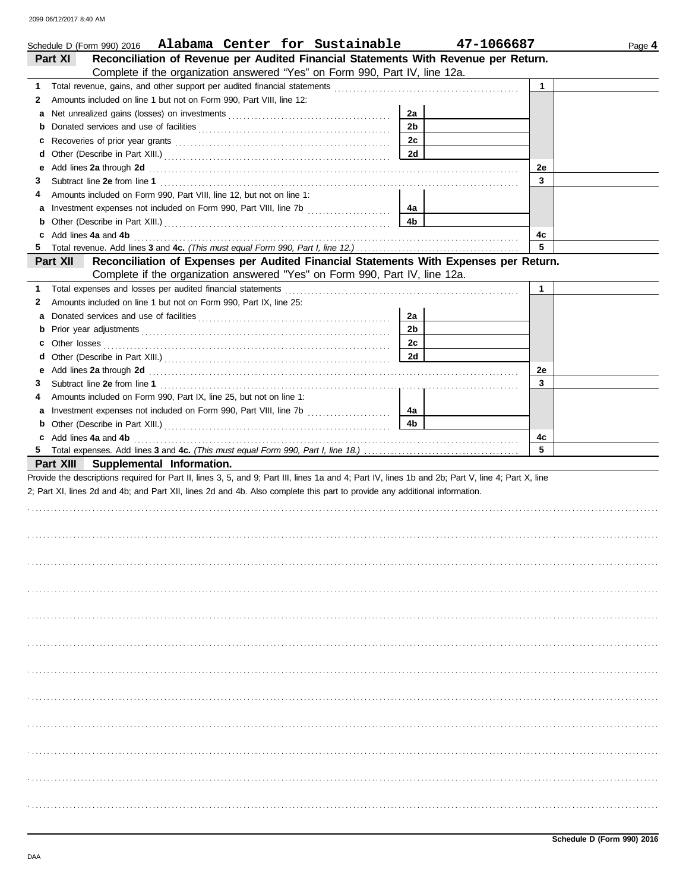|    | Schedule D (Form 990) 2016 Alabama Center for Sustainable                                                                                                                                                                           |                | 47-1066687 |    | Page 4 |
|----|-------------------------------------------------------------------------------------------------------------------------------------------------------------------------------------------------------------------------------------|----------------|------------|----|--------|
|    | Reconciliation of Revenue per Audited Financial Statements With Revenue per Return.<br>Part XI                                                                                                                                      |                |            |    |        |
|    | Complete if the organization answered "Yes" on Form 990, Part IV, line 12a.                                                                                                                                                         |                |            |    |        |
| 1. |                                                                                                                                                                                                                                     |                |            | 1  |        |
| 2  | Amounts included on line 1 but not on Form 990, Part VIII, line 12:                                                                                                                                                                 |                |            |    |        |
| а  |                                                                                                                                                                                                                                     | 2a             |            |    |        |
| b  |                                                                                                                                                                                                                                     | 2 <sub>b</sub> |            |    |        |
| c  |                                                                                                                                                                                                                                     | 2c             |            |    |        |
| d  |                                                                                                                                                                                                                                     | 2d             |            |    |        |
| е  | Add lines 2a through 2d <b>Martin Community 20</b> and 20 and 20 and 20 and 20 and 20 and 20 and 20 and 20 and 20 and 20 and 20 and 20 and 20 and 20 and 20 and 20 and 20 and 20 and 20 and 20 and 20 and 20 and 20 and 20 and 20 a |                |            | 2e |        |
| 3  |                                                                                                                                                                                                                                     |                |            | 3  |        |
| 4  | Amounts included on Form 990, Part VIII, line 12, but not on line 1:                                                                                                                                                                |                |            |    |        |
| а  | Investment expenses not included on Form 990, Part VIII, line 7b [100] [100] [100] [100] [100] [100] [100] [100] [100] [100] [100] [100] [100] [100] [100] [100] [100] [100] [100] [100] [100] [100] [100] [100] [100] [100] [      | 4a             |            |    |        |
| b  |                                                                                                                                                                                                                                     | 4b             |            |    |        |
| c  | Add lines 4a and 4b                                                                                                                                                                                                                 |                |            | 4c |        |
| 5  |                                                                                                                                                                                                                                     |                |            | 5  |        |
|    | Part XII<br>Reconciliation of Expenses per Audited Financial Statements With Expenses per Return.                                                                                                                                   |                |            |    |        |
|    | Complete if the organization answered "Yes" on Form 990, Part IV, line 12a.                                                                                                                                                         |                |            |    |        |
| 1. | Total expenses and losses per audited financial statements                                                                                                                                                                          |                |            | 1  |        |
| 2  | Amounts included on line 1 but not on Form 990, Part IX, line 25:                                                                                                                                                                   |                |            |    |        |
| а  |                                                                                                                                                                                                                                     | 2a             |            |    |        |
| b  |                                                                                                                                                                                                                                     | 2 <sub>b</sub> |            |    |        |
| c  |                                                                                                                                                                                                                                     | 2c             |            |    |        |
| d  |                                                                                                                                                                                                                                     | 2d             |            |    |        |
| е  | Add lines 2a through 2d [11] Add [12] Add [12] Add lines 2a through 2d [12] Add lines 2a through 2d                                                                                                                                 |                |            | 2e |        |
| 3  |                                                                                                                                                                                                                                     |                |            | 3  |        |
| 4  | Amounts included on Form 990, Part IX, line 25, but not on line 1:                                                                                                                                                                  |                |            |    |        |
| а  | Investment expenses not included on Form 990, Part VIII, line 7b [100] [100] [100] [100] [100] [100] [100] [100] [100] [100] [100] [100] [100] [100] [100] [100] [100] [100] [100] [100] [100] [100] [100] [100] [100] [100] [      | 4a             |            |    |        |
| b  |                                                                                                                                                                                                                                     | 4b             |            |    |        |
| c  | Add lines 4a and 4b                                                                                                                                                                                                                 |                |            | 4c |        |
| 5  |                                                                                                                                                                                                                                     |                |            | 5  |        |
|    | Part XIII Supplemental Information.                                                                                                                                                                                                 |                |            |    |        |
|    | Provide the descriptions required for Part II, lines 3, 5, and 9; Part III, lines 1a and 4; Part IV, lines 1b and 2b; Part V, line 4; Part X, line                                                                                  |                |            |    |        |
|    | 2; Part XI, lines 2d and 4b; and Part XII, lines 2d and 4b. Also complete this part to provide any additional information.                                                                                                          |                |            |    |        |
|    |                                                                                                                                                                                                                                     |                |            |    |        |
|    |                                                                                                                                                                                                                                     |                |            |    |        |
|    |                                                                                                                                                                                                                                     |                |            |    |        |
|    |                                                                                                                                                                                                                                     |                |            |    |        |
|    |                                                                                                                                                                                                                                     |                |            |    |        |
|    |                                                                                                                                                                                                                                     |                |            |    |        |
|    |                                                                                                                                                                                                                                     |                |            |    |        |
|    |                                                                                                                                                                                                                                     |                |            |    |        |
|    |                                                                                                                                                                                                                                     |                |            |    |        |
|    |                                                                                                                                                                                                                                     |                |            |    |        |
|    |                                                                                                                                                                                                                                     |                |            |    |        |
|    |                                                                                                                                                                                                                                     |                |            |    |        |
|    |                                                                                                                                                                                                                                     |                |            |    |        |
|    |                                                                                                                                                                                                                                     |                |            |    |        |
|    |                                                                                                                                                                                                                                     |                |            |    |        |
|    |                                                                                                                                                                                                                                     |                |            |    |        |
|    |                                                                                                                                                                                                                                     |                |            |    |        |
|    |                                                                                                                                                                                                                                     |                |            |    |        |
|    |                                                                                                                                                                                                                                     |                |            |    |        |
|    |                                                                                                                                                                                                                                     |                |            |    |        |
|    |                                                                                                                                                                                                                                     |                |            |    |        |
|    |                                                                                                                                                                                                                                     |                |            |    |        |
|    |                                                                                                                                                                                                                                     |                |            |    |        |
|    |                                                                                                                                                                                                                                     |                |            |    |        |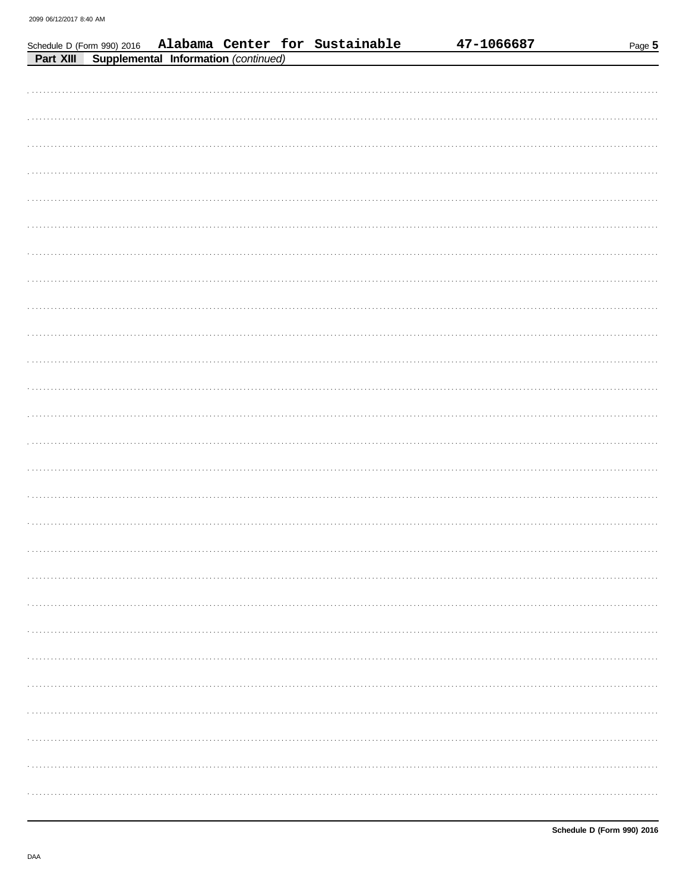|           |                                      |  | Schedule D (Form 990) 2016 Alabama Center for Sustainable | 47-1066687 | Page 5 |
|-----------|--------------------------------------|--|-----------------------------------------------------------|------------|--------|
| Part XIII | Supplemental Information (continued) |  |                                                           |            |        |
|           |                                      |  |                                                           |            |        |
|           |                                      |  |                                                           |            |        |
|           |                                      |  |                                                           |            |        |
|           |                                      |  |                                                           |            |        |
|           |                                      |  |                                                           |            |        |
|           |                                      |  |                                                           |            |        |
|           |                                      |  |                                                           |            |        |
|           |                                      |  |                                                           |            |        |
|           |                                      |  |                                                           |            |        |
|           |                                      |  |                                                           |            |        |
|           |                                      |  |                                                           |            |        |
|           |                                      |  |                                                           |            |        |
|           |                                      |  |                                                           |            |        |
|           |                                      |  |                                                           |            |        |
|           |                                      |  |                                                           |            |        |
|           |                                      |  |                                                           |            |        |
|           |                                      |  |                                                           |            |        |
|           |                                      |  |                                                           |            |        |
|           |                                      |  |                                                           |            |        |
|           |                                      |  |                                                           |            |        |
|           |                                      |  |                                                           |            |        |
|           |                                      |  |                                                           |            |        |
|           |                                      |  |                                                           |            |        |
|           |                                      |  |                                                           |            |        |
|           |                                      |  |                                                           |            |        |
|           |                                      |  |                                                           |            |        |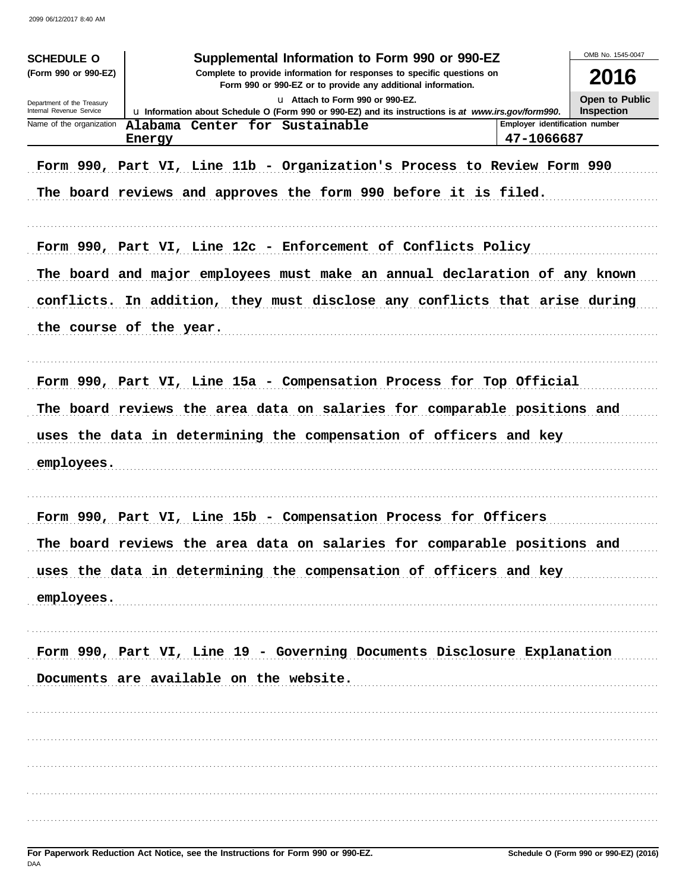| Supplemental Information to Form 990 or 990-EZ<br><b>SCHEDULE O</b><br>(Form 990 or 990-EZ)<br>Complete to provide information for responses to specific questions on<br>Form 990 or 990-EZ or to provide any additional information.<br>U Attach to Form 990 or 990-EZ.<br>Department of the Treasury<br>Internal Revenue Service<br>Lu Information about Schedule O (Form 990 or 990-EZ) and its instructions is at www.irs.gov/form990.<br>Employer identification number<br>Name of the organization<br>Alabama Center for Sustainable<br>47-1066687<br>Energy<br>Form 990, Part VI, Line 11b - Organization's Process to Review Form 990<br>The board reviews and approves the form 990 before it is filed. |                                                                                                                                                                                                                                                      |  |  |  |  |  |  |
|------------------------------------------------------------------------------------------------------------------------------------------------------------------------------------------------------------------------------------------------------------------------------------------------------------------------------------------------------------------------------------------------------------------------------------------------------------------------------------------------------------------------------------------------------------------------------------------------------------------------------------------------------------------------------------------------------------------|------------------------------------------------------------------------------------------------------------------------------------------------------------------------------------------------------------------------------------------------------|--|--|--|--|--|--|
|                                                                                                                                                                                                                                                                                                                                                                                                                                                                                                                                                                                                                                                                                                                  | Form 990, Part VI, Line 12c - Enforcement of Conflicts Policy<br>The board and major employees must make an annual declaration of any known<br>conflicts. In addition, they must disclose any conflicts that arise during<br>the course of the year. |  |  |  |  |  |  |
| employees.                                                                                                                                                                                                                                                                                                                                                                                                                                                                                                                                                                                                                                                                                                       | Form 990, Part VI, Line 15a - Compensation Process for Top Official<br>The board reviews the area data on salaries for comparable positions and<br>uses the data in determining the compensation of officers and key                                 |  |  |  |  |  |  |
| employees.                                                                                                                                                                                                                                                                                                                                                                                                                                                                                                                                                                                                                                                                                                       | Form 990, Part VI, Line 15b - Compensation Process for Officers<br>The board reviews the area data on salaries for comparable positions and<br>uses the data in determining the compensation of officers and key                                     |  |  |  |  |  |  |
|                                                                                                                                                                                                                                                                                                                                                                                                                                                                                                                                                                                                                                                                                                                  | Form 990, Part VI, Line 19 - Governing Documents Disclosure Explanation<br>Documents are available on the website.                                                                                                                                   |  |  |  |  |  |  |
|                                                                                                                                                                                                                                                                                                                                                                                                                                                                                                                                                                                                                                                                                                                  |                                                                                                                                                                                                                                                      |  |  |  |  |  |  |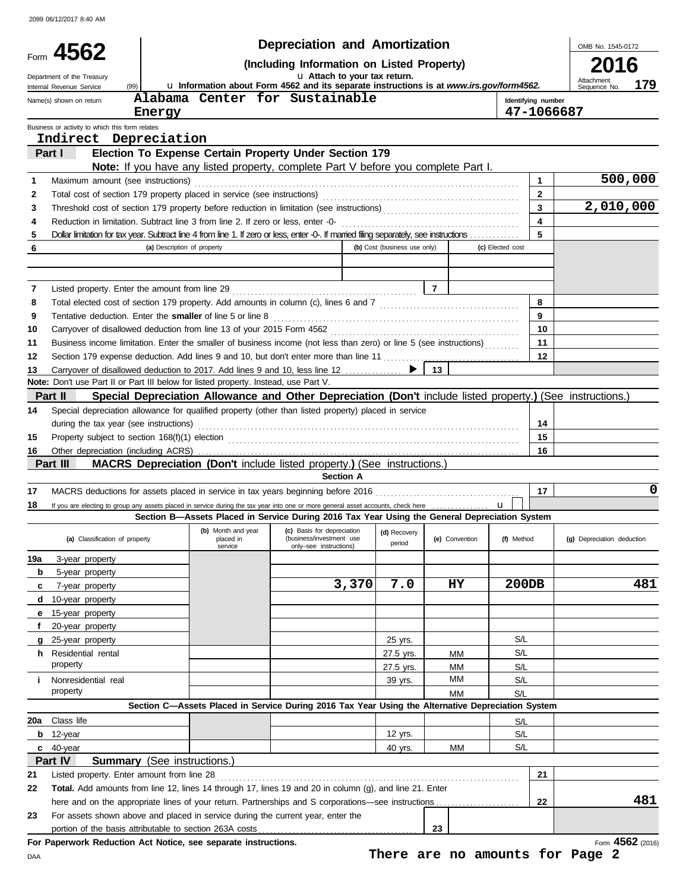|     |                                                                                                                                                                    |                                                                            |                                            | <b>Depreciation and Amortization</b>                                                                                                         |                              |                                 |                    |              | OMB No. 1545-0172          |                  |
|-----|--------------------------------------------------------------------------------------------------------------------------------------------------------------------|----------------------------------------------------------------------------|--------------------------------------------|----------------------------------------------------------------------------------------------------------------------------------------------|------------------------------|---------------------------------|--------------------|--------------|----------------------------|------------------|
|     | Form 4562                                                                                                                                                          | (Including Information on Listed Property)<br>U Attach to your tax return. |                                            |                                                                                                                                              |                              |                                 |                    |              |                            |                  |
|     | Department of the Treasury<br>(99)<br>Internal Revenue Service                                                                                                     |                                                                            |                                            | La Information about Form 4562 and its separate instructions is at www.irs.gov/form4562.                                                     |                              |                                 |                    |              | Attachment<br>Sequence No. | 179              |
|     | Name(s) shown on return                                                                                                                                            |                                                                            |                                            | Alabama Center for Sustainable                                                                                                               |                              |                                 | Identifying number |              |                            |                  |
|     |                                                                                                                                                                    | Energy                                                                     |                                            |                                                                                                                                              |                              |                                 | 47-1066687         |              |                            |                  |
|     | Business or activity to which this form relates                                                                                                                    |                                                                            |                                            |                                                                                                                                              |                              |                                 |                    |              |                            |                  |
|     | Indirect Depreciation                                                                                                                                              |                                                                            |                                            |                                                                                                                                              |                              |                                 |                    |              |                            |                  |
|     | Part I                                                                                                                                                             |                                                                            |                                            | Election To Expense Certain Property Under Section 179<br>Note: If you have any listed property, complete Part V before you complete Part I. |                              |                                 |                    |              |                            |                  |
| 1   | Maximum amount (see instructions)                                                                                                                                  |                                                                            |                                            |                                                                                                                                              |                              |                                 |                    | 1.           |                            | 500,000          |
| 2   | Total cost of section 179 property placed in service (see instructions)                                                                                            |                                                                            |                                            |                                                                                                                                              |                              |                                 |                    | $\mathbf{2}$ |                            |                  |
| 3   |                                                                                                                                                                    |                                                                            |                                            |                                                                                                                                              |                              |                                 |                    | 3            | 2,010,000                  |                  |
| 4   | Reduction in limitation. Subtract line 3 from line 2. If zero or less, enter -0-                                                                                   |                                                                            |                                            |                                                                                                                                              |                              |                                 |                    | 4            |                            |                  |
| 5   | Dollar limitation for tax year. Subtract line 4 from line 1. If zero or less, enter -0-. If married filing separately, see instructions                            |                                                                            |                                            |                                                                                                                                              |                              |                                 |                    | 5            |                            |                  |
| 6   |                                                                                                                                                                    | (a) Description of property                                                |                                            |                                                                                                                                              | (b) Cost (business use only) |                                 | (c) Elected cost   |              |                            |                  |
|     |                                                                                                                                                                    |                                                                            |                                            |                                                                                                                                              |                              |                                 |                    |              |                            |                  |
|     |                                                                                                                                                                    |                                                                            |                                            |                                                                                                                                              |                              |                                 |                    |              |                            |                  |
| 7   | Listed property. Enter the amount from line 29                                                                                                                     |                                                                            |                                            |                                                                                                                                              |                              | $\overline{7}$                  |                    |              |                            |                  |
| 8   |                                                                                                                                                                    |                                                                            |                                            |                                                                                                                                              |                              |                                 |                    | 8            |                            |                  |
| 9   | Tentative deduction. Enter the smaller of line 5 or line 8                                                                                                         |                                                                            |                                            |                                                                                                                                              |                              |                                 |                    | 9            |                            |                  |
| 10  | Carryover of disallowed deduction from line 13 of your 2015 Form 4562                                                                                              |                                                                            |                                            |                                                                                                                                              |                              |                                 |                    | 10           |                            |                  |
| 11  | Business income limitation. Enter the smaller of business income (not less than zero) or line 5 (see instructions)                                                 |                                                                            |                                            |                                                                                                                                              |                              |                                 |                    | 11           |                            |                  |
| 12  | Section 179 expense deduction. Add lines 9 and 10, but don't enter more than line 11                                                                               |                                                                            |                                            |                                                                                                                                              |                              |                                 |                    | 12           |                            |                  |
| 13  | Carryover of disallowed deduction to 2017. Add lines 9 and 10, less line 12<br>Note: Don't use Part II or Part III below for listed property. Instead, use Part V. |                                                                            |                                            |                                                                                                                                              |                              | 13                              |                    |              |                            |                  |
|     | Part II                                                                                                                                                            |                                                                            |                                            | Special Depreciation Allowance and Other Depreciation (Don't include listed property.) (See instructions.)                                   |                              |                                 |                    |              |                            |                  |
| 14  | Special depreciation allowance for qualified property (other than listed property) placed in service                                                               |                                                                            |                                            |                                                                                                                                              |                              |                                 |                    |              |                            |                  |
|     | during the tax year (see instructions)                                                                                                                             |                                                                            |                                            |                                                                                                                                              |                              |                                 |                    | 14           |                            |                  |
| 15  |                                                                                                                                                                    |                                                                            |                                            |                                                                                                                                              |                              |                                 |                    | 15           |                            |                  |
| 16  |                                                                                                                                                                    |                                                                            |                                            |                                                                                                                                              |                              |                                 |                    | 16           |                            |                  |
|     | Part III                                                                                                                                                           |                                                                            |                                            | <b>MACRS Depreciation (Don't include listed property.) (See instructions.)</b>                                                               |                              |                                 |                    |              |                            |                  |
|     |                                                                                                                                                                    |                                                                            |                                            | <b>Section A</b>                                                                                                                             |                              |                                 |                    |              |                            |                  |
| 17  |                                                                                                                                                                    |                                                                            |                                            |                                                                                                                                              |                              |                                 |                    | 17           |                            | 0                |
| 18  | If you are electing to group any assets placed in service during the tax year into one or more general asset accounts, check here                                  |                                                                            |                                            |                                                                                                                                              |                              |                                 | u                  |              |                            |                  |
|     |                                                                                                                                                                    |                                                                            |                                            | Section B-Assets Placed in Service During 2016 Tax Year Using the General Depreciation System                                                |                              |                                 |                    |              |                            |                  |
|     | (a) Classification of property                                                                                                                                     |                                                                            | (b) Month and year<br>placed in<br>service | (c) Basis for depreciation<br>(business/investment use<br>only-see instructions)                                                             | (d) Recovery<br>period       | (e) Convention                  | (f) Method         |              | (g) Depreciation deduction |                  |
| 19a | 3-year property                                                                                                                                                    |                                                                            |                                            |                                                                                                                                              |                              |                                 |                    |              |                            |                  |
| b   | 5-year property                                                                                                                                                    |                                                                            |                                            |                                                                                                                                              |                              |                                 |                    |              |                            |                  |
| c   | 7-year property                                                                                                                                                    |                                                                            |                                            | 3,370                                                                                                                                        | 7.0                          | <b>HY</b>                       | 200DB              |              |                            | 481              |
| d   | 10-year property                                                                                                                                                   |                                                                            |                                            |                                                                                                                                              |                              |                                 |                    |              |                            |                  |
|     | 15-year property                                                                                                                                                   |                                                                            |                                            |                                                                                                                                              |                              |                                 |                    |              |                            |                  |
|     | 20-year property                                                                                                                                                   |                                                                            |                                            |                                                                                                                                              |                              |                                 |                    |              |                            |                  |
|     | 25-year property                                                                                                                                                   |                                                                            |                                            |                                                                                                                                              | 25 yrs.                      |                                 | S/L                |              |                            |                  |
| h.  | Residential rental                                                                                                                                                 |                                                                            |                                            |                                                                                                                                              | 27.5 yrs.                    | ΜМ                              | S/L                |              |                            |                  |
|     | property                                                                                                                                                           |                                                                            |                                            |                                                                                                                                              | 27.5 yrs.                    | ΜМ                              | S/L                |              |                            |                  |
| Ť.  | Nonresidential real                                                                                                                                                |                                                                            |                                            |                                                                                                                                              | 39 yrs.                      | MМ                              | S/L                |              |                            |                  |
|     | property                                                                                                                                                           |                                                                            |                                            |                                                                                                                                              |                              | MM                              | S/L                |              |                            |                  |
|     |                                                                                                                                                                    |                                                                            |                                            | Section C-Assets Placed in Service During 2016 Tax Year Using the Alternative Depreciation System                                            |                              |                                 |                    |              |                            |                  |
| 20a | Class life                                                                                                                                                         |                                                                            |                                            |                                                                                                                                              |                              |                                 | S/L                |              |                            |                  |
| b   | 12-year                                                                                                                                                            |                                                                            |                                            |                                                                                                                                              | 12 yrs.                      |                                 | S/L                |              |                            |                  |
|     | c 40-year                                                                                                                                                          |                                                                            |                                            |                                                                                                                                              | 40 yrs.                      | ΜМ                              | S/L                |              |                            |                  |
| 21  | Part IV<br><b>Summary</b> (See instructions.)<br>Listed property. Enter amount from line 28                                                                        |                                                                            |                                            |                                                                                                                                              |                              |                                 |                    | 21           |                            |                  |
| 22  | Total. Add amounts from line 12, lines 14 through 17, lines 19 and 20 in column (g), and line 21. Enter                                                            |                                                                            |                                            |                                                                                                                                              |                              |                                 |                    |              |                            |                  |
|     | here and on the appropriate lines of your return. Partnerships and S corporations—see instructions                                                                 |                                                                            |                                            |                                                                                                                                              |                              |                                 |                    | 22           |                            | 481              |
| 23  | For assets shown above and placed in service during the current year, enter the                                                                                    |                                                                            |                                            |                                                                                                                                              |                              |                                 |                    |              |                            |                  |
|     | portion of the basis attributable to section 263A costs                                                                                                            |                                                                            |                                            |                                                                                                                                              |                              | 23                              |                    |              |                            |                  |
|     | For Paperwork Reduction Act Notice, see separate instructions.                                                                                                     |                                                                            |                                            |                                                                                                                                              |                              |                                 |                    |              |                            | Form 4562 (2016) |
| DAA |                                                                                                                                                                    |                                                                            |                                            |                                                                                                                                              |                              | There are no amounts for Page 2 |                    |              |                            |                  |

**There are no amounts for Page 2**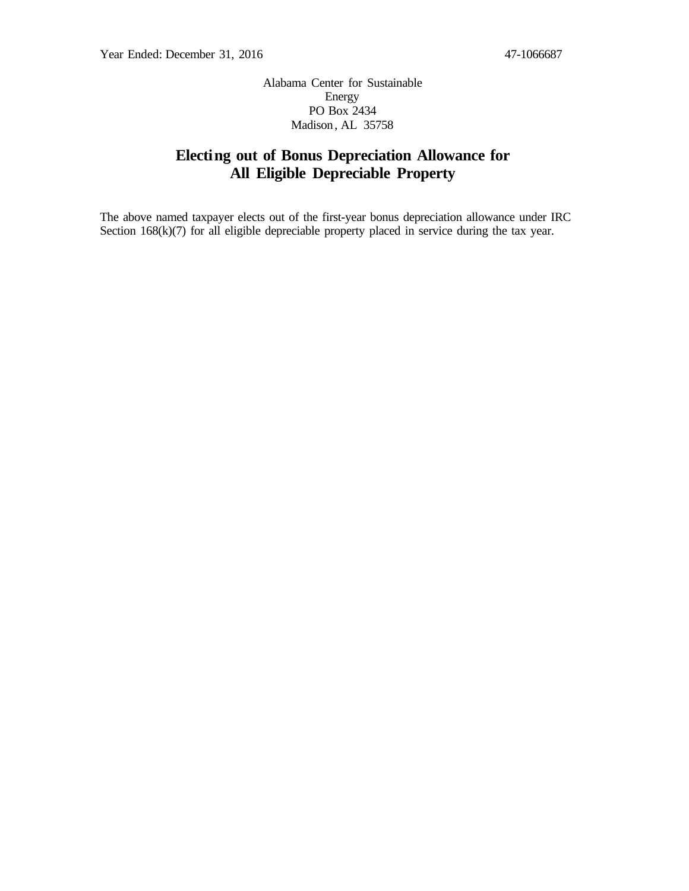Alabama Center for Sustainable Energy PO Box 2434 Madison, AL 35758

## **Electing out of Bonus Depreciation Allowance for All Eligible Depreciable Property**

The above named taxpayer elects out of the first-year bonus depreciation allowance under IRC Section  $168(k)(7)$  for all eligible depreciable property placed in service during the tax year.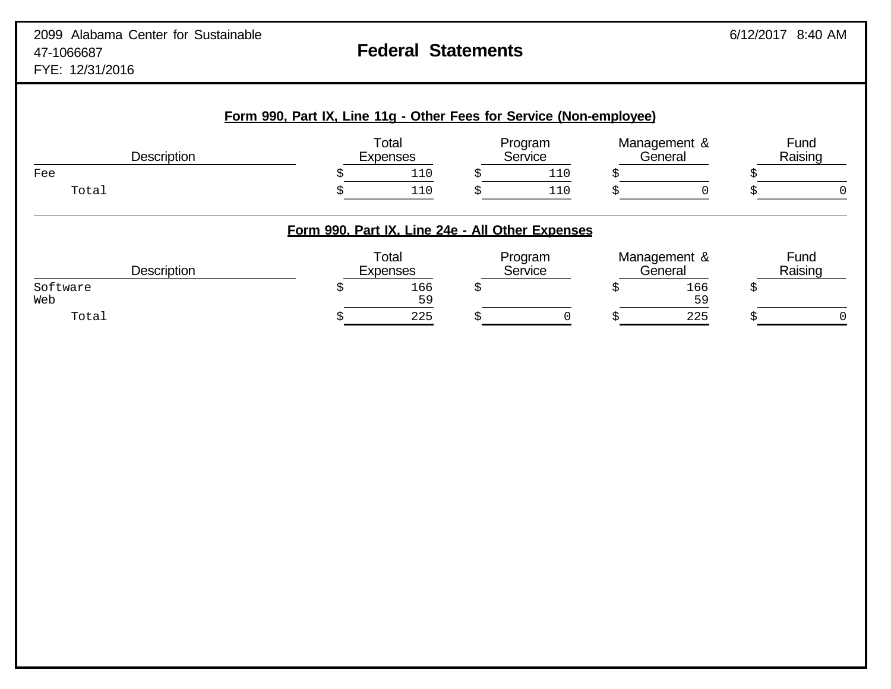# **Form 990, Part IX, Line 11g - Other Fees for Service (Non-employee)** Total Program Management & Fund<br>Expenses Service General Raising Description Expenses Service General Raising Fee  $\zeta$  5 110  $\zeta$  110  $\zeta$  5  $\zeta$  Total \$ 110 \$ 110 \$ 0 \$ 0 **Form 990, Part IX, Line 24e - All Other Expenses** Total **Program** Management & Fund<br>Expenses Service General Raising Description **Expenses Service General Raising** Constants Construction Construction  $\texttt{Software} \quad \texttt{S} \quad \texttt{S} \quad \texttt{S} \quad \texttt{166} \quad \texttt{S} \quad \texttt{166} \quad \texttt{S} \quad \texttt{167} \quad \texttt{168} \quad \texttt{169} \quad \texttt{169} \quad \texttt{160} \quad \texttt{160} \quad \texttt{161} \quad \texttt{162} \quad \texttt{163} \quad \texttt{165} \quad \texttt{166} \quad \texttt{168} \quad \texttt{169} \quad \texttt{169} \quad \texttt{160} \quad \text$ Web  $59$ Total \$ 225 \$ 0 \$ 225 \$ 0